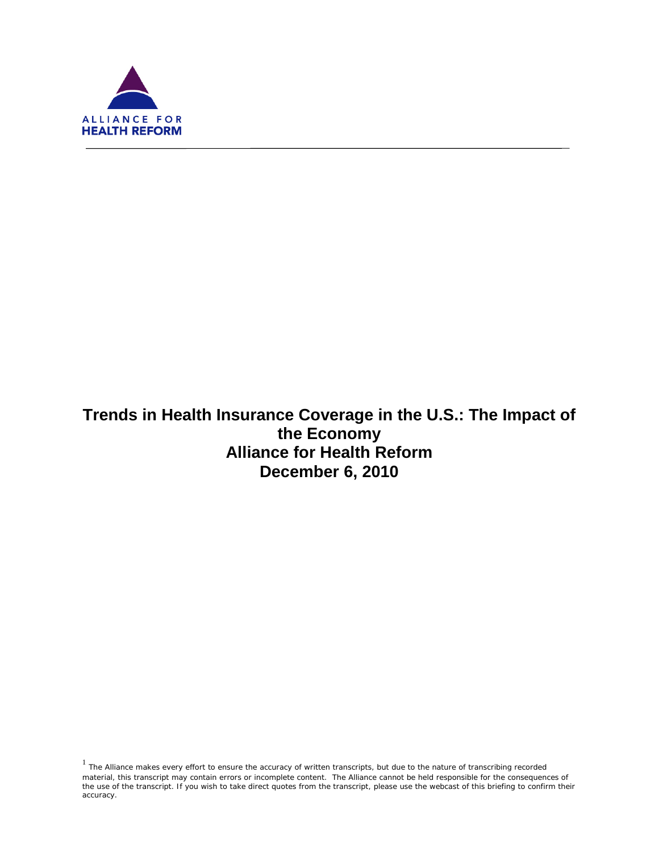

ī

**Trends in Health Insurance Coverage in the U.S.: The Impact of the Economy Alliance for Health Reform December 6, 2010**

 $1$  The Alliance makes every effort to ensure the accuracy of written transcripts, but due to the nature of transcribing recorded material, this transcript may contain errors or incomplete content. The Alliance cannot be held responsible for the consequences of the use of the transcript. If you wish to take direct quotes from the transcript, please use the webcast of this briefing to confirm their accuracy.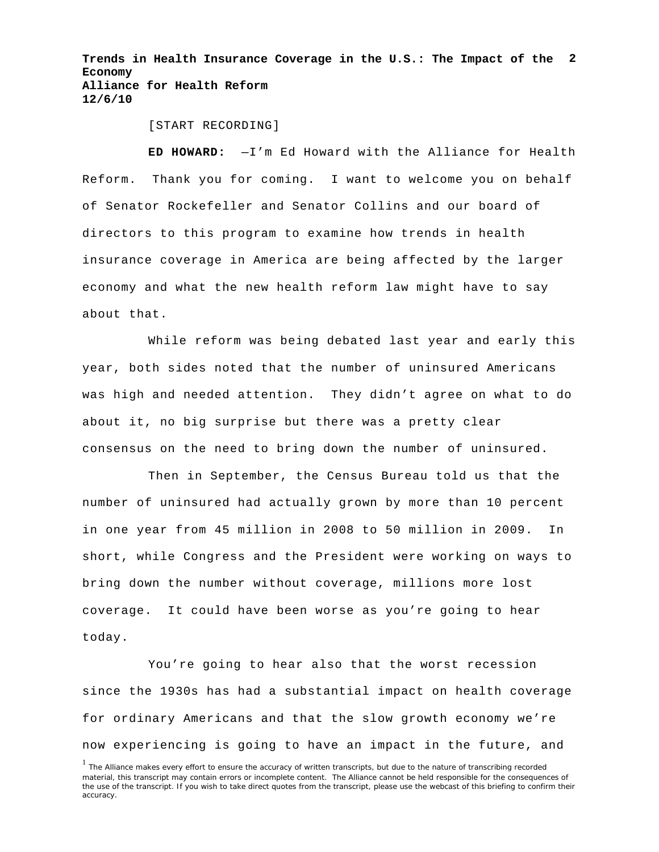**Trends in Health Insurance Coverage in the U.S.: The Impact of the 2 Economy Alliance for Health Reform 12/6/10**

[START RECORDING]

**ED HOWARD:** —I'm Ed Howard with the Alliance for Health Reform. Thank you for coming. I want to welcome you on behalf of Senator Rockefeller and Senator Collins and our board of directors to this program to examine how trends in health insurance coverage in America are being affected by the larger economy and what the new health reform law might have to say about that.

While reform was being debated last year and early this year, both sides noted that the number of uninsured Americans was high and needed attention. They didn't agree on what to do about it, no big surprise but there was a pretty clear consensus on the need to bring down the number of uninsured.

Then in September, the Census Bureau told us that the number of uninsured had actually grown by more than 10 percent in one year from 45 million in 2008 to 50 million in 2009. In short, while Congress and the President were working on ways to bring down the number without coverage, millions more lost coverage. It could have been worse as you're going to hear today.

You're going to hear also that the worst recession since the 1930s has had a substantial impact on health coverage for ordinary Americans and that the slow growth economy we're now experiencing is going to have an impact in the future, and

<sup>&</sup>lt;sup>1</sup> The Alliance makes every effort to ensure the accuracy of written transcripts, but due to the nature of transcribing recorded material, this transcript may contain errors or incomplete content. The Alliance cannot be held responsible for the consequences of the use of the transcript. If you wish to take direct quotes from the transcript, please use the webcast of this briefing to confirm their accuracy.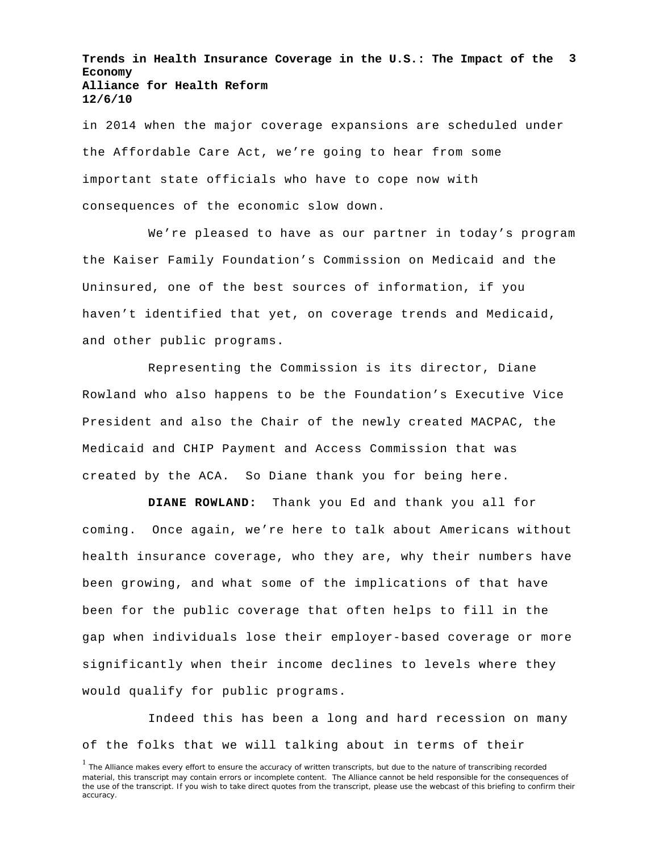**Trends in Health Insurance Coverage in the U.S.: The Impact of the 3 Economy Alliance for Health Reform 12/6/10**

in 2014 when the major coverage expansions are scheduled under the Affordable Care Act, we're going to hear from some important state officials who have to cope now with consequences of the economic slow down.

We're pleased to have as our partner in today's program the Kaiser Family Foundation's Commission on Medicaid and the Uninsured, one of the best sources of information, if you haven't identified that yet, on coverage trends and Medicaid, and other public programs.

Representing the Commission is its director, Diane Rowland who also happens to be the Foundation's Executive Vice President and also the Chair of the newly created MACPAC, the Medicaid and CHIP Payment and Access Commission that was created by the ACA. So Diane thank you for being here.

**DIANE ROWLAND:** Thank you Ed and thank you all for coming. Once again, we're here to talk about Americans without health insurance coverage, who they are, why their numbers have been growing, and what some of the implications of that have been for the public coverage that often helps to fill in the gap when individuals lose their employer-based coverage or more significantly when their income declines to levels where they would qualify for public programs.

Indeed this has been a long and hard recession on many of the folks that we will talking about in terms of their

<sup>&</sup>lt;sup>1</sup> The Alliance makes every effort to ensure the accuracy of written transcripts, but due to the nature of transcribing recorded material, this transcript may contain errors or incomplete content. The Alliance cannot be held responsible for the consequences of the use of the transcript. If you wish to take direct quotes from the transcript, please use the webcast of this briefing to confirm their accuracy.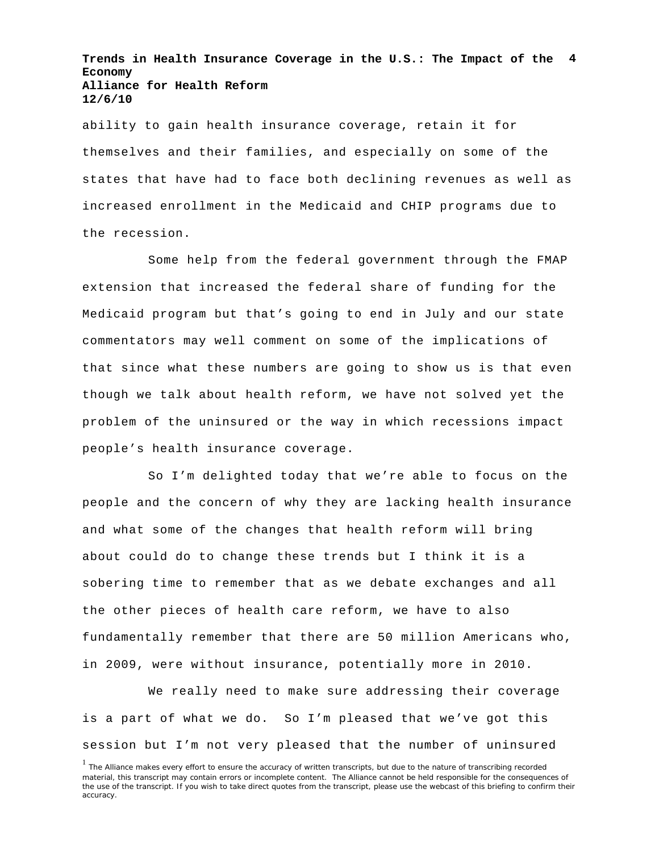**Trends in Health Insurance Coverage in the U.S.: The Impact of the 4 Economy Alliance for Health Reform 12/6/10**

ability to gain health insurance coverage, retain it for themselves and their families, and especially on some of the states that have had to face both declining revenues as well as increased enrollment in the Medicaid and CHIP programs due to the recession.

Some help from the federal government through the FMAP extension that increased the federal share of funding for the Medicaid program but that's going to end in July and our state commentators may well comment on some of the implications of that since what these numbers are going to show us is that even though we talk about health reform, we have not solved yet the problem of the uninsured or the way in which recessions impact people's health insurance coverage.

So I'm delighted today that we're able to focus on the people and the concern of why they are lacking health insurance and what some of the changes that health reform will bring about could do to change these trends but I think it is a sobering time to remember that as we debate exchanges and all the other pieces of health care reform, we have to also fundamentally remember that there are 50 million Americans who, in 2009, were without insurance, potentially more in 2010.

We really need to make sure addressing their coverage is a part of what we do. So I'm pleased that we've got this session but I'm not very pleased that the number of uninsured

<sup>&</sup>lt;sup>1</sup> The Alliance makes every effort to ensure the accuracy of written transcripts, but due to the nature of transcribing recorded material, this transcript may contain errors or incomplete content. The Alliance cannot be held responsible for the consequences of the use of the transcript. If you wish to take direct quotes from the transcript, please use the webcast of this briefing to confirm their accuracy.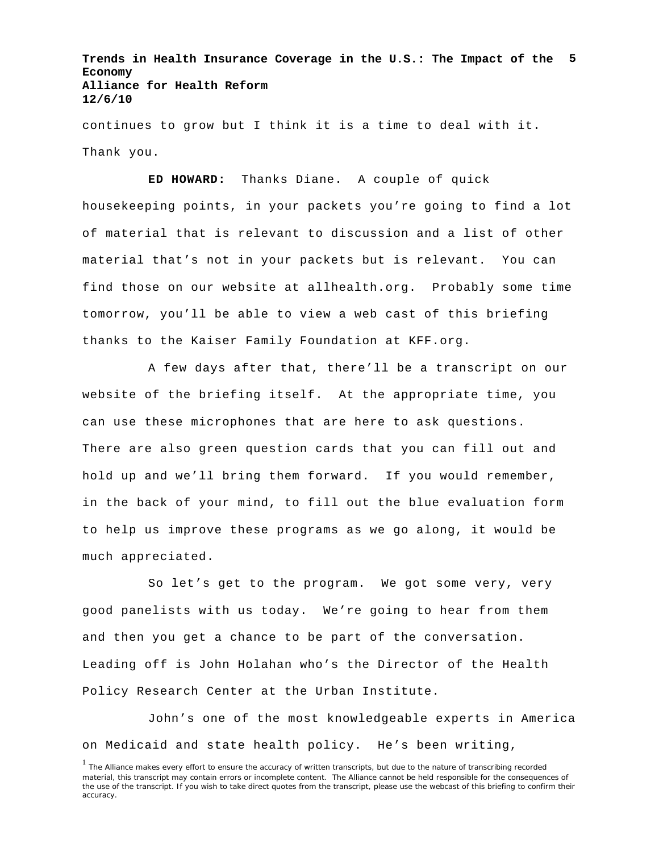**Trends in Health Insurance Coverage in the U.S.: The Impact of the 5 Economy Alliance for Health Reform 12/6/10**

continues to grow but I think it is a time to deal with it. Thank you.

**ED HOWARD:** Thanks Diane. A couple of quick housekeeping points, in your packets you're going to find a lot of material that is relevant to discussion and a list of other material that's not in your packets but is relevant. You can find those on our website at allhealth.org. Probably some time tomorrow, you'll be able to view a web cast of this briefing thanks to the Kaiser Family Foundation at KFF.org.

A few days after that, there'll be a transcript on our website of the briefing itself. At the appropriate time, you can use these microphones that are here to ask questions. There are also green question cards that you can fill out and hold up and we'll bring them forward. If you would remember, in the back of your mind, to fill out the blue evaluation form to help us improve these programs as we go along, it would be much appreciated.

So let's get to the program. We got some very, very good panelists with us today. We're going to hear from them and then you get a chance to be part of the conversation. Leading off is John Holahan who's the Director of the Health Policy Research Center at the Urban Institute.

John's one of the most knowledgeable experts in America on Medicaid and state health policy. He's been writing,

<sup>&</sup>lt;sup>1</sup> The Alliance makes every effort to ensure the accuracy of written transcripts, but due to the nature of transcribing recorded material, this transcript may contain errors or incomplete content. The Alliance cannot be held responsible for the consequences of the use of the transcript. If you wish to take direct quotes from the transcript, please use the webcast of this briefing to confirm their accuracy.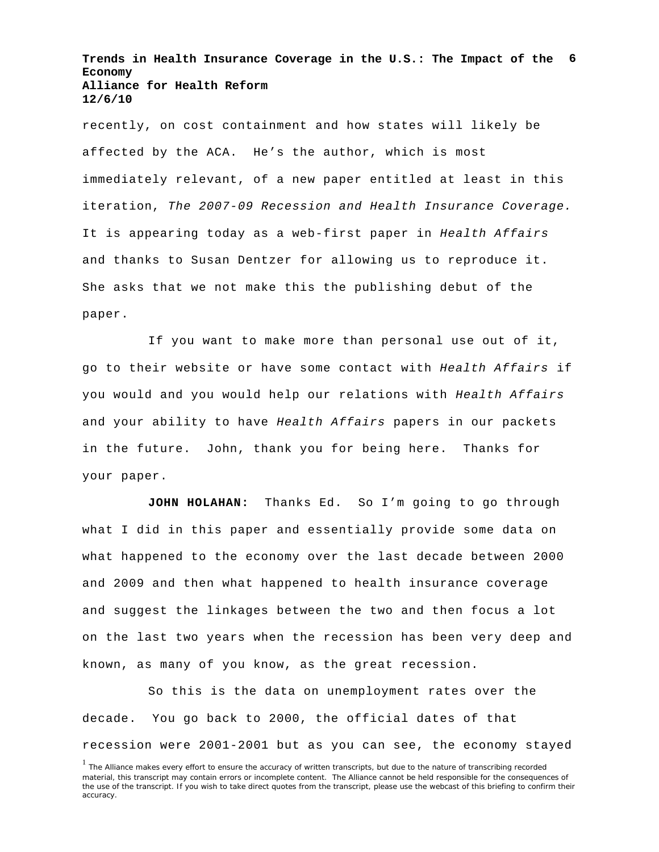**Trends in Health Insurance Coverage in the U.S.: The Impact of the 6 Economy Alliance for Health Reform 12/6/10**

recently, on cost containment and how states will likely be affected by the ACA. He's the author, which is most immediately relevant, of a new paper entitled at least in this iteration, *The 2007-09 Recession and Health Insurance Coverage.* It is appearing today as a web-first paper in *Health Affairs* and thanks to Susan Dentzer for allowing us to reproduce it. She asks that we not make this the publishing debut of the paper.

If you want to make more than personal use out of it, go to their website or have some contact with *Health Affairs* if you would and you would help our relations with *Health Affairs* and your ability to have *Health Affairs* papers in our packets in the future. John, thank you for being here. Thanks for your paper.

**JOHN HOLAHAN:** Thanks Ed. So I'm going to go through what I did in this paper and essentially provide some data on what happened to the economy over the last decade between 2000 and 2009 and then what happened to health insurance coverage and suggest the linkages between the two and then focus a lot on the last two years when the recession has been very deep and known, as many of you know, as the great recession.

So this is the data on unemployment rates over the decade. You go back to 2000, the official dates of that recession were 2001-2001 but as you can see, the economy stayed

<sup>&</sup>lt;sup>1</sup> The Alliance makes every effort to ensure the accuracy of written transcripts, but due to the nature of transcribing recorded material, this transcript may contain errors or incomplete content. The Alliance cannot be held responsible for the consequences of the use of the transcript. If you wish to take direct quotes from the transcript, please use the webcast of this briefing to confirm their accuracy.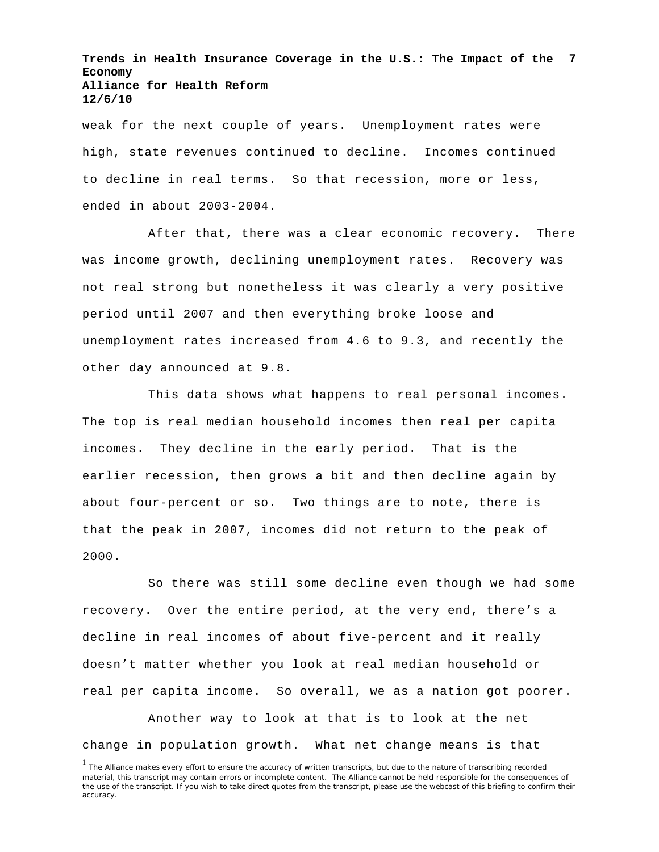**Trends in Health Insurance Coverage in the U.S.: The Impact of the 7 Economy Alliance for Health Reform 12/6/10**

weak for the next couple of years. Unemployment rates were high, state revenues continued to decline. Incomes continued to decline in real terms. So that recession, more or less, ended in about 2003-2004.

After that, there was a clear economic recovery. There was income growth, declining unemployment rates. Recovery was not real strong but nonetheless it was clearly a very positive period until 2007 and then everything broke loose and unemployment rates increased from 4.6 to 9.3, and recently the other day announced at 9.8.

This data shows what happens to real personal incomes. The top is real median household incomes then real per capita incomes. They decline in the early period. That is the earlier recession, then grows a bit and then decline again by about four-percent or so. Two things are to note, there is that the peak in 2007, incomes did not return to the peak of 2000.

So there was still some decline even though we had some recovery. Over the entire period, at the very end, there's a decline in real incomes of about five-percent and it really doesn't matter whether you look at real median household or real per capita income. So overall, we as a nation got poorer.

Another way to look at that is to look at the net change in population growth. What net change means is that

<sup>&</sup>lt;sup>1</sup> The Alliance makes every effort to ensure the accuracy of written transcripts, but due to the nature of transcribing recorded material, this transcript may contain errors or incomplete content. The Alliance cannot be held responsible for the consequences of the use of the transcript. If you wish to take direct quotes from the transcript, please use the webcast of this briefing to confirm their accuracy.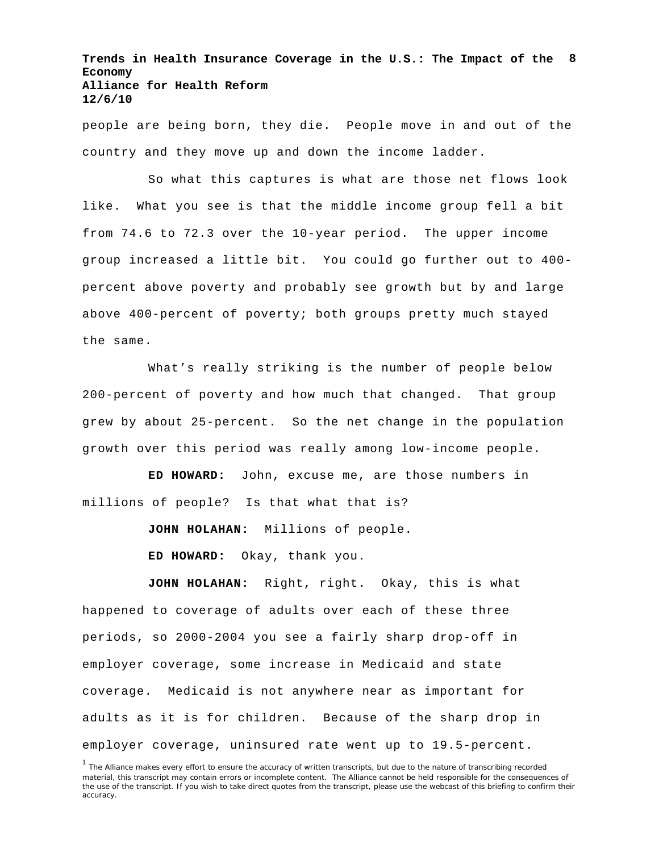**Trends in Health Insurance Coverage in the U.S.: The Impact of the 8 Economy Alliance for Health Reform 12/6/10**

people are being born, they die. People move in and out of the country and they move up and down the income ladder.

So what this captures is what are those net flows look like. What you see is that the middle income group fell a bit from 74.6 to 72.3 over the 10-year period. The upper income group increased a little bit. You could go further out to 400 percent above poverty and probably see growth but by and large above 400-percent of poverty; both groups pretty much stayed the same.

What's really striking is the number of people below 200-percent of poverty and how much that changed. That group grew by about 25-percent. So the net change in the population growth over this period was really among low-income people.

**ED HOWARD:** John, excuse me, are those numbers in millions of people? Is that what that is?

**JOHN HOLAHAN:** Millions of people.

**ED HOWARD:** Okay, thank you.

**JOHN HOLAHAN:** Right, right. Okay, this is what happened to coverage of adults over each of these three periods, so 2000-2004 you see a fairly sharp drop-off in employer coverage, some increase in Medicaid and state coverage. Medicaid is not anywhere near as important for adults as it is for children. Because of the sharp drop in employer coverage, uninsured rate went up to 19.5-percent.

<sup>&</sup>lt;sup>1</sup> The Alliance makes every effort to ensure the accuracy of written transcripts, but due to the nature of transcribing recorded material, this transcript may contain errors or incomplete content. The Alliance cannot be held responsible for the consequences of the use of the transcript. If you wish to take direct quotes from the transcript, please use the webcast of this briefing to confirm their accuracy.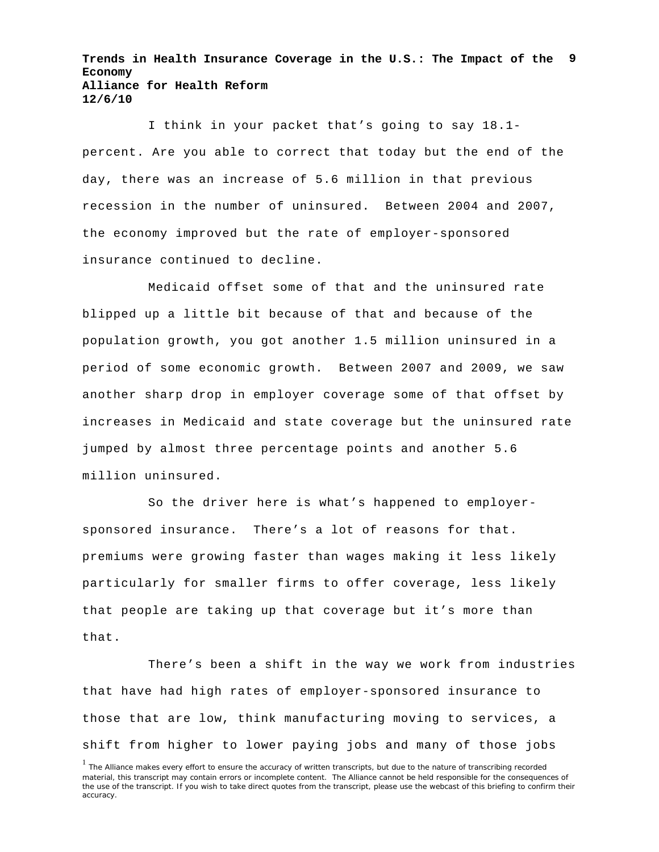**Trends in Health Insurance Coverage in the U.S.: The Impact of the 9 Economy Alliance for Health Reform 12/6/10**

I think in your packet that's going to say 18.1 percent. Are you able to correct that today but the end of the day, there was an increase of 5.6 million in that previous recession in the number of uninsured. Between 2004 and 2007, the economy improved but the rate of employer-sponsored insurance continued to decline.

Medicaid offset some of that and the uninsured rate blipped up a little bit because of that and because of the population growth, you got another 1.5 million uninsured in a period of some economic growth. Between 2007 and 2009, we saw another sharp drop in employer coverage some of that offset by increases in Medicaid and state coverage but the uninsured rate jumped by almost three percentage points and another 5.6 million uninsured.

So the driver here is what's happened to employersponsored insurance. There's a lot of reasons for that. premiums were growing faster than wages making it less likely particularly for smaller firms to offer coverage, less likely that people are taking up that coverage but it's more than that.

There's been a shift in the way we work from industries that have had high rates of employer-sponsored insurance to those that are low, think manufacturing moving to services, a shift from higher to lower paying jobs and many of those jobs

<sup>&</sup>lt;sup>1</sup> The Alliance makes every effort to ensure the accuracy of written transcripts, but due to the nature of transcribing recorded material, this transcript may contain errors or incomplete content. The Alliance cannot be held responsible for the consequences of the use of the transcript. If you wish to take direct quotes from the transcript, please use the webcast of this briefing to confirm their accuracy.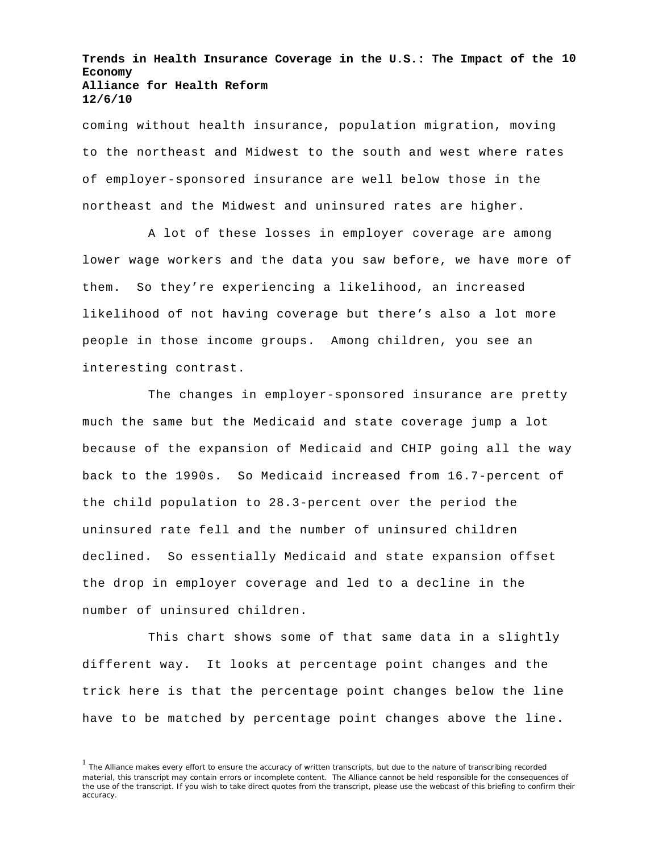**Trends in Health Insurance Coverage in the U.S.: The Impact of the 10 Economy Alliance for Health Reform 12/6/10**

coming without health insurance, population migration, moving to the northeast and Midwest to the south and west where rates of employer-sponsored insurance are well below those in the northeast and the Midwest and uninsured rates are higher.

A lot of these losses in employer coverage are among lower wage workers and the data you saw before, we have more of them. So they're experiencing a likelihood, an increased likelihood of not having coverage but there's also a lot more people in those income groups. Among children, you see an interesting contrast.

The changes in employer-sponsored insurance are pretty much the same but the Medicaid and state coverage jump a lot because of the expansion of Medicaid and CHIP going all the way back to the 1990s. So Medicaid increased from 16.7-percent of the child population to 28.3-percent over the period the uninsured rate fell and the number of uninsured children declined. So essentially Medicaid and state expansion offset the drop in employer coverage and led to a decline in the number of uninsured children.

This chart shows some of that same data in a slightly different way. It looks at percentage point changes and the trick here is that the percentage point changes below the line have to be matched by percentage point changes above the line.

<sup>&</sup>lt;sup>1</sup> The Alliance makes every effort to ensure the accuracy of written transcripts, but due to the nature of transcribing recorded material, this transcript may contain errors or incomplete content. The Alliance cannot be held responsible for the consequences of the use of the transcript. If you wish to take direct quotes from the transcript, please use the webcast of this briefing to confirm their accuracy.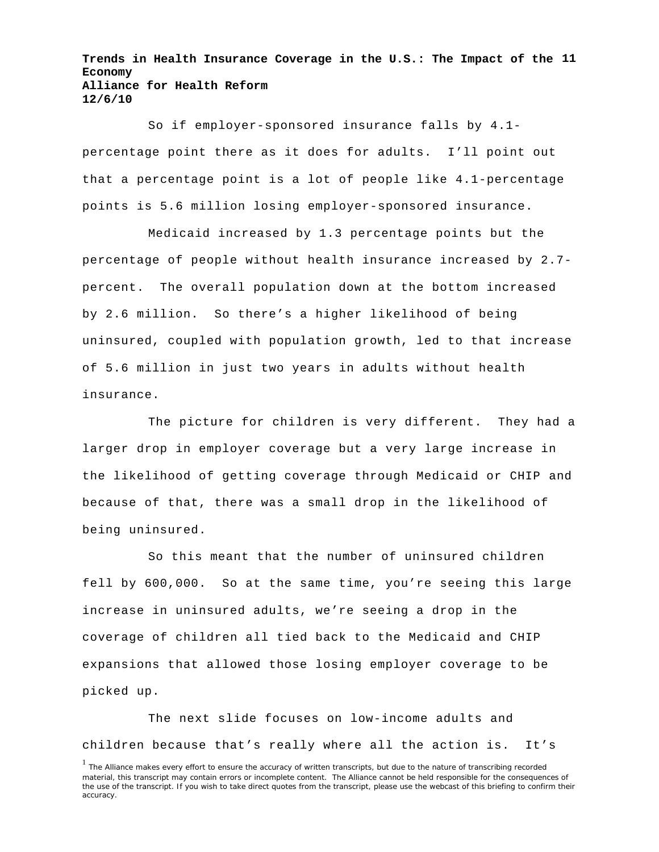**Trends in Health Insurance Coverage in the U.S.: The Impact of the 11 Economy Alliance for Health Reform 12/6/10**

So if employer-sponsored insurance falls by 4.1 percentage point there as it does for adults. I'll point out that a percentage point is a lot of people like 4.1-percentage points is 5.6 million losing employer-sponsored insurance.

Medicaid increased by 1.3 percentage points but the percentage of people without health insurance increased by 2.7 percent. The overall population down at the bottom increased by 2.6 million. So there's a higher likelihood of being uninsured, coupled with population growth, led to that increase of 5.6 million in just two years in adults without health insurance.

The picture for children is very different. They had a larger drop in employer coverage but a very large increase in the likelihood of getting coverage through Medicaid or CHIP and because of that, there was a small drop in the likelihood of being uninsured.

So this meant that the number of uninsured children fell by 600,000. So at the same time, you're seeing this large increase in uninsured adults, we're seeing a drop in the coverage of children all tied back to the Medicaid and CHIP expansions that allowed those losing employer coverage to be picked up.

The next slide focuses on low-income adults and children because that's really where all the action is. It's

<sup>&</sup>lt;sup>1</sup> The Alliance makes every effort to ensure the accuracy of written transcripts, but due to the nature of transcribing recorded material, this transcript may contain errors or incomplete content. The Alliance cannot be held responsible for the consequences of the use of the transcript. If you wish to take direct quotes from the transcript, please use the webcast of this briefing to confirm their accuracy.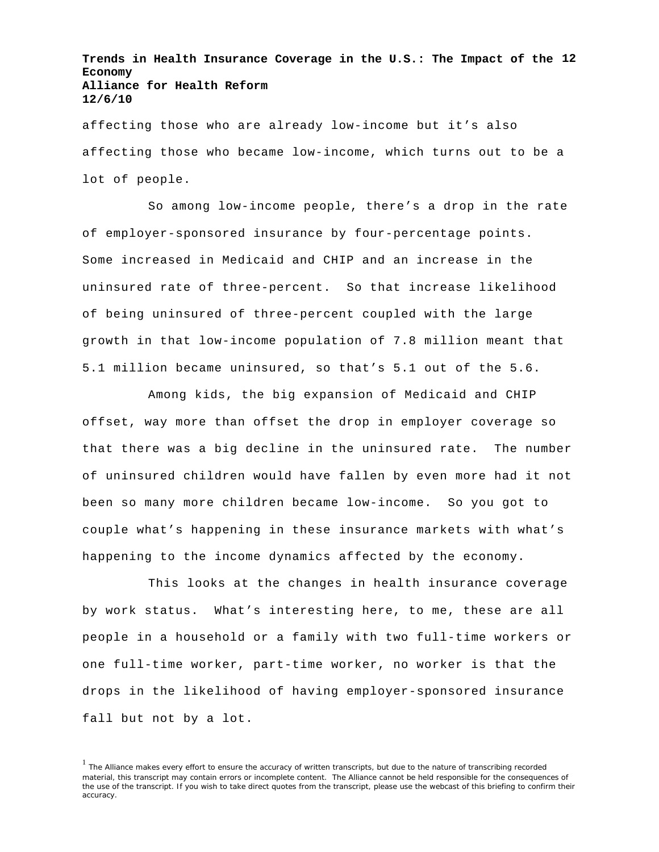**Trends in Health Insurance Coverage in the U.S.: The Impact of the 12 Economy Alliance for Health Reform 12/6/10**

affecting those who are already low-income but it's also affecting those who became low-income, which turns out to be a lot of people.

So among low-income people, there's a drop in the rate of employer-sponsored insurance by four-percentage points. Some increased in Medicaid and CHIP and an increase in the uninsured rate of three-percent. So that increase likelihood of being uninsured of three-percent coupled with the large growth in that low-income population of 7.8 million meant that 5.1 million became uninsured, so that's 5.1 out of the 5.6.

Among kids, the big expansion of Medicaid and CHIP offset, way more than offset the drop in employer coverage so that there was a big decline in the uninsured rate. The number of uninsured children would have fallen by even more had it not been so many more children became low-income. So you got to couple what's happening in these insurance markets with what's happening to the income dynamics affected by the economy.

This looks at the changes in health insurance coverage by work status. What's interesting here, to me, these are all people in a household or a family with two full-time workers or one full-time worker, part-time worker, no worker is that the drops in the likelihood of having employer-sponsored insurance fall but not by a lot.

<sup>&</sup>lt;sup>1</sup> The Alliance makes every effort to ensure the accuracy of written transcripts, but due to the nature of transcribing recorded material, this transcript may contain errors or incomplete content. The Alliance cannot be held responsible for the consequences of the use of the transcript. If you wish to take direct quotes from the transcript, please use the webcast of this briefing to confirm their accuracy.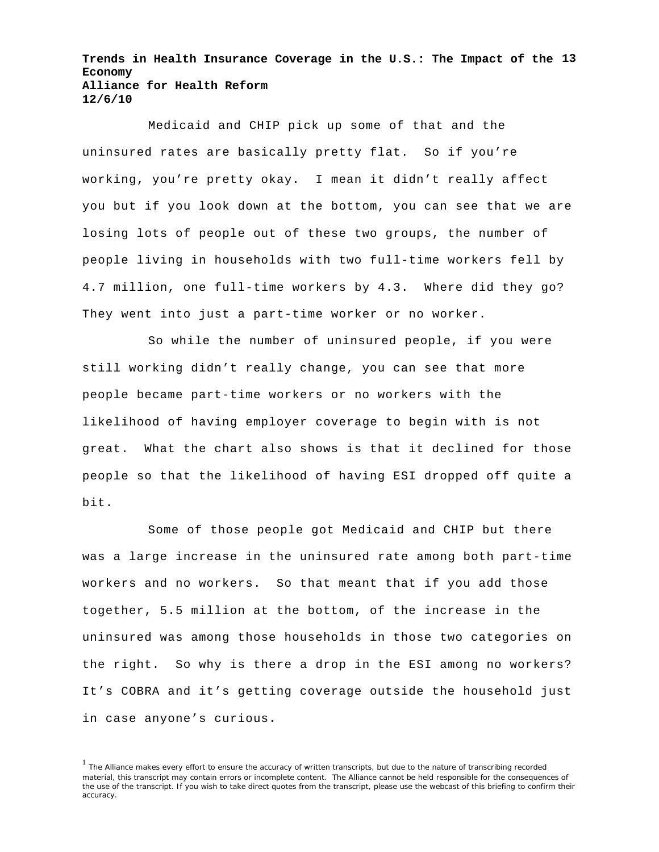**Trends in Health Insurance Coverage in the U.S.: The Impact of the 13 Economy Alliance for Health Reform 12/6/10**

Medicaid and CHIP pick up some of that and the uninsured rates are basically pretty flat. So if you're working, you're pretty okay. I mean it didn't really affect you but if you look down at the bottom, you can see that we are losing lots of people out of these two groups, the number of people living in households with two full-time workers fell by 4.7 million, one full-time workers by 4.3. Where did they go? They went into just a part-time worker or no worker.

So while the number of uninsured people, if you were still working didn't really change, you can see that more people became part-time workers or no workers with the likelihood of having employer coverage to begin with is not great. What the chart also shows is that it declined for those people so that the likelihood of having ESI dropped off quite a bit.

Some of those people got Medicaid and CHIP but there was a large increase in the uninsured rate among both part-time workers and no workers. So that meant that if you add those together, 5.5 million at the bottom, of the increase in the uninsured was among those households in those two categories on the right. So why is there a drop in the ESI among no workers? It's COBRA and it's getting coverage outside the household just in case anyone's curious.

<sup>&</sup>lt;sup>1</sup> The Alliance makes every effort to ensure the accuracy of written transcripts, but due to the nature of transcribing recorded material, this transcript may contain errors or incomplete content. The Alliance cannot be held responsible for the consequences of the use of the transcript. If you wish to take direct quotes from the transcript, please use the webcast of this briefing to confirm their accuracy.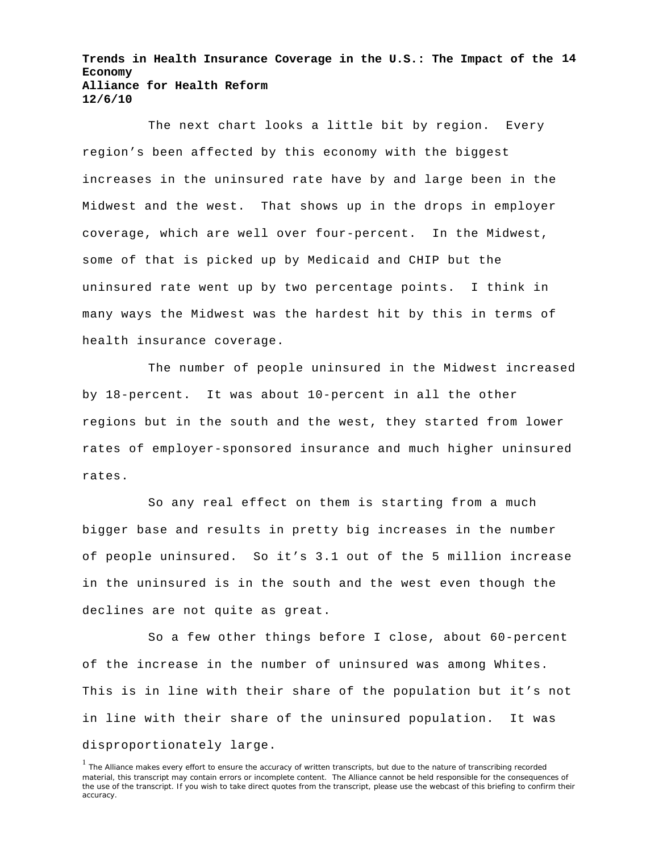**Trends in Health Insurance Coverage in the U.S.: The Impact of the 14 Economy Alliance for Health Reform 12/6/10**

The next chart looks a little bit by region. Every region's been affected by this economy with the biggest increases in the uninsured rate have by and large been in the Midwest and the west. That shows up in the drops in employer coverage, which are well over four-percent. In the Midwest, some of that is picked up by Medicaid and CHIP but the uninsured rate went up by two percentage points. I think in many ways the Midwest was the hardest hit by this in terms of health insurance coverage.

The number of people uninsured in the Midwest increased by 18-percent. It was about 10-percent in all the other regions but in the south and the west, they started from lower rates of employer-sponsored insurance and much higher uninsured rates.

So any real effect on them is starting from a much bigger base and results in pretty big increases in the number of people uninsured. So it's 3.1 out of the 5 million increase in the uninsured is in the south and the west even though the declines are not quite as great.

So a few other things before I close, about 60-percent of the increase in the number of uninsured was among Whites. This is in line with their share of the population but it's not in line with their share of the uninsured population. It was disproportionately large.

<sup>&</sup>lt;sup>1</sup> The Alliance makes every effort to ensure the accuracy of written transcripts, but due to the nature of transcribing recorded material, this transcript may contain errors or incomplete content. The Alliance cannot be held responsible for the consequences of the use of the transcript. If you wish to take direct quotes from the transcript, please use the webcast of this briefing to confirm their accuracy.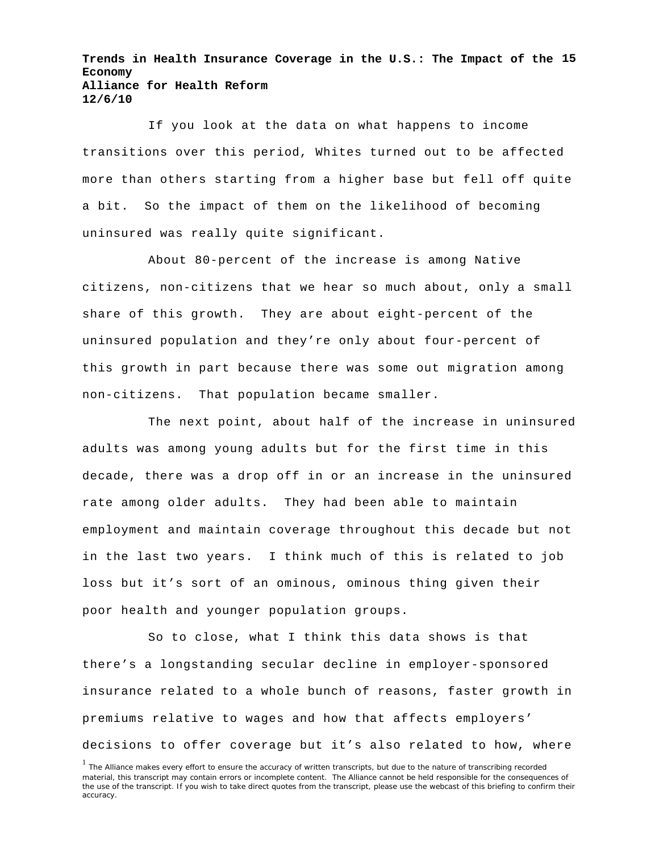**Trends in Health Insurance Coverage in the U.S.: The Impact of the 15 Economy Alliance for Health Reform 12/6/10**

If you look at the data on what happens to income transitions over this period, Whites turned out to be affected more than others starting from a higher base but fell off quite a bit. So the impact of them on the likelihood of becoming uninsured was really quite significant.

About 80-percent of the increase is among Native citizens, non-citizens that we hear so much about, only a small share of this growth. They are about eight-percent of the uninsured population and they're only about four-percent of this growth in part because there was some out migration among non-citizens. That population became smaller.

The next point, about half of the increase in uninsured adults was among young adults but for the first time in this decade, there was a drop off in or an increase in the uninsured rate among older adults. They had been able to maintain employment and maintain coverage throughout this decade but not in the last two years. I think much of this is related to job loss but it's sort of an ominous, ominous thing given their poor health and younger population groups.

So to close, what I think this data shows is that there's a longstanding secular decline in employer-sponsored insurance related to a whole bunch of reasons, faster growth in premiums relative to wages and how that affects employers' decisions to offer coverage but it's also related to how, where

<sup>&</sup>lt;sup>1</sup> The Alliance makes every effort to ensure the accuracy of written transcripts, but due to the nature of transcribing recorded material, this transcript may contain errors or incomplete content. The Alliance cannot be held responsible for the consequences of the use of the transcript. If you wish to take direct quotes from the transcript, please use the webcast of this briefing to confirm their accuracy.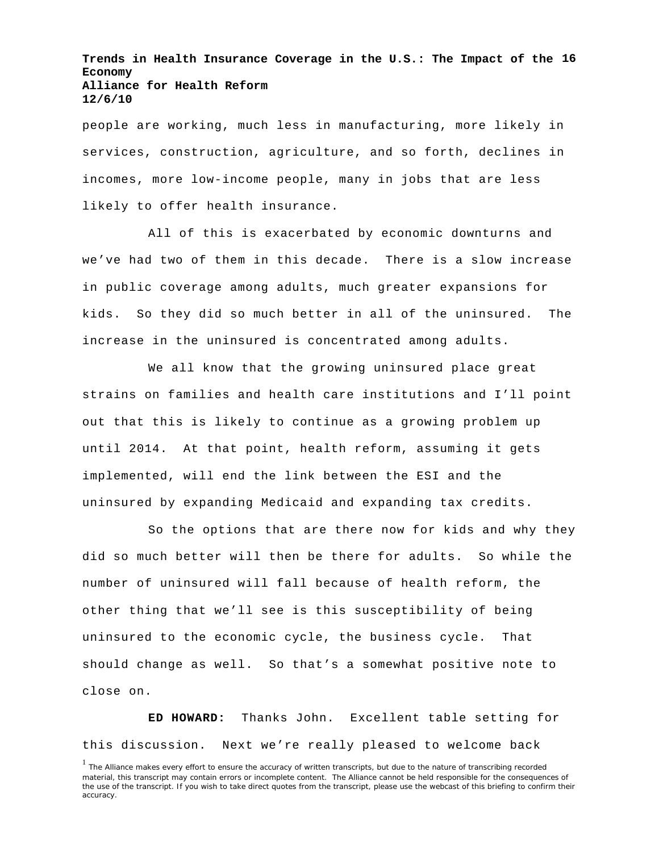**Trends in Health Insurance Coverage in the U.S.: The Impact of the 16 Economy Alliance for Health Reform 12/6/10**

people are working, much less in manufacturing, more likely in services, construction, agriculture, and so forth, declines in incomes, more low-income people, many in jobs that are less likely to offer health insurance.

All of this is exacerbated by economic downturns and we've had two of them in this decade. There is a slow increase in public coverage among adults, much greater expansions for kids. So they did so much better in all of the uninsured. The increase in the uninsured is concentrated among adults.

We all know that the growing uninsured place great strains on families and health care institutions and I'll point out that this is likely to continue as a growing problem up until 2014. At that point, health reform, assuming it gets implemented, will end the link between the ESI and the uninsured by expanding Medicaid and expanding tax credits.

So the options that are there now for kids and why they did so much better will then be there for adults. So while the number of uninsured will fall because of health reform, the other thing that we'll see is this susceptibility of being uninsured to the economic cycle, the business cycle. That should change as well. So that's a somewhat positive note to close on.

**ED HOWARD:** Thanks John. Excellent table setting for this discussion. Next we're really pleased to welcome back

<sup>&</sup>lt;sup>1</sup> The Alliance makes every effort to ensure the accuracy of written transcripts, but due to the nature of transcribing recorded material, this transcript may contain errors or incomplete content. The Alliance cannot be held responsible for the consequences of the use of the transcript. If you wish to take direct quotes from the transcript, please use the webcast of this briefing to confirm their accuracy.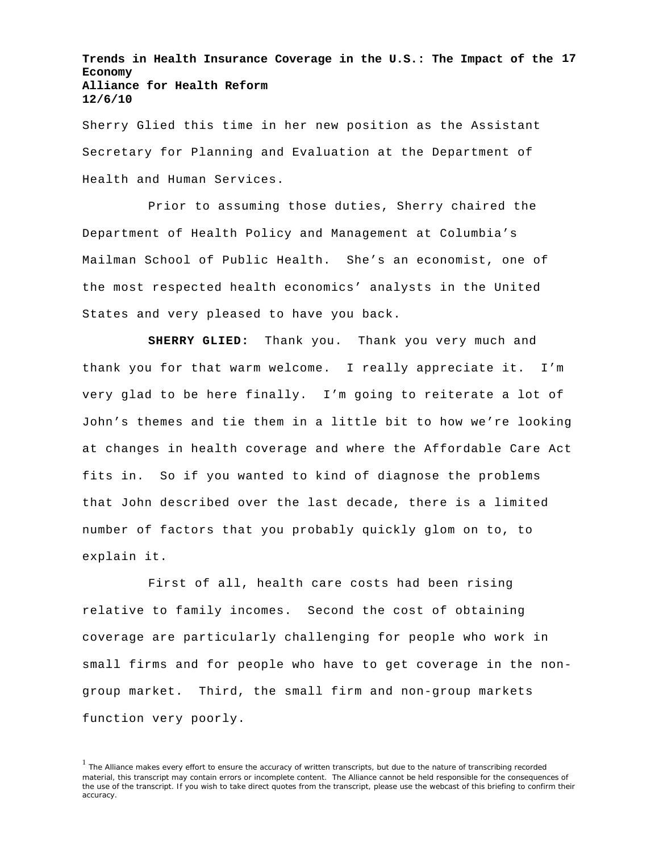**Trends in Health Insurance Coverage in the U.S.: The Impact of the 17 Economy Alliance for Health Reform 12/6/10**

Sherry Glied this time in her new position as the Assistant Secretary for Planning and Evaluation at the Department of Health and Human Services.

Prior to assuming those duties, Sherry chaired the Department of Health Policy and Management at Columbia's Mailman School of Public Health. She's an economist, one of the most respected health economics' analysts in the United States and very pleased to have you back.

**SHERRY GLIED:** Thank you. Thank you very much and thank you for that warm welcome. I really appreciate it. I'm very glad to be here finally. I'm going to reiterate a lot of John's themes and tie them in a little bit to how we're looking at changes in health coverage and where the Affordable Care Act fits in. So if you wanted to kind of diagnose the problems that John described over the last decade, there is a limited number of factors that you probably quickly glom on to, to explain it.

First of all, health care costs had been rising relative to family incomes. Second the cost of obtaining coverage are particularly challenging for people who work in small firms and for people who have to get coverage in the nongroup market. Third, the small firm and non-group markets function very poorly.

<sup>&</sup>lt;sup>1</sup> The Alliance makes every effort to ensure the accuracy of written transcripts, but due to the nature of transcribing recorded material, this transcript may contain errors or incomplete content. The Alliance cannot be held responsible for the consequences of the use of the transcript. If you wish to take direct quotes from the transcript, please use the webcast of this briefing to confirm their accuracy.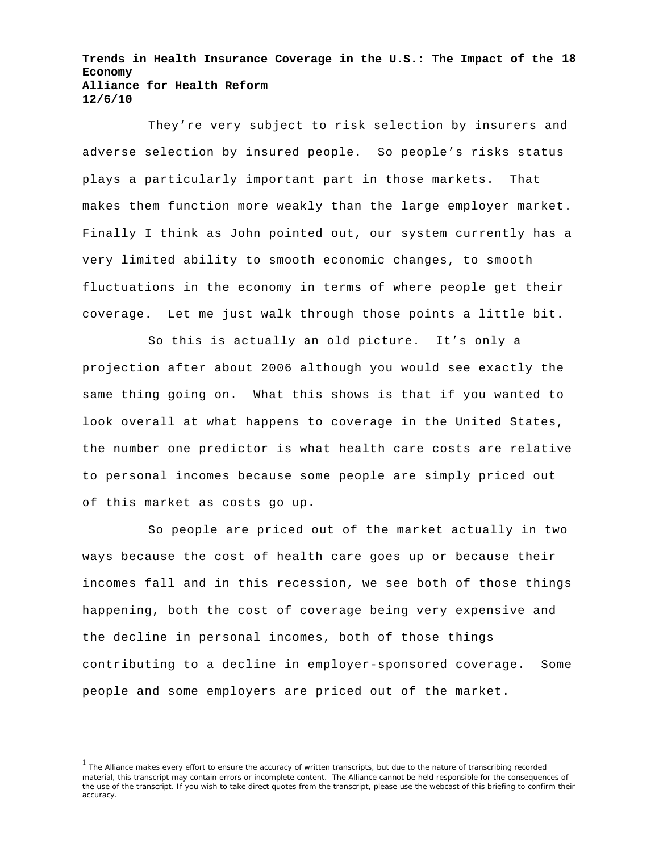**Trends in Health Insurance Coverage in the U.S.: The Impact of the 18 Economy Alliance for Health Reform 12/6/10**

They're very subject to risk selection by insurers and adverse selection by insured people. So people's risks status plays a particularly important part in those markets. That makes them function more weakly than the large employer market. Finally I think as John pointed out, our system currently has a very limited ability to smooth economic changes, to smooth fluctuations in the economy in terms of where people get their coverage. Let me just walk through those points a little bit.

So this is actually an old picture. It's only a projection after about 2006 although you would see exactly the same thing going on. What this shows is that if you wanted to look overall at what happens to coverage in the United States, the number one predictor is what health care costs are relative to personal incomes because some people are simply priced out of this market as costs go up.

So people are priced out of the market actually in two ways because the cost of health care goes up or because their incomes fall and in this recession, we see both of those things happening, both the cost of coverage being very expensive and the decline in personal incomes, both of those things contributing to a decline in employer-sponsored coverage. Some people and some employers are priced out of the market.

<sup>&</sup>lt;sup>1</sup> The Alliance makes every effort to ensure the accuracy of written transcripts, but due to the nature of transcribing recorded material, this transcript may contain errors or incomplete content. The Alliance cannot be held responsible for the consequences of the use of the transcript. If you wish to take direct quotes from the transcript, please use the webcast of this briefing to confirm their accuracy.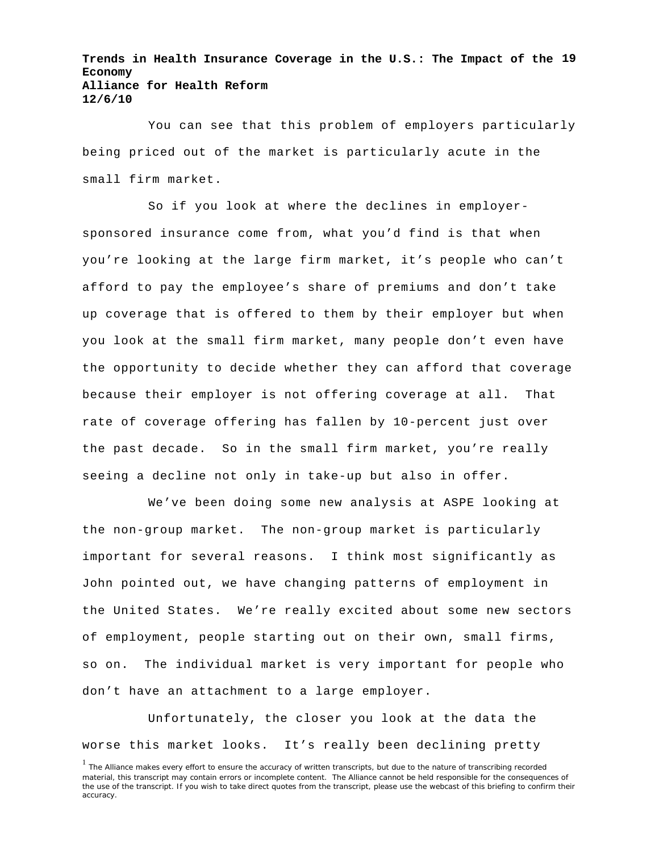**Trends in Health Insurance Coverage in the U.S.: The Impact of the 19 Economy Alliance for Health Reform 12/6/10**

You can see that this problem of employers particularly being priced out of the market is particularly acute in the small firm market.

So if you look at where the declines in employersponsored insurance come from, what you'd find is that when you're looking at the large firm market, it's people who can't afford to pay the employee's share of premiums and don't take up coverage that is offered to them by their employer but when you look at the small firm market, many people don't even have the opportunity to decide whether they can afford that coverage because their employer is not offering coverage at all. That rate of coverage offering has fallen by 10-percent just over the past decade. So in the small firm market, you're really seeing a decline not only in take-up but also in offer.

We've been doing some new analysis at ASPE looking at the non-group market. The non-group market is particularly important for several reasons. I think most significantly as John pointed out, we have changing patterns of employment in the United States. We're really excited about some new sectors of employment, people starting out on their own, small firms, so on. The individual market is very important for people who don't have an attachment to a large employer.

Unfortunately, the closer you look at the data the worse this market looks. It's really been declining pretty

<sup>&</sup>lt;sup>1</sup> The Alliance makes every effort to ensure the accuracy of written transcripts, but due to the nature of transcribing recorded material, this transcript may contain errors or incomplete content. The Alliance cannot be held responsible for the consequences of the use of the transcript. If you wish to take direct quotes from the transcript, please use the webcast of this briefing to confirm their accuracy.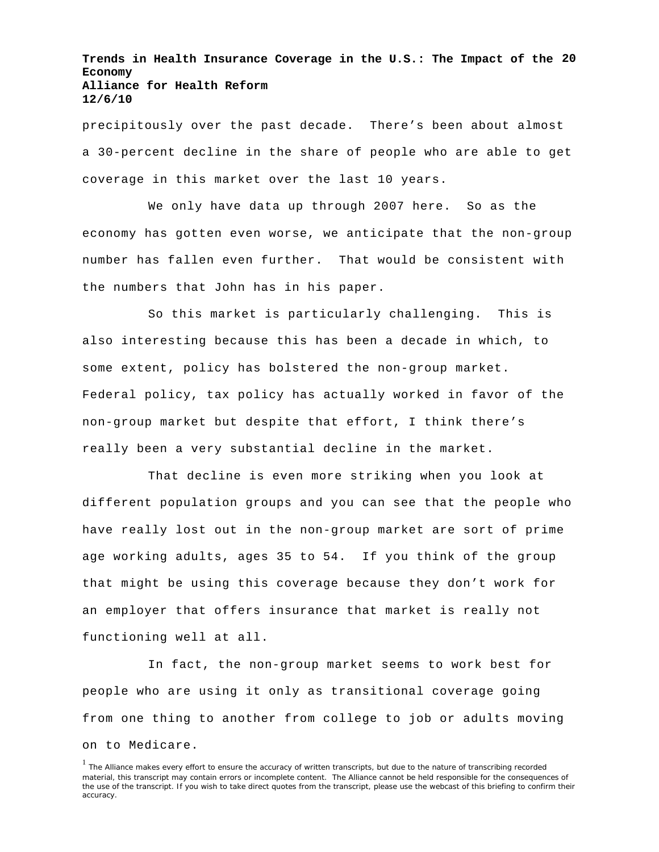**Trends in Health Insurance Coverage in the U.S.: The Impact of the 20 Economy Alliance for Health Reform 12/6/10**

precipitously over the past decade. There's been about almost a 30-percent decline in the share of people who are able to get coverage in this market over the last 10 years.

We only have data up through 2007 here. So as the economy has gotten even worse, we anticipate that the non-group number has fallen even further. That would be consistent with the numbers that John has in his paper.

So this market is particularly challenging. This is also interesting because this has been a decade in which, to some extent, policy has bolstered the non-group market. Federal policy, tax policy has actually worked in favor of the non-group market but despite that effort, I think there's really been a very substantial decline in the market.

That decline is even more striking when you look at different population groups and you can see that the people who have really lost out in the non-group market are sort of prime age working adults, ages 35 to 54. If you think of the group that might be using this coverage because they don't work for an employer that offers insurance that market is really not functioning well at all.

In fact, the non-group market seems to work best for people who are using it only as transitional coverage going from one thing to another from college to job or adults moving on to Medicare.

<sup>&</sup>lt;sup>1</sup> The Alliance makes every effort to ensure the accuracy of written transcripts, but due to the nature of transcribing recorded material, this transcript may contain errors or incomplete content. The Alliance cannot be held responsible for the consequences of the use of the transcript. If you wish to take direct quotes from the transcript, please use the webcast of this briefing to confirm their accuracy.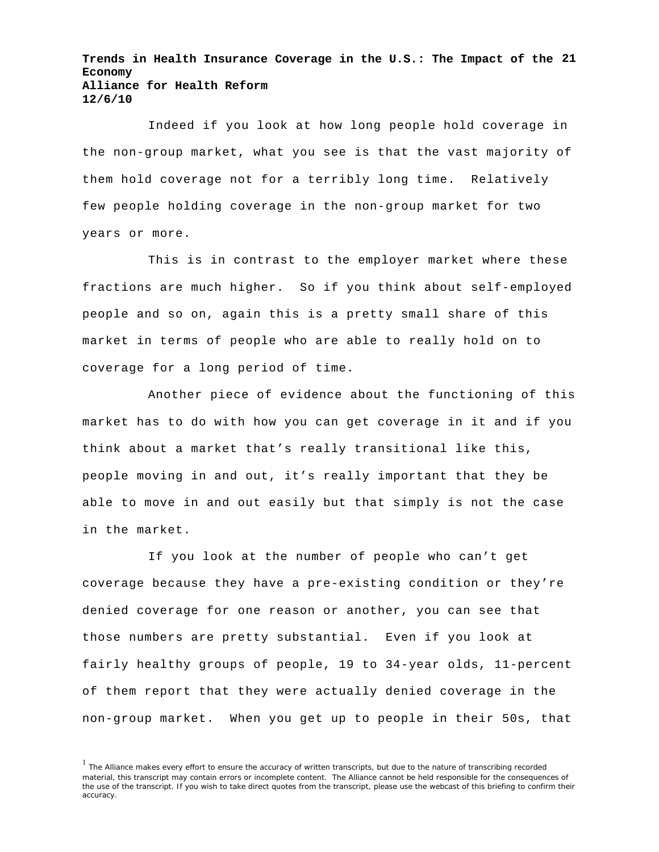**Trends in Health Insurance Coverage in the U.S.: The Impact of the 21 Economy Alliance for Health Reform 12/6/10**

Indeed if you look at how long people hold coverage in the non-group market, what you see is that the vast majority of them hold coverage not for a terribly long time. Relatively few people holding coverage in the non-group market for two years or more.

This is in contrast to the employer market where these fractions are much higher. So if you think about self-employed people and so on, again this is a pretty small share of this market in terms of people who are able to really hold on to coverage for a long period of time.

Another piece of evidence about the functioning of this market has to do with how you can get coverage in it and if you think about a market that's really transitional like this, people moving in and out, it's really important that they be able to move in and out easily but that simply is not the case in the market.

If you look at the number of people who can't get coverage because they have a pre-existing condition or they're denied coverage for one reason or another, you can see that those numbers are pretty substantial. Even if you look at fairly healthy groups of people, 19 to 34-year olds, 11-percent of them report that they were actually denied coverage in the non-group market. When you get up to people in their 50s, that

<sup>&</sup>lt;sup>1</sup> The Alliance makes every effort to ensure the accuracy of written transcripts, but due to the nature of transcribing recorded material, this transcript may contain errors or incomplete content. The Alliance cannot be held responsible for the consequences of the use of the transcript. If you wish to take direct quotes from the transcript, please use the webcast of this briefing to confirm their accuracy.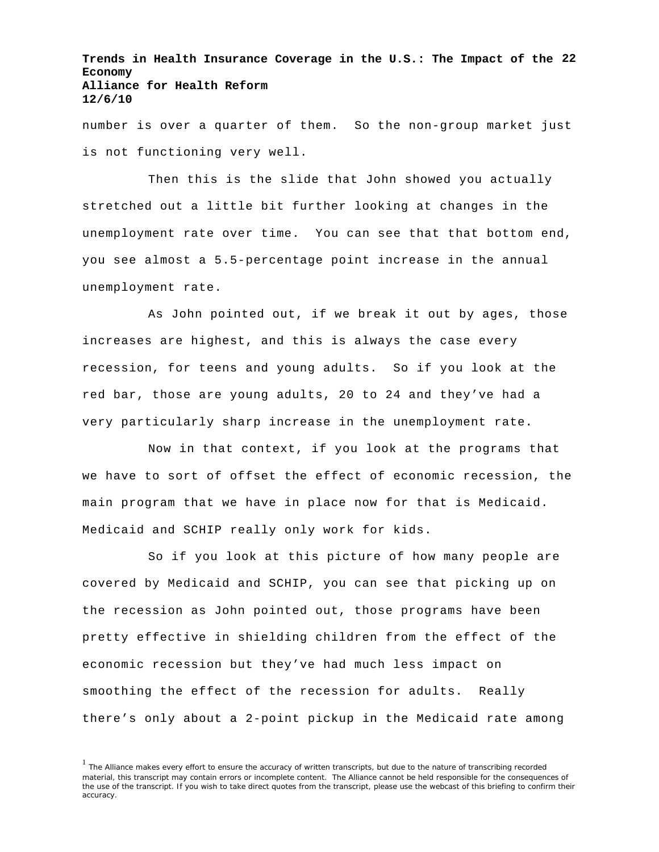**Trends in Health Insurance Coverage in the U.S.: The Impact of the 22 Economy Alliance for Health Reform 12/6/10**

number is over a quarter of them. So the non-group market just is not functioning very well.

Then this is the slide that John showed you actually stretched out a little bit further looking at changes in the unemployment rate over time. You can see that that bottom end, you see almost a 5.5-percentage point increase in the annual unemployment rate.

As John pointed out, if we break it out by ages, those increases are highest, and this is always the case every recession, for teens and young adults. So if you look at the red bar, those are young adults, 20 to 24 and they've had a very particularly sharp increase in the unemployment rate.

Now in that context, if you look at the programs that we have to sort of offset the effect of economic recession, the main program that we have in place now for that is Medicaid. Medicaid and SCHIP really only work for kids.

So if you look at this picture of how many people are covered by Medicaid and SCHIP, you can see that picking up on the recession as John pointed out, those programs have been pretty effective in shielding children from the effect of the economic recession but they've had much less impact on smoothing the effect of the recession for adults. Really there's only about a 2-point pickup in the Medicaid rate among

<sup>&</sup>lt;sup>1</sup> The Alliance makes every effort to ensure the accuracy of written transcripts, but due to the nature of transcribing recorded material, this transcript may contain errors or incomplete content. The Alliance cannot be held responsible for the consequences of the use of the transcript. If you wish to take direct quotes from the transcript, please use the webcast of this briefing to confirm their accuracy.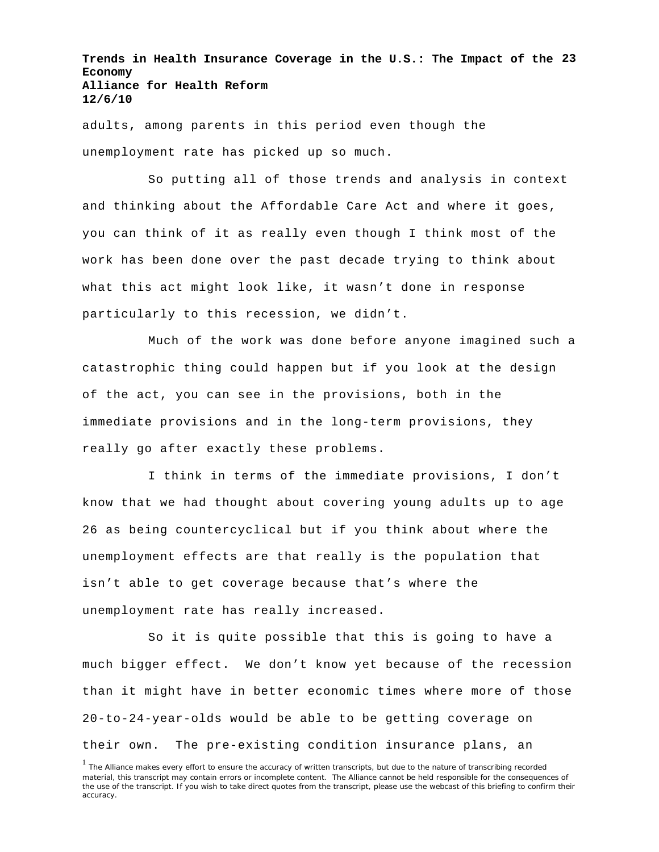**Trends in Health Insurance Coverage in the U.S.: The Impact of the 23 Economy Alliance for Health Reform 12/6/10**

adults, among parents in this period even though the unemployment rate has picked up so much.

So putting all of those trends and analysis in context and thinking about the Affordable Care Act and where it goes, you can think of it as really even though I think most of the work has been done over the past decade trying to think about what this act might look like, it wasn't done in response particularly to this recession, we didn't.

Much of the work was done before anyone imagined such a catastrophic thing could happen but if you look at the design of the act, you can see in the provisions, both in the immediate provisions and in the long-term provisions, they really go after exactly these problems.

I think in terms of the immediate provisions, I don't know that we had thought about covering young adults up to age 26 as being countercyclical but if you think about where the unemployment effects are that really is the population that isn't able to get coverage because that's where the unemployment rate has really increased.

So it is quite possible that this is going to have a much bigger effect. We don't know yet because of the recession than it might have in better economic times where more of those 20-to-24-year-olds would be able to be getting coverage on their own. The pre-existing condition insurance plans, an

<sup>&</sup>lt;sup>1</sup> The Alliance makes every effort to ensure the accuracy of written transcripts, but due to the nature of transcribing recorded material, this transcript may contain errors or incomplete content. The Alliance cannot be held responsible for the consequences of the use of the transcript. If you wish to take direct quotes from the transcript, please use the webcast of this briefing to confirm their accuracy.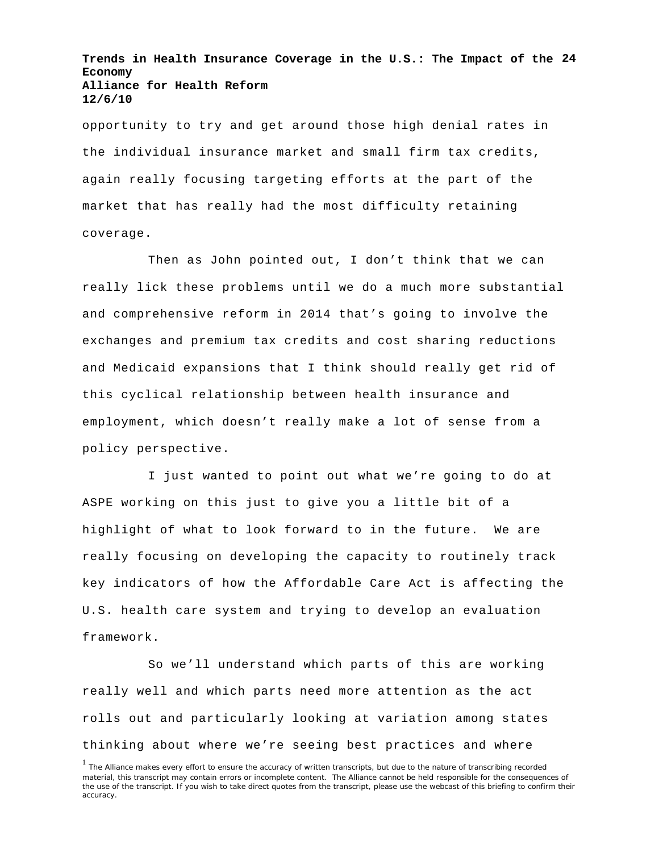**Trends in Health Insurance Coverage in the U.S.: The Impact of the 24 Economy Alliance for Health Reform 12/6/10**

opportunity to try and get around those high denial rates in the individual insurance market and small firm tax credits, again really focusing targeting efforts at the part of the market that has really had the most difficulty retaining coverage.

Then as John pointed out, I don't think that we can really lick these problems until we do a much more substantial and comprehensive reform in 2014 that's going to involve the exchanges and premium tax credits and cost sharing reductions and Medicaid expansions that I think should really get rid of this cyclical relationship between health insurance and employment, which doesn't really make a lot of sense from a policy perspective.

I just wanted to point out what we're going to do at ASPE working on this just to give you a little bit of a highlight of what to look forward to in the future. We are really focusing on developing the capacity to routinely track key indicators of how the Affordable Care Act is affecting the U.S. health care system and trying to develop an evaluation framework.

So we'll understand which parts of this are working really well and which parts need more attention as the act rolls out and particularly looking at variation among states thinking about where we're seeing best practices and where

<sup>&</sup>lt;sup>1</sup> The Alliance makes every effort to ensure the accuracy of written transcripts, but due to the nature of transcribing recorded material, this transcript may contain errors or incomplete content. The Alliance cannot be held responsible for the consequences of the use of the transcript. If you wish to take direct quotes from the transcript, please use the webcast of this briefing to confirm their accuracy.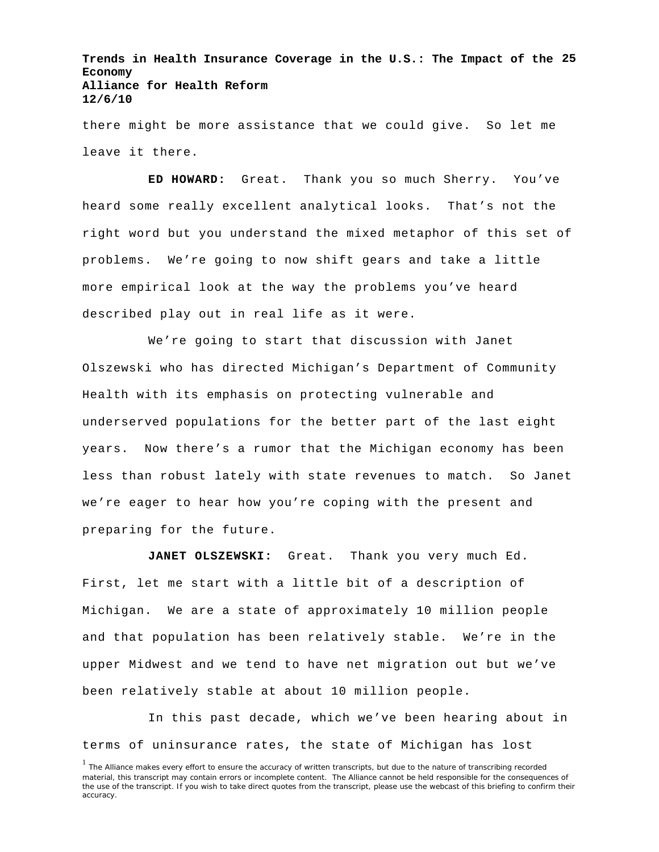**Trends in Health Insurance Coverage in the U.S.: The Impact of the 25 Economy Alliance for Health Reform 12/6/10**

there might be more assistance that we could give. So let me leave it there.

**ED HOWARD:** Great. Thank you so much Sherry. You've heard some really excellent analytical looks. That's not the right word but you understand the mixed metaphor of this set of problems. We're going to now shift gears and take a little more empirical look at the way the problems you've heard described play out in real life as it were.

We're going to start that discussion with Janet Olszewski who has directed Michigan's Department of Community Health with its emphasis on protecting vulnerable and underserved populations for the better part of the last eight years. Now there's a rumor that the Michigan economy has been less than robust lately with state revenues to match. So Janet we're eager to hear how you're coping with the present and preparing for the future.

**JANET OLSZEWSKI:** Great. Thank you very much Ed. First, let me start with a little bit of a description of Michigan. We are a state of approximately 10 million people and that population has been relatively stable. We're in the upper Midwest and we tend to have net migration out but we've been relatively stable at about 10 million people.

In this past decade, which we've been hearing about in terms of uninsurance rates, the state of Michigan has lost

<sup>&</sup>lt;sup>1</sup> The Alliance makes every effort to ensure the accuracy of written transcripts, but due to the nature of transcribing recorded material, this transcript may contain errors or incomplete content. The Alliance cannot be held responsible for the consequences of the use of the transcript. If you wish to take direct quotes from the transcript, please use the webcast of this briefing to confirm their accuracy.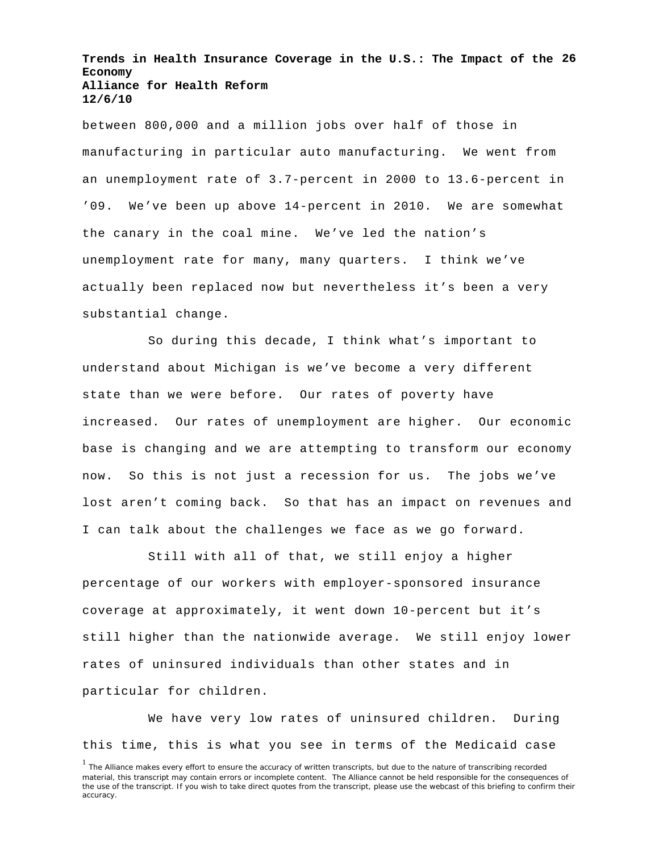**Trends in Health Insurance Coverage in the U.S.: The Impact of the 26 Economy Alliance for Health Reform 12/6/10**

between 800,000 and a million jobs over half of those in manufacturing in particular auto manufacturing. We went from an unemployment rate of 3.7-percent in 2000 to 13.6-percent in '09. We've been up above 14-percent in 2010. We are somewhat the canary in the coal mine. We've led the nation's unemployment rate for many, many quarters. I think we've actually been replaced now but nevertheless it's been a very substantial change.

So during this decade, I think what's important to understand about Michigan is we've become a very different state than we were before. Our rates of poverty have increased. Our rates of unemployment are higher. Our economic base is changing and we are attempting to transform our economy now. So this is not just a recession for us. The jobs we've lost aren't coming back. So that has an impact on revenues and I can talk about the challenges we face as we go forward.

Still with all of that, we still enjoy a higher percentage of our workers with employer-sponsored insurance coverage at approximately, it went down 10-percent but it's still higher than the nationwide average. We still enjoy lower rates of uninsured individuals than other states and in particular for children.

We have very low rates of uninsured children. During this time, this is what you see in terms of the Medicaid case

<sup>&</sup>lt;sup>1</sup> The Alliance makes every effort to ensure the accuracy of written transcripts, but due to the nature of transcribing recorded material, this transcript may contain errors or incomplete content. The Alliance cannot be held responsible for the consequences of the use of the transcript. If you wish to take direct quotes from the transcript, please use the webcast of this briefing to confirm their accuracy.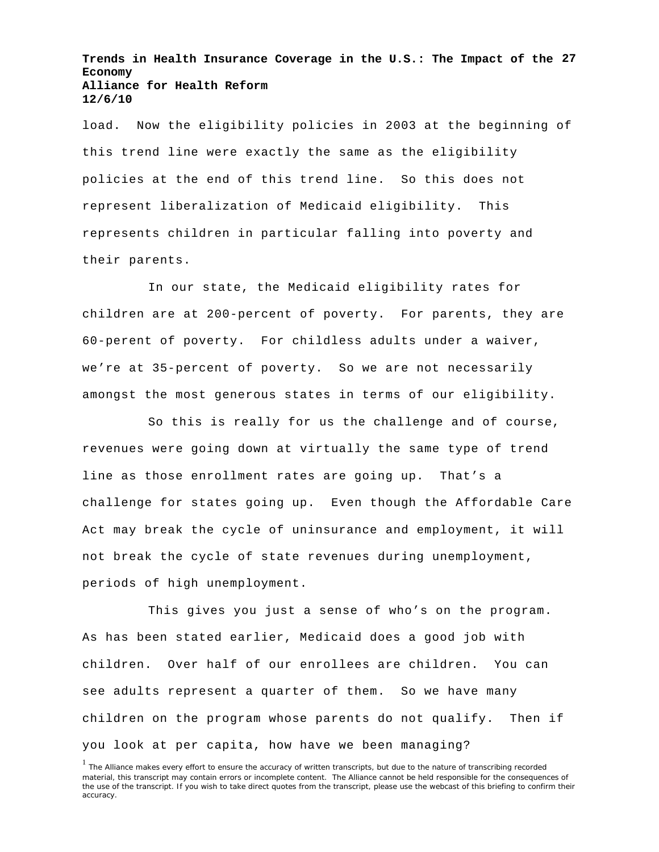**Trends in Health Insurance Coverage in the U.S.: The Impact of the 27 Economy Alliance for Health Reform 12/6/10**

load. Now the eligibility policies in 2003 at the beginning of this trend line were exactly the same as the eligibility policies at the end of this trend line. So this does not represent liberalization of Medicaid eligibility. This represents children in particular falling into poverty and their parents.

In our state, the Medicaid eligibility rates for children are at 200-percent of poverty. For parents, they are 60-perent of poverty. For childless adults under a waiver, we're at 35-percent of poverty. So we are not necessarily amongst the most generous states in terms of our eligibility.

So this is really for us the challenge and of course, revenues were going down at virtually the same type of trend line as those enrollment rates are going up. That's a challenge for states going up. Even though the Affordable Care Act may break the cycle of uninsurance and employment, it will not break the cycle of state revenues during unemployment, periods of high unemployment.

This gives you just a sense of who's on the program. As has been stated earlier, Medicaid does a good job with children. Over half of our enrollees are children. You can see adults represent a quarter of them. So we have many children on the program whose parents do not qualify. Then if you look at per capita, how have we been managing?

<sup>&</sup>lt;sup>1</sup> The Alliance makes every effort to ensure the accuracy of written transcripts, but due to the nature of transcribing recorded material, this transcript may contain errors or incomplete content. The Alliance cannot be held responsible for the consequences of the use of the transcript. If you wish to take direct quotes from the transcript, please use the webcast of this briefing to confirm their accuracy.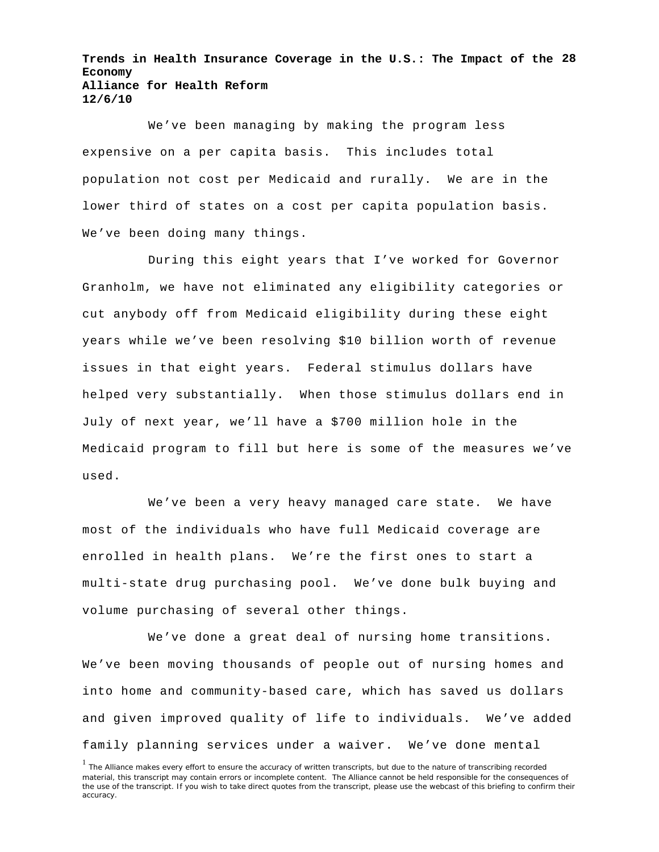**Trends in Health Insurance Coverage in the U.S.: The Impact of the 28 Economy Alliance for Health Reform 12/6/10**

We've been managing by making the program less expensive on a per capita basis. This includes total population not cost per Medicaid and rurally. We are in the lower third of states on a cost per capita population basis. We've been doing many things.

During this eight years that I've worked for Governor Granholm, we have not eliminated any eligibility categories or cut anybody off from Medicaid eligibility during these eight years while we've been resolving \$10 billion worth of revenue issues in that eight years. Federal stimulus dollars have helped very substantially. When those stimulus dollars end in July of next year, we'll have a \$700 million hole in the Medicaid program to fill but here is some of the measures we've used.

We've been a very heavy managed care state. We have most of the individuals who have full Medicaid coverage are enrolled in health plans. We're the first ones to start a multi-state drug purchasing pool. We've done bulk buying and volume purchasing of several other things.

We've done a great deal of nursing home transitions. We've been moving thousands of people out of nursing homes and into home and community-based care, which has saved us dollars and given improved quality of life to individuals. We've added family planning services under a waiver. We've done mental

<sup>&</sup>lt;sup>1</sup> The Alliance makes every effort to ensure the accuracy of written transcripts, but due to the nature of transcribing recorded material, this transcript may contain errors or incomplete content. The Alliance cannot be held responsible for the consequences of the use of the transcript. If you wish to take direct quotes from the transcript, please use the webcast of this briefing to confirm their accuracy.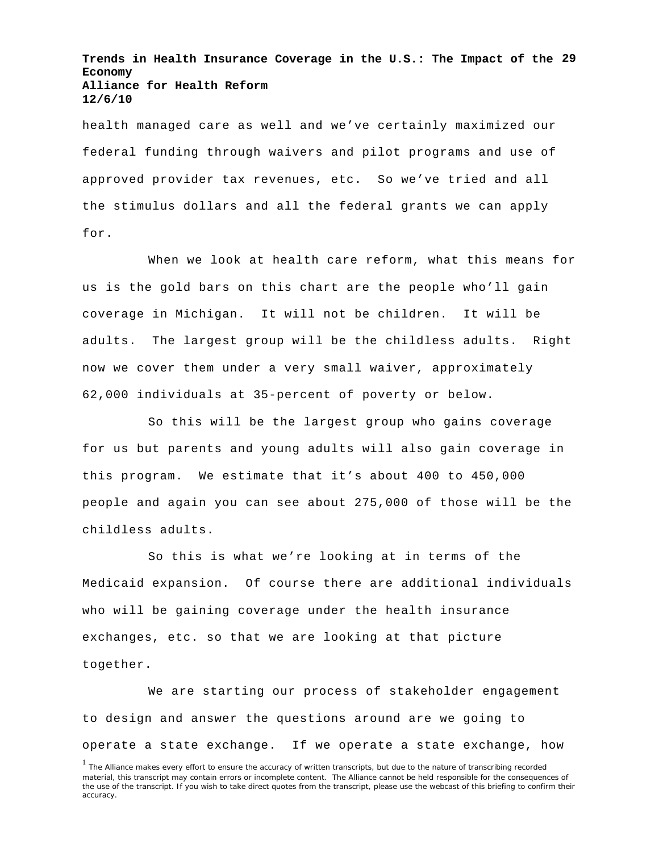**Trends in Health Insurance Coverage in the U.S.: The Impact of the 29 Economy Alliance for Health Reform 12/6/10**

health managed care as well and we've certainly maximized our federal funding through waivers and pilot programs and use of approved provider tax revenues, etc. So we've tried and all the stimulus dollars and all the federal grants we can apply for.

When we look at health care reform, what this means for us is the gold bars on this chart are the people who'll gain coverage in Michigan. It will not be children. It will be adults. The largest group will be the childless adults. Right now we cover them under a very small waiver, approximately 62,000 individuals at 35-percent of poverty or below.

So this will be the largest group who gains coverage for us but parents and young adults will also gain coverage in this program. We estimate that it's about 400 to 450,000 people and again you can see about 275,000 of those will be the childless adults.

So this is what we're looking at in terms of the Medicaid expansion. Of course there are additional individuals who will be gaining coverage under the health insurance exchanges, etc. so that we are looking at that picture together.

We are starting our process of stakeholder engagement to design and answer the questions around are we going to operate a state exchange. If we operate a state exchange, how

<sup>&</sup>lt;sup>1</sup> The Alliance makes every effort to ensure the accuracy of written transcripts, but due to the nature of transcribing recorded material, this transcript may contain errors or incomplete content. The Alliance cannot be held responsible for the consequences of the use of the transcript. If you wish to take direct quotes from the transcript, please use the webcast of this briefing to confirm their accuracy.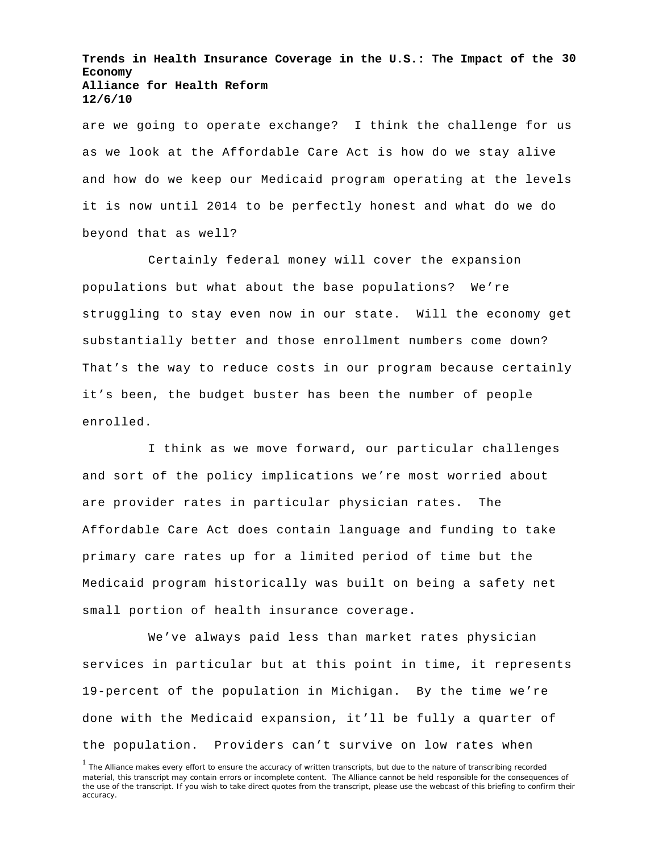**Trends in Health Insurance Coverage in the U.S.: The Impact of the 30 Economy Alliance for Health Reform 12/6/10**

are we going to operate exchange? I think the challenge for us as we look at the Affordable Care Act is how do we stay alive and how do we keep our Medicaid program operating at the levels it is now until 2014 to be perfectly honest and what do we do beyond that as well?

Certainly federal money will cover the expansion populations but what about the base populations? We're struggling to stay even now in our state. Will the economy get substantially better and those enrollment numbers come down? That's the way to reduce costs in our program because certainly it's been, the budget buster has been the number of people enrolled.

I think as we move forward, our particular challenges and sort of the policy implications we're most worried about are provider rates in particular physician rates. The Affordable Care Act does contain language and funding to take primary care rates up for a limited period of time but the Medicaid program historically was built on being a safety net small portion of health insurance coverage.

We've always paid less than market rates physician services in particular but at this point in time, it represents 19-percent of the population in Michigan. By the time we're done with the Medicaid expansion, it'll be fully a quarter of the population. Providers can't survive on low rates when

<sup>&</sup>lt;sup>1</sup> The Alliance makes every effort to ensure the accuracy of written transcripts, but due to the nature of transcribing recorded material, this transcript may contain errors or incomplete content. The Alliance cannot be held responsible for the consequences of the use of the transcript. If you wish to take direct quotes from the transcript, please use the webcast of this briefing to confirm their accuracy.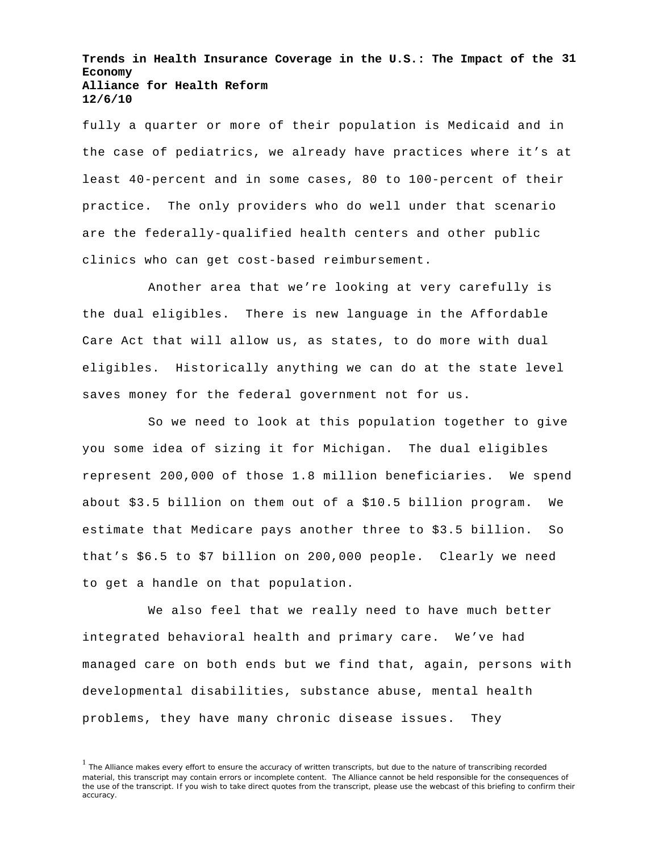**Trends in Health Insurance Coverage in the U.S.: The Impact of the 31 Economy Alliance for Health Reform 12/6/10**

fully a quarter or more of their population is Medicaid and in the case of pediatrics, we already have practices where it's at least 40-percent and in some cases, 80 to 100-percent of their practice. The only providers who do well under that scenario are the federally-qualified health centers and other public clinics who can get cost-based reimbursement.

Another area that we're looking at very carefully is the dual eligibles. There is new language in the Affordable Care Act that will allow us, as states, to do more with dual eligibles. Historically anything we can do at the state level saves money for the federal government not for us.

So we need to look at this population together to give you some idea of sizing it for Michigan. The dual eligibles represent 200,000 of those 1.8 million beneficiaries. We spend about \$3.5 billion on them out of a \$10.5 billion program. We estimate that Medicare pays another three to \$3.5 billion. So that's \$6.5 to \$7 billion on 200,000 people. Clearly we need to get a handle on that population.

We also feel that we really need to have much better integrated behavioral health and primary care. We've had managed care on both ends but we find that, again, persons with developmental disabilities, substance abuse, mental health problems, they have many chronic disease issues. They

<sup>&</sup>lt;sup>1</sup> The Alliance makes every effort to ensure the accuracy of written transcripts, but due to the nature of transcribing recorded material, this transcript may contain errors or incomplete content. The Alliance cannot be held responsible for the consequences of the use of the transcript. If you wish to take direct quotes from the transcript, please use the webcast of this briefing to confirm their accuracy.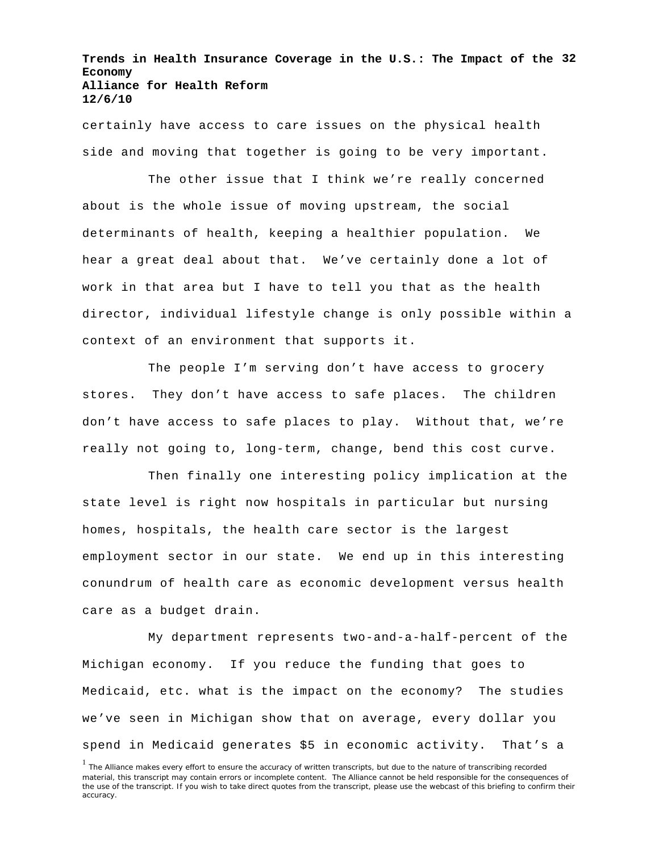**Trends in Health Insurance Coverage in the U.S.: The Impact of the 32 Economy Alliance for Health Reform 12/6/10**

certainly have access to care issues on the physical health side and moving that together is going to be very important.

The other issue that I think we're really concerned about is the whole issue of moving upstream, the social determinants of health, keeping a healthier population. We hear a great deal about that. We've certainly done a lot of work in that area but I have to tell you that as the health director, individual lifestyle change is only possible within a context of an environment that supports it.

The people I'm serving don't have access to grocery stores. They don't have access to safe places. The children don't have access to safe places to play. Without that, we're really not going to, long-term, change, bend this cost curve.

Then finally one interesting policy implication at the state level is right now hospitals in particular but nursing homes, hospitals, the health care sector is the largest employment sector in our state. We end up in this interesting conundrum of health care as economic development versus health care as a budget drain.

My department represents two-and-a-half-percent of the Michigan economy. If you reduce the funding that goes to Medicaid, etc. what is the impact on the economy? The studies we've seen in Michigan show that on average, every dollar you spend in Medicaid generates \$5 in economic activity. That's a

<sup>&</sup>lt;sup>1</sup> The Alliance makes every effort to ensure the accuracy of written transcripts, but due to the nature of transcribing recorded material, this transcript may contain errors or incomplete content. The Alliance cannot be held responsible for the consequences of the use of the transcript. If you wish to take direct quotes from the transcript, please use the webcast of this briefing to confirm their accuracy.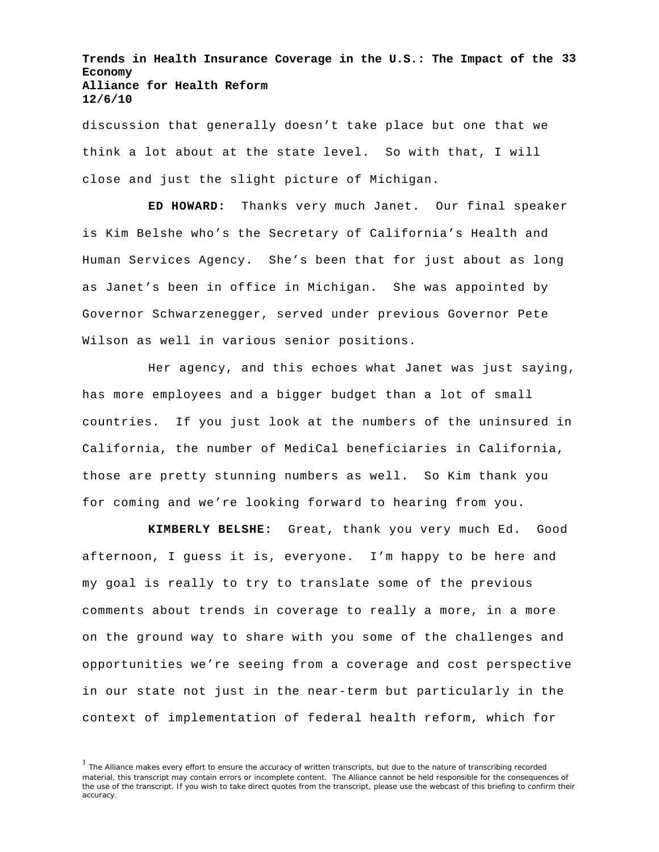**Trends in Health Insurance Coverage in the U.S.: The Impact of the 33 Economy Alliance for Health Reform 12/6/10**

discussion that generally doesn't take place but one that we think a lot about at the state level. So with that, I will close and just the slight picture of Michigan.

**ED HOWARD:** Thanks very much Janet. Our final speaker is Kim Belshe who's the Secretary of California's Health and Human Services Agency. She's been that for just about as long as Janet's been in office in Michigan. She was appointed by Governor Schwarzenegger, served under previous Governor Pete Wilson as well in various senior positions.

Her agency, and this echoes what Janet was just saying, has more employees and a bigger budget than a lot of small countries. If you just look at the numbers of the uninsured in California, the number of MediCal beneficiaries in California, those are pretty stunning numbers as well. So Kim thank you for coming and we're looking forward to hearing from you.

**KIMBERLY BELSHE:** Great, thank you very much Ed. Good afternoon, I guess it is, everyone. I'm happy to be here and my goal is really to try to translate some of the previous comments about trends in coverage to really a more, in a more on the ground way to share with you some of the challenges and opportunities we're seeing from a coverage and cost perspective in our state not just in the near-term but particularly in the context of implementation of federal health reform, which for

<sup>&</sup>lt;sup>1</sup> The Alliance makes every effort to ensure the accuracy of written transcripts, but due to the nature of transcribing recorded material, this transcript may contain errors or incomplete content. The Alliance cannot be held responsible for the consequences of the use of the transcript. If you wish to take direct quotes from the transcript, please use the webcast of this briefing to confirm their accuracy.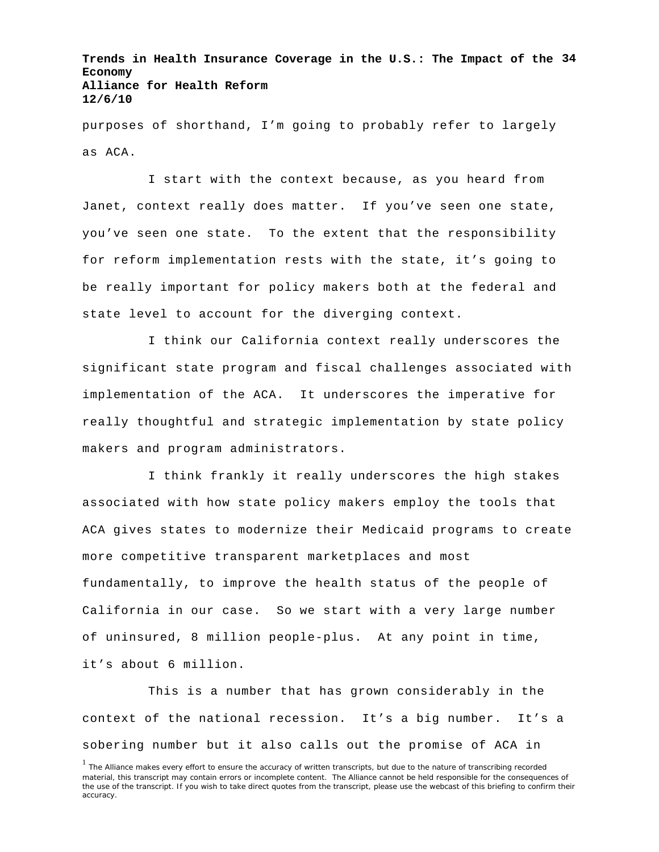**Trends in Health Insurance Coverage in the U.S.: The Impact of the 34 Economy Alliance for Health Reform 12/6/10**

purposes of shorthand, I'm going to probably refer to largely as ACA.

I start with the context because, as you heard from Janet, context really does matter. If you've seen one state, you've seen one state. To the extent that the responsibility for reform implementation rests with the state, it's going to be really important for policy makers both at the federal and state level to account for the diverging context.

I think our California context really underscores the significant state program and fiscal challenges associated with implementation of the ACA. It underscores the imperative for really thoughtful and strategic implementation by state policy makers and program administrators.

I think frankly it really underscores the high stakes associated with how state policy makers employ the tools that ACA gives states to modernize their Medicaid programs to create more competitive transparent marketplaces and most fundamentally, to improve the health status of the people of California in our case. So we start with a very large number of uninsured, 8 million people-plus. At any point in time, it's about 6 million.

This is a number that has grown considerably in the context of the national recession. It's a big number. It's a sobering number but it also calls out the promise of ACA in

<sup>&</sup>lt;sup>1</sup> The Alliance makes every effort to ensure the accuracy of written transcripts, but due to the nature of transcribing recorded material, this transcript may contain errors or incomplete content. The Alliance cannot be held responsible for the consequences of the use of the transcript. If you wish to take direct quotes from the transcript, please use the webcast of this briefing to confirm their accuracy.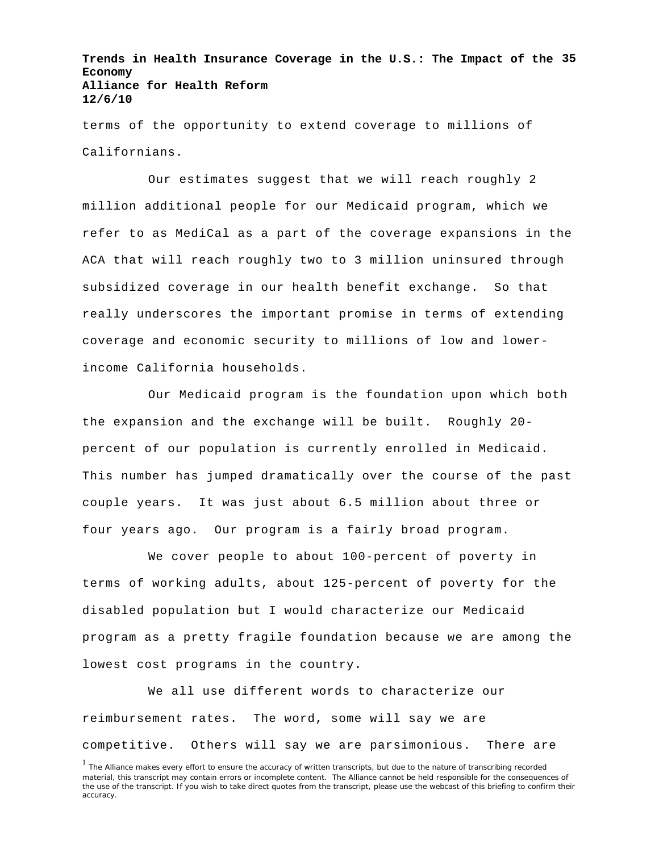**Trends in Health Insurance Coverage in the U.S.: The Impact of the 35 Economy Alliance for Health Reform 12/6/10**

terms of the opportunity to extend coverage to millions of Californians.

Our estimates suggest that we will reach roughly 2 million additional people for our Medicaid program, which we refer to as MediCal as a part of the coverage expansions in the ACA that will reach roughly two to 3 million uninsured through subsidized coverage in our health benefit exchange. So that really underscores the important promise in terms of extending coverage and economic security to millions of low and lowerincome California households.

Our Medicaid program is the foundation upon which both the expansion and the exchange will be built. Roughly 20 percent of our population is currently enrolled in Medicaid. This number has jumped dramatically over the course of the past couple years. It was just about 6.5 million about three or four years ago. Our program is a fairly broad program.

We cover people to about 100-percent of poverty in terms of working adults, about 125-percent of poverty for the disabled population but I would characterize our Medicaid program as a pretty fragile foundation because we are among the lowest cost programs in the country.

We all use different words to characterize our reimbursement rates. The word, some will say we are competitive. Others will say we are parsimonious. There are

<sup>&</sup>lt;sup>1</sup> The Alliance makes every effort to ensure the accuracy of written transcripts, but due to the nature of transcribing recorded material, this transcript may contain errors or incomplete content. The Alliance cannot be held responsible for the consequences of the use of the transcript. If you wish to take direct quotes from the transcript, please use the webcast of this briefing to confirm their accuracy.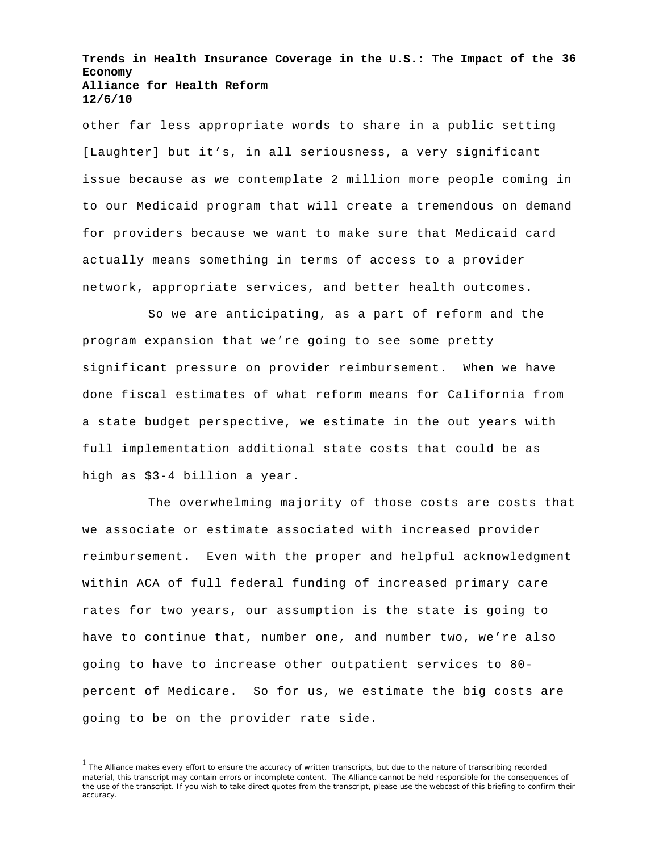**Trends in Health Insurance Coverage in the U.S.: The Impact of the 36 Economy Alliance for Health Reform 12/6/10**

other far less appropriate words to share in a public setting [Laughter] but it's, in all seriousness, a very significant issue because as we contemplate 2 million more people coming in to our Medicaid program that will create a tremendous on demand for providers because we want to make sure that Medicaid card actually means something in terms of access to a provider network, appropriate services, and better health outcomes.

So we are anticipating, as a part of reform and the program expansion that we're going to see some pretty significant pressure on provider reimbursement. When we have done fiscal estimates of what reform means for California from a state budget perspective, we estimate in the out years with full implementation additional state costs that could be as high as \$3-4 billion a year.

The overwhelming majority of those costs are costs that we associate or estimate associated with increased provider reimbursement. Even with the proper and helpful acknowledgment within ACA of full federal funding of increased primary care rates for two years, our assumption is the state is going to have to continue that, number one, and number two, we're also going to have to increase other outpatient services to 80 percent of Medicare. So for us, we estimate the big costs are going to be on the provider rate side.

<sup>&</sup>lt;sup>1</sup> The Alliance makes every effort to ensure the accuracy of written transcripts, but due to the nature of transcribing recorded material, this transcript may contain errors or incomplete content. The Alliance cannot be held responsible for the consequences of the use of the transcript. If you wish to take direct quotes from the transcript, please use the webcast of this briefing to confirm their accuracy.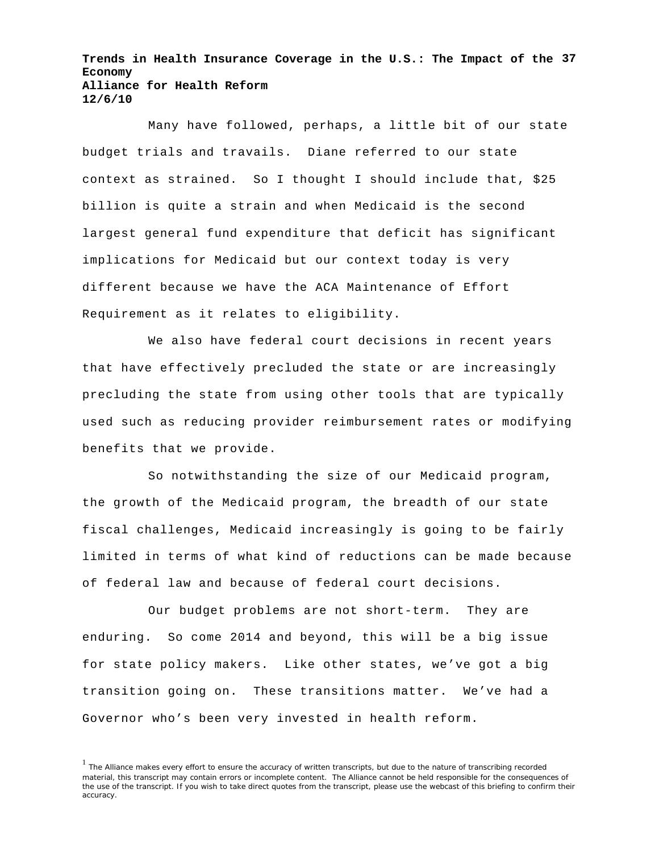**Trends in Health Insurance Coverage in the U.S.: The Impact of the 37 Economy Alliance for Health Reform 12/6/10**

Many have followed, perhaps, a little bit of our state budget trials and travails. Diane referred to our state context as strained. So I thought I should include that, \$25 billion is quite a strain and when Medicaid is the second largest general fund expenditure that deficit has significant implications for Medicaid but our context today is very different because we have the ACA Maintenance of Effort Requirement as it relates to eligibility.

We also have federal court decisions in recent years that have effectively precluded the state or are increasingly precluding the state from using other tools that are typically used such as reducing provider reimbursement rates or modifying benefits that we provide.

So notwithstanding the size of our Medicaid program, the growth of the Medicaid program, the breadth of our state fiscal challenges, Medicaid increasingly is going to be fairly limited in terms of what kind of reductions can be made because of federal law and because of federal court decisions.

Our budget problems are not short-term. They are enduring. So come 2014 and beyond, this will be a big issue for state policy makers. Like other states, we've got a big transition going on. These transitions matter. We've had a Governor who's been very invested in health reform.

<sup>&</sup>lt;sup>1</sup> The Alliance makes every effort to ensure the accuracy of written transcripts, but due to the nature of transcribing recorded material, this transcript may contain errors or incomplete content. The Alliance cannot be held responsible for the consequences of the use of the transcript. If you wish to take direct quotes from the transcript, please use the webcast of this briefing to confirm their accuracy.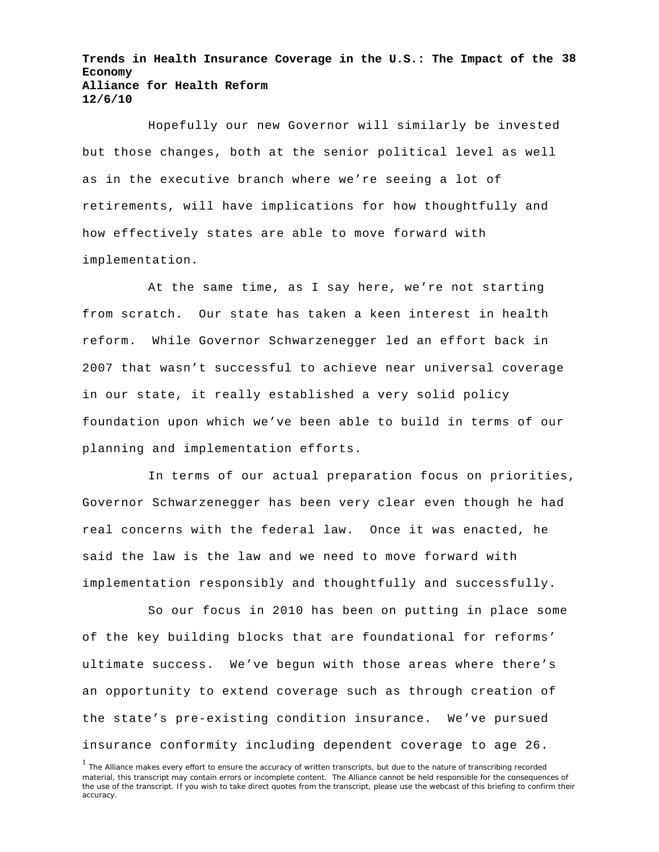**Trends in Health Insurance Coverage in the U.S.: The Impact of the 38 Economy Alliance for Health Reform 12/6/10**

Hopefully our new Governor will similarly be invested but those changes, both at the senior political level as well as in the executive branch where we're seeing a lot of retirements, will have implications for how thoughtfully and how effectively states are able to move forward with implementation.

At the same time, as I say here, we're not starting from scratch. Our state has taken a keen interest in health reform. While Governor Schwarzenegger led an effort back in 2007 that wasn't successful to achieve near universal coverage in our state, it really established a very solid policy foundation upon which we've been able to build in terms of our planning and implementation efforts.

In terms of our actual preparation focus on priorities, Governor Schwarzenegger has been very clear even though he had real concerns with the federal law. Once it was enacted, he said the law is the law and we need to move forward with implementation responsibly and thoughtfully and successfully.

So our focus in 2010 has been on putting in place some of the key building blocks that are foundational for reforms' ultimate success. We've begun with those areas where there's an opportunity to extend coverage such as through creation of the state's pre-existing condition insurance. We've pursued insurance conformity including dependent coverage to age 26.

<sup>&</sup>lt;sup>1</sup> The Alliance makes every effort to ensure the accuracy of written transcripts, but due to the nature of transcribing recorded material, this transcript may contain errors or incomplete content. The Alliance cannot be held responsible for the consequences of the use of the transcript. If you wish to take direct quotes from the transcript, please use the webcast of this briefing to confirm their accuracy.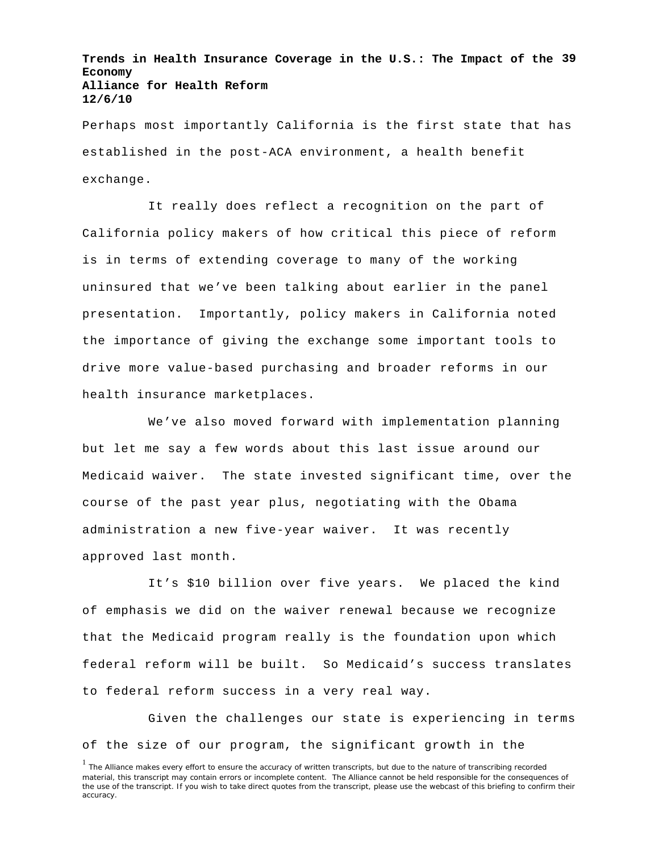**Trends in Health Insurance Coverage in the U.S.: The Impact of the 39 Economy Alliance for Health Reform 12/6/10**

Perhaps most importantly California is the first state that has established in the post-ACA environment, a health benefit exchange.

It really does reflect a recognition on the part of California policy makers of how critical this piece of reform is in terms of extending coverage to many of the working uninsured that we've been talking about earlier in the panel presentation. Importantly, policy makers in California noted the importance of giving the exchange some important tools to drive more value-based purchasing and broader reforms in our health insurance marketplaces.

We've also moved forward with implementation planning but let me say a few words about this last issue around our Medicaid waiver. The state invested significant time, over the course of the past year plus, negotiating with the Obama administration a new five-year waiver. It was recently approved last month.

It's \$10 billion over five years. We placed the kind of emphasis we did on the waiver renewal because we recognize that the Medicaid program really is the foundation upon which federal reform will be built. So Medicaid's success translates to federal reform success in a very real way.

Given the challenges our state is experiencing in terms of the size of our program, the significant growth in the

<sup>&</sup>lt;sup>1</sup> The Alliance makes every effort to ensure the accuracy of written transcripts, but due to the nature of transcribing recorded material, this transcript may contain errors or incomplete content. The Alliance cannot be held responsible for the consequences of the use of the transcript. If you wish to take direct quotes from the transcript, please use the webcast of this briefing to confirm their accuracy.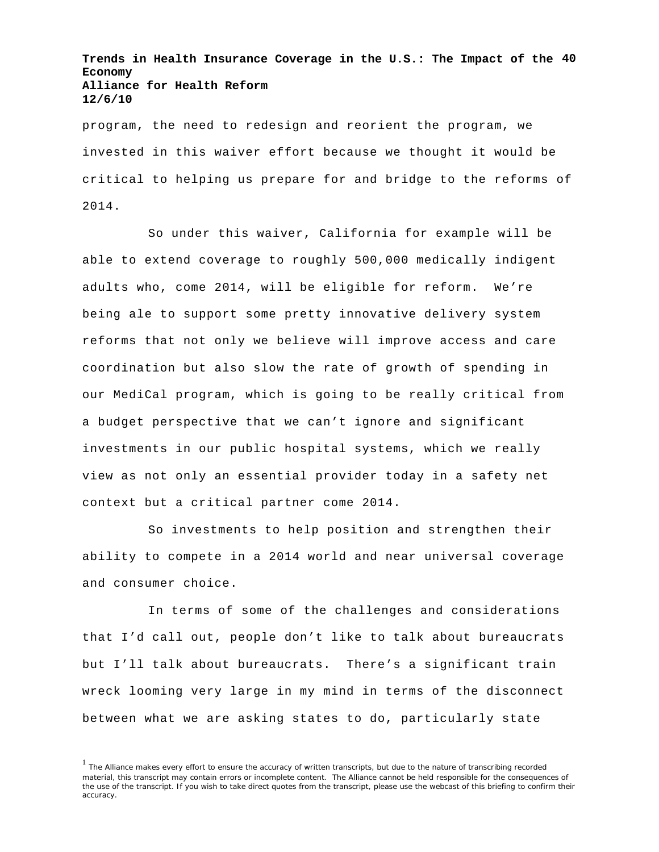**Trends in Health Insurance Coverage in the U.S.: The Impact of the 40 Economy Alliance for Health Reform 12/6/10**

program, the need to redesign and reorient the program, we invested in this waiver effort because we thought it would be critical to helping us prepare for and bridge to the reforms of 2014.

So under this waiver, California for example will be able to extend coverage to roughly 500,000 medically indigent adults who, come 2014, will be eligible for reform. We're being ale to support some pretty innovative delivery system reforms that not only we believe will improve access and care coordination but also slow the rate of growth of spending in our MediCal program, which is going to be really critical from a budget perspective that we can't ignore and significant investments in our public hospital systems, which we really view as not only an essential provider today in a safety net context but a critical partner come 2014.

So investments to help position and strengthen their ability to compete in a 2014 world and near universal coverage and consumer choice.

In terms of some of the challenges and considerations that I'd call out, people don't like to talk about bureaucrats but I'll talk about bureaucrats. There's a significant train wreck looming very large in my mind in terms of the disconnect between what we are asking states to do, particularly state

<sup>&</sup>lt;sup>1</sup> The Alliance makes every effort to ensure the accuracy of written transcripts, but due to the nature of transcribing recorded material, this transcript may contain errors or incomplete content. The Alliance cannot be held responsible for the consequences of the use of the transcript. If you wish to take direct quotes from the transcript, please use the webcast of this briefing to confirm their accuracy.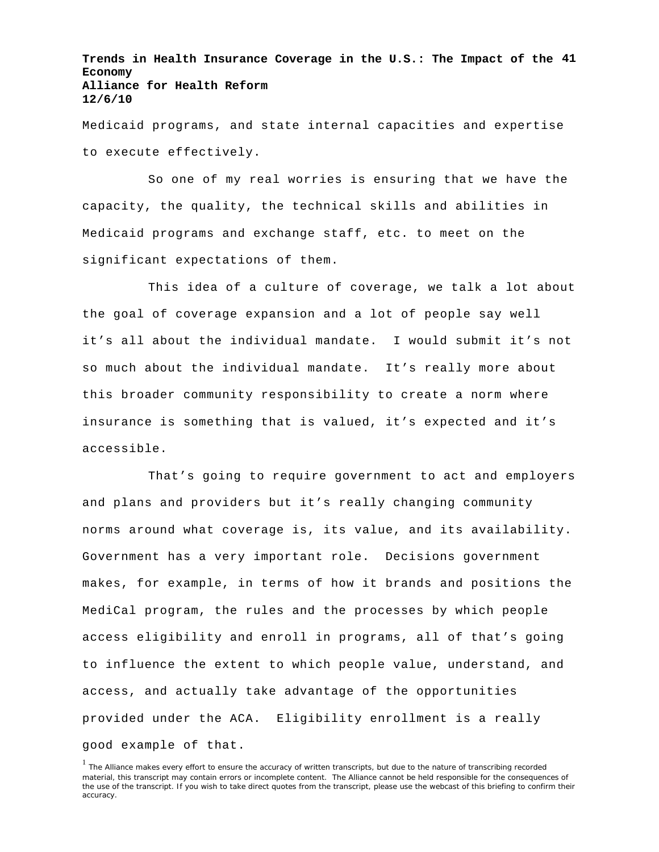**Trends in Health Insurance Coverage in the U.S.: The Impact of the 41 Economy Alliance for Health Reform 12/6/10**

Medicaid programs, and state internal capacities and expertise to execute effectively.

So one of my real worries is ensuring that we have the capacity, the quality, the technical skills and abilities in Medicaid programs and exchange staff, etc. to meet on the significant expectations of them.

This idea of a culture of coverage, we talk a lot about the goal of coverage expansion and a lot of people say well it's all about the individual mandate. I would submit it's not so much about the individual mandate. It's really more about this broader community responsibility to create a norm where insurance is something that is valued, it's expected and it's accessible.

That's going to require government to act and employers and plans and providers but it's really changing community norms around what coverage is, its value, and its availability. Government has a very important role. Decisions government makes, for example, in terms of how it brands and positions the MediCal program, the rules and the processes by which people access eligibility and enroll in programs, all of that's going to influence the extent to which people value, understand, and access, and actually take advantage of the opportunities provided under the ACA. Eligibility enrollment is a really good example of that.

<sup>&</sup>lt;sup>1</sup> The Alliance makes every effort to ensure the accuracy of written transcripts, but due to the nature of transcribing recorded material, this transcript may contain errors or incomplete content. The Alliance cannot be held responsible for the consequences of the use of the transcript. If you wish to take direct quotes from the transcript, please use the webcast of this briefing to confirm their accuracy.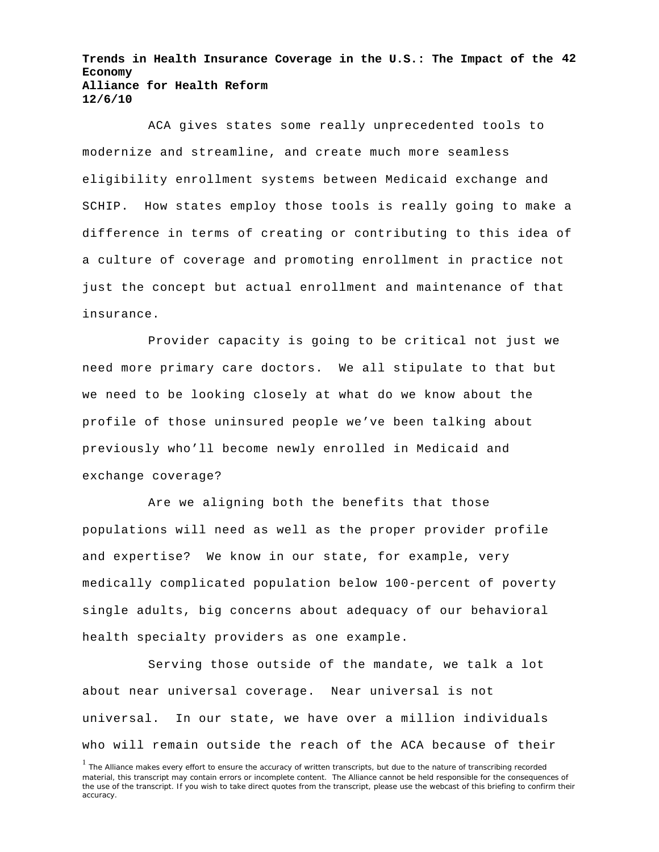**Trends in Health Insurance Coverage in the U.S.: The Impact of the 42 Economy Alliance for Health Reform 12/6/10**

ACA gives states some really unprecedented tools to modernize and streamline, and create much more seamless eligibility enrollment systems between Medicaid exchange and SCHIP. How states employ those tools is really going to make a difference in terms of creating or contributing to this idea of a culture of coverage and promoting enrollment in practice not just the concept but actual enrollment and maintenance of that insurance.

Provider capacity is going to be critical not just we need more primary care doctors. We all stipulate to that but we need to be looking closely at what do we know about the profile of those uninsured people we've been talking about previously who'll become newly enrolled in Medicaid and exchange coverage?

Are we aligning both the benefits that those populations will need as well as the proper provider profile and expertise? We know in our state, for example, very medically complicated population below 100-percent of poverty single adults, big concerns about adequacy of our behavioral health specialty providers as one example.

Serving those outside of the mandate, we talk a lot about near universal coverage. Near universal is not universal. In our state, we have over a million individuals who will remain outside the reach of the ACA because of their

<sup>&</sup>lt;sup>1</sup> The Alliance makes every effort to ensure the accuracy of written transcripts, but due to the nature of transcribing recorded material, this transcript may contain errors or incomplete content. The Alliance cannot be held responsible for the consequences of the use of the transcript. If you wish to take direct quotes from the transcript, please use the webcast of this briefing to confirm their accuracy.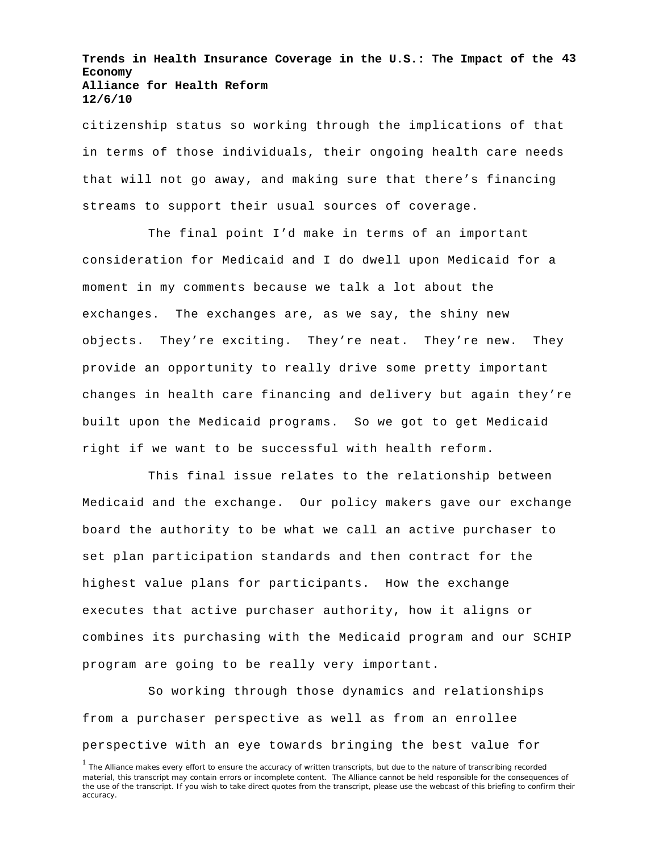**Trends in Health Insurance Coverage in the U.S.: The Impact of the 43 Economy Alliance for Health Reform 12/6/10**

citizenship status so working through the implications of that in terms of those individuals, their ongoing health care needs that will not go away, and making sure that there's financing streams to support their usual sources of coverage.

The final point I'd make in terms of an important consideration for Medicaid and I do dwell upon Medicaid for a moment in my comments because we talk a lot about the exchanges. The exchanges are, as we say, the shiny new objects. They're exciting. They're neat. They're new. They provide an opportunity to really drive some pretty important changes in health care financing and delivery but again they're built upon the Medicaid programs. So we got to get Medicaid right if we want to be successful with health reform.

This final issue relates to the relationship between Medicaid and the exchange. Our policy makers gave our exchange board the authority to be what we call an active purchaser to set plan participation standards and then contract for the highest value plans for participants. How the exchange executes that active purchaser authority, how it aligns or combines its purchasing with the Medicaid program and our SCHIP program are going to be really very important.

So working through those dynamics and relationships from a purchaser perspective as well as from an enrollee perspective with an eye towards bringing the best value for

<sup>&</sup>lt;sup>1</sup> The Alliance makes every effort to ensure the accuracy of written transcripts, but due to the nature of transcribing recorded material, this transcript may contain errors or incomplete content. The Alliance cannot be held responsible for the consequences of the use of the transcript. If you wish to take direct quotes from the transcript, please use the webcast of this briefing to confirm their accuracy.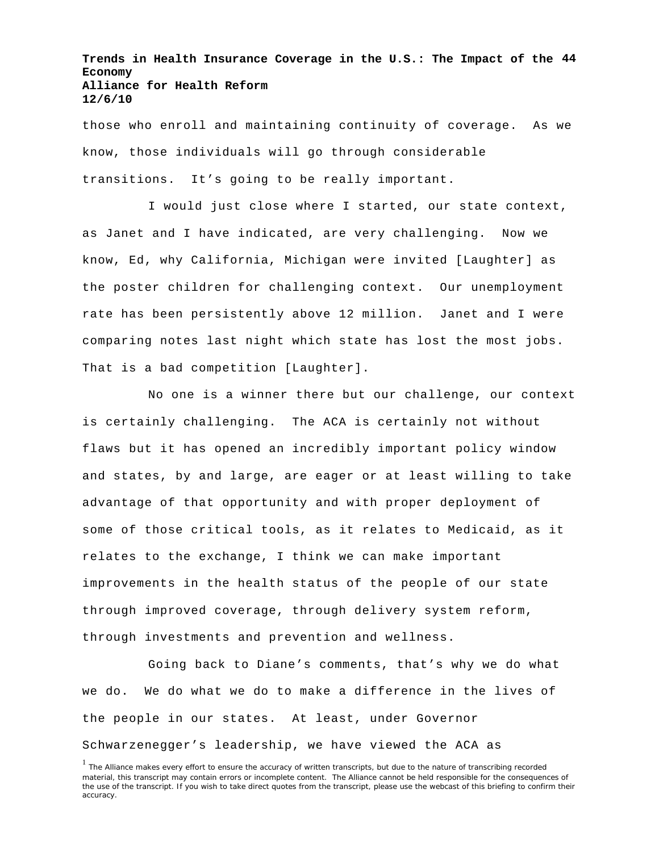**Trends in Health Insurance Coverage in the U.S.: The Impact of the 44 Economy Alliance for Health Reform 12/6/10**

those who enroll and maintaining continuity of coverage. As we know, those individuals will go through considerable transitions. It's going to be really important.

I would just close where I started, our state context, as Janet and I have indicated, are very challenging. Now we know, Ed, why California, Michigan were invited [Laughter] as the poster children for challenging context. Our unemployment rate has been persistently above 12 million. Janet and I were comparing notes last night which state has lost the most jobs. That is a bad competition [Laughter].

No one is a winner there but our challenge, our context is certainly challenging. The ACA is certainly not without flaws but it has opened an incredibly important policy window and states, by and large, are eager or at least willing to take advantage of that opportunity and with proper deployment of some of those critical tools, as it relates to Medicaid, as it relates to the exchange, I think we can make important improvements in the health status of the people of our state through improved coverage, through delivery system reform, through investments and prevention and wellness.

Going back to Diane's comments, that's why we do what we do. We do what we do to make a difference in the lives of the people in our states. At least, under Governor Schwarzenegger's leadership, we have viewed the ACA as

<sup>&</sup>lt;sup>1</sup> The Alliance makes every effort to ensure the accuracy of written transcripts, but due to the nature of transcribing recorded material, this transcript may contain errors or incomplete content. The Alliance cannot be held responsible for the consequences of the use of the transcript. If you wish to take direct quotes from the transcript, please use the webcast of this briefing to confirm their accuracy.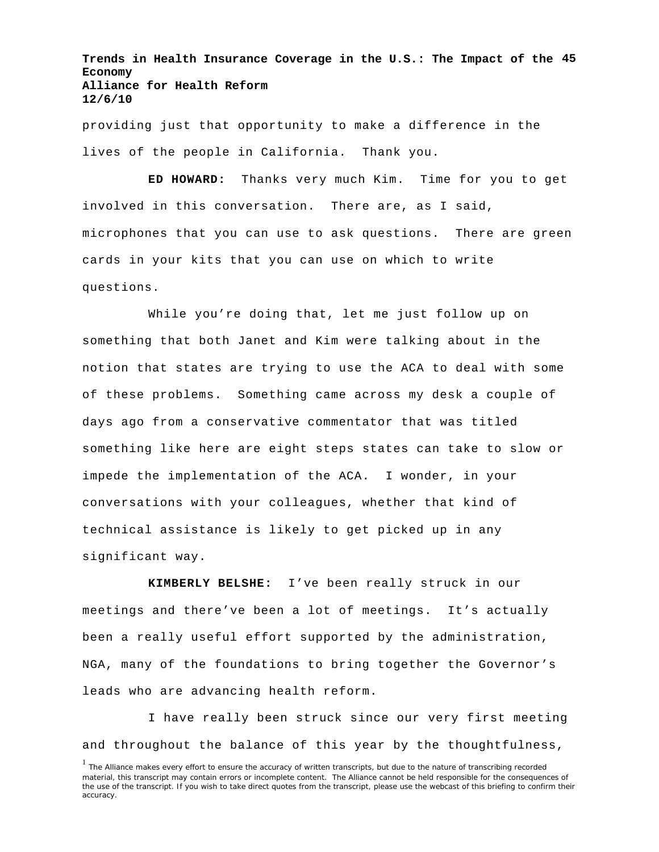**Trends in Health Insurance Coverage in the U.S.: The Impact of the 45 Economy Alliance for Health Reform 12/6/10**

providing just that opportunity to make a difference in the lives of the people in California. Thank you.

**ED HOWARD:** Thanks very much Kim. Time for you to get involved in this conversation. There are, as I said, microphones that you can use to ask questions. There are green cards in your kits that you can use on which to write questions.

While you're doing that, let me just follow up on something that both Janet and Kim were talking about in the notion that states are trying to use the ACA to deal with some of these problems. Something came across my desk a couple of days ago from a conservative commentator that was titled something like here are eight steps states can take to slow or impede the implementation of the ACA. I wonder, in your conversations with your colleagues, whether that kind of technical assistance is likely to get picked up in any significant way.

**KIMBERLY BELSHE:** I've been really struck in our meetings and there've been a lot of meetings. It's actually been a really useful effort supported by the administration, NGA, many of the foundations to bring together the Governor's leads who are advancing health reform.

I have really been struck since our very first meeting and throughout the balance of this year by the thoughtfulness,

<sup>&</sup>lt;sup>1</sup> The Alliance makes every effort to ensure the accuracy of written transcripts, but due to the nature of transcribing recorded material, this transcript may contain errors or incomplete content. The Alliance cannot be held responsible for the consequences of the use of the transcript. If you wish to take direct quotes from the transcript, please use the webcast of this briefing to confirm their accuracy.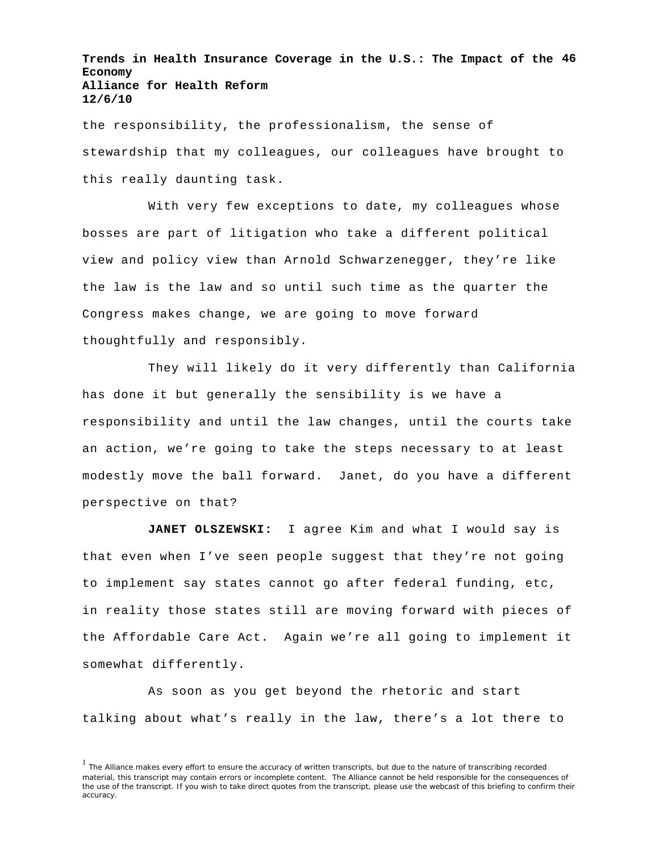**Trends in Health Insurance Coverage in the U.S.: The Impact of the 46 Economy Alliance for Health Reform 12/6/10**

the responsibility, the professionalism, the sense of stewardship that my colleagues, our colleagues have brought to this really daunting task.

With very few exceptions to date, my colleagues whose bosses are part of litigation who take a different political view and policy view than Arnold Schwarzenegger, they're like the law is the law and so until such time as the quarter the Congress makes change, we are going to move forward thoughtfully and responsibly.

They will likely do it very differently than California has done it but generally the sensibility is we have a responsibility and until the law changes, until the courts take an action, we're going to take the steps necessary to at least modestly move the ball forward. Janet, do you have a different perspective on that?

**JANET OLSZEWSKI:** I agree Kim and what I would say is that even when I've seen people suggest that they're not going to implement say states cannot go after federal funding, etc, in reality those states still are moving forward with pieces of the Affordable Care Act. Again we're all going to implement it somewhat differently.

As soon as you get beyond the rhetoric and start talking about what's really in the law, there's a lot there to

<sup>&</sup>lt;sup>1</sup> The Alliance makes every effort to ensure the accuracy of written transcripts, but due to the nature of transcribing recorded material, this transcript may contain errors or incomplete content. The Alliance cannot be held responsible for the consequences of the use of the transcript. If you wish to take direct quotes from the transcript, please use the webcast of this briefing to confirm their accuracy.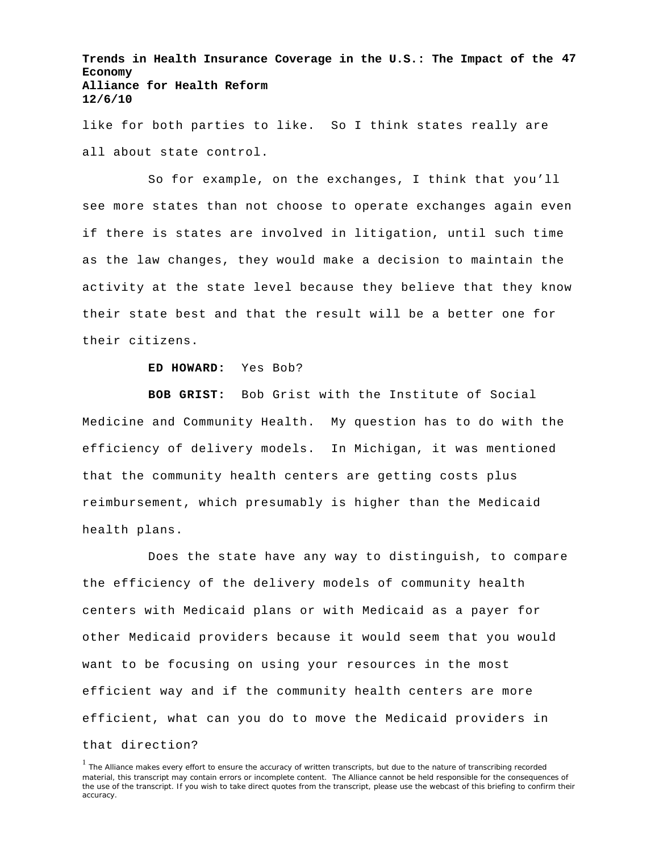**Trends in Health Insurance Coverage in the U.S.: The Impact of the 47 Economy Alliance for Health Reform 12/6/10**

like for both parties to like. So I think states really are all about state control.

So for example, on the exchanges, I think that you'll see more states than not choose to operate exchanges again even if there is states are involved in litigation, until such time as the law changes, they would make a decision to maintain the activity at the state level because they believe that they know their state best and that the result will be a better one for their citizens.

## **ED HOWARD:** Yes Bob?

**BOB GRIST:** Bob Grist with the Institute of Social Medicine and Community Health. My question has to do with the efficiency of delivery models. In Michigan, it was mentioned that the community health centers are getting costs plus reimbursement, which presumably is higher than the Medicaid health plans.

Does the state have any way to distinguish, to compare the efficiency of the delivery models of community health centers with Medicaid plans or with Medicaid as a payer for other Medicaid providers because it would seem that you would want to be focusing on using your resources in the most efficient way and if the community health centers are more efficient, what can you do to move the Medicaid providers in that direction?

<sup>&</sup>lt;sup>1</sup> The Alliance makes every effort to ensure the accuracy of written transcripts, but due to the nature of transcribing recorded material, this transcript may contain errors or incomplete content. The Alliance cannot be held responsible for the consequences of the use of the transcript. If you wish to take direct quotes from the transcript, please use the webcast of this briefing to confirm their accuracy.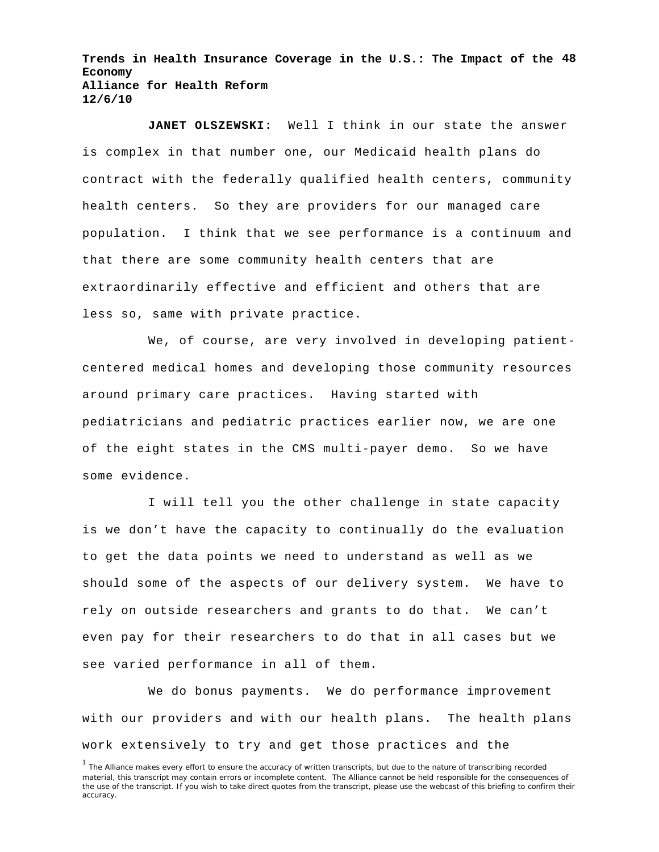**Trends in Health Insurance Coverage in the U.S.: The Impact of the 48 Economy Alliance for Health Reform 12/6/10**

**JANET OLSZEWSKI:** Well I think in our state the answer is complex in that number one, our Medicaid health plans do contract with the federally qualified health centers, community health centers. So they are providers for our managed care population. I think that we see performance is a continuum and that there are some community health centers that are extraordinarily effective and efficient and others that are less so, same with private practice.

We, of course, are very involved in developing patientcentered medical homes and developing those community resources around primary care practices. Having started with pediatricians and pediatric practices earlier now, we are one of the eight states in the CMS multi-payer demo. So we have some evidence.

I will tell you the other challenge in state capacity is we don't have the capacity to continually do the evaluation to get the data points we need to understand as well as we should some of the aspects of our delivery system. We have to rely on outside researchers and grants to do that. We can't even pay for their researchers to do that in all cases but we see varied performance in all of them.

We do bonus payments. We do performance improvement with our providers and with our health plans. The health plans work extensively to try and get those practices and the

<sup>&</sup>lt;sup>1</sup> The Alliance makes every effort to ensure the accuracy of written transcripts, but due to the nature of transcribing recorded material, this transcript may contain errors or incomplete content. The Alliance cannot be held responsible for the consequences of the use of the transcript. If you wish to take direct quotes from the transcript, please use the webcast of this briefing to confirm their accuracy.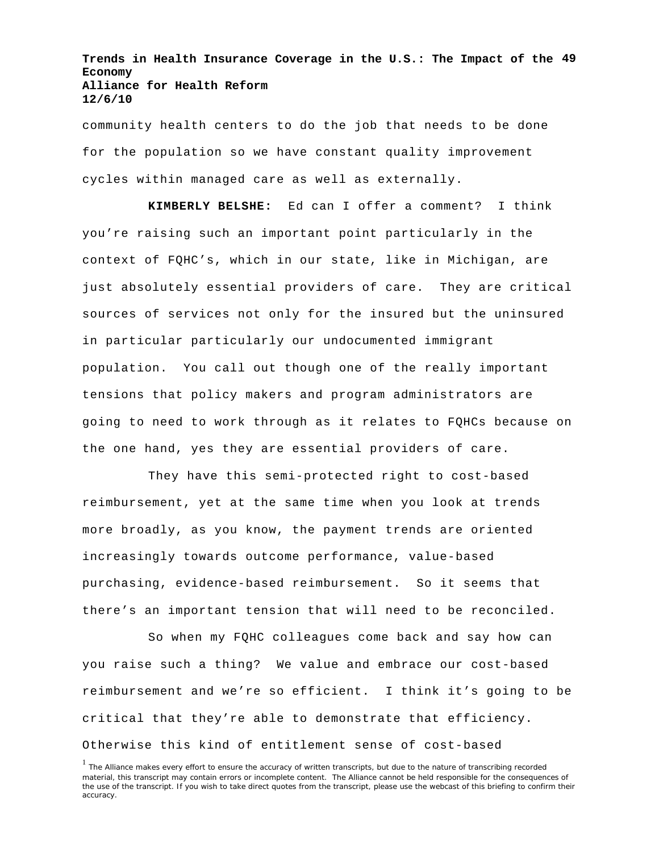**Trends in Health Insurance Coverage in the U.S.: The Impact of the 49 Economy Alliance for Health Reform 12/6/10**

community health centers to do the job that needs to be done for the population so we have constant quality improvement cycles within managed care as well as externally.

**KIMBERLY BELSHE:** Ed can I offer a comment? I think you're raising such an important point particularly in the context of FQHC's, which in our state, like in Michigan, are just absolutely essential providers of care. They are critical sources of services not only for the insured but the uninsured in particular particularly our undocumented immigrant population. You call out though one of the really important tensions that policy makers and program administrators are going to need to work through as it relates to FQHCs because on the one hand, yes they are essential providers of care.

They have this semi-protected right to cost-based reimbursement, yet at the same time when you look at trends more broadly, as you know, the payment trends are oriented increasingly towards outcome performance, value-based purchasing, evidence-based reimbursement. So it seems that there's an important tension that will need to be reconciled.

So when my FQHC colleagues come back and say how can you raise such a thing? We value and embrace our cost-based reimbursement and we're so efficient. I think it's going to be critical that they're able to demonstrate that efficiency. Otherwise this kind of entitlement sense of cost-based

<sup>&</sup>lt;sup>1</sup> The Alliance makes every effort to ensure the accuracy of written transcripts, but due to the nature of transcribing recorded material, this transcript may contain errors or incomplete content. The Alliance cannot be held responsible for the consequences of the use of the transcript. If you wish to take direct quotes from the transcript, please use the webcast of this briefing to confirm their accuracy.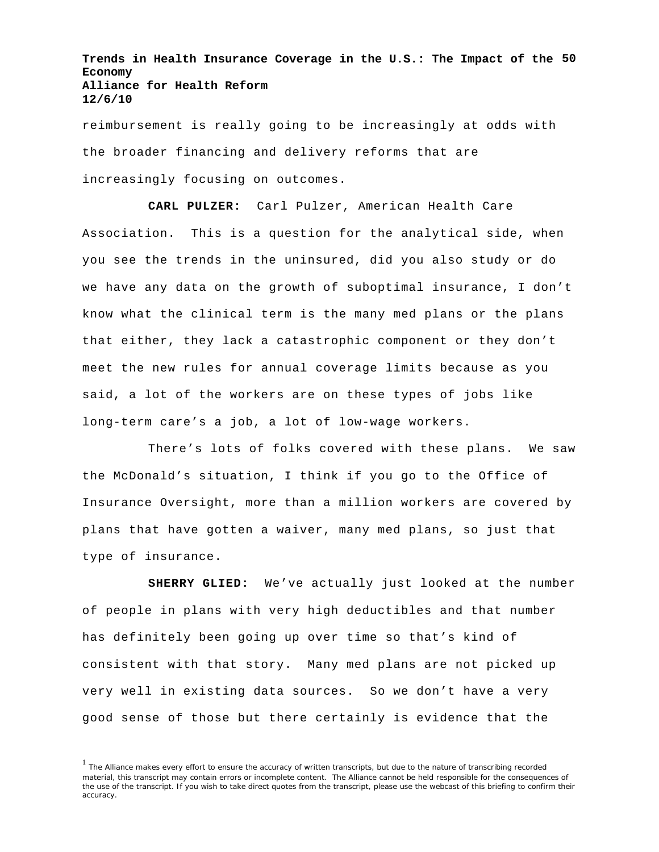**Trends in Health Insurance Coverage in the U.S.: The Impact of the 50 Economy Alliance for Health Reform 12/6/10**

reimbursement is really going to be increasingly at odds with the broader financing and delivery reforms that are increasingly focusing on outcomes.

**CARL PULZER:** Carl Pulzer, American Health Care Association. This is a question for the analytical side, when you see the trends in the uninsured, did you also study or do we have any data on the growth of suboptimal insurance, I don't know what the clinical term is the many med plans or the plans that either, they lack a catastrophic component or they don't meet the new rules for annual coverage limits because as you said, a lot of the workers are on these types of jobs like long-term care's a job, a lot of low-wage workers.

There's lots of folks covered with these plans. We saw the McDonald's situation, I think if you go to the Office of Insurance Oversight, more than a million workers are covered by plans that have gotten a waiver, many med plans, so just that type of insurance.

**SHERRY GLIED:** We've actually just looked at the number of people in plans with very high deductibles and that number has definitely been going up over time so that's kind of consistent with that story. Many med plans are not picked up very well in existing data sources. So we don't have a very good sense of those but there certainly is evidence that the

<sup>&</sup>lt;sup>1</sup> The Alliance makes every effort to ensure the accuracy of written transcripts, but due to the nature of transcribing recorded material, this transcript may contain errors or incomplete content. The Alliance cannot be held responsible for the consequences of the use of the transcript. If you wish to take direct quotes from the transcript, please use the webcast of this briefing to confirm their accuracy.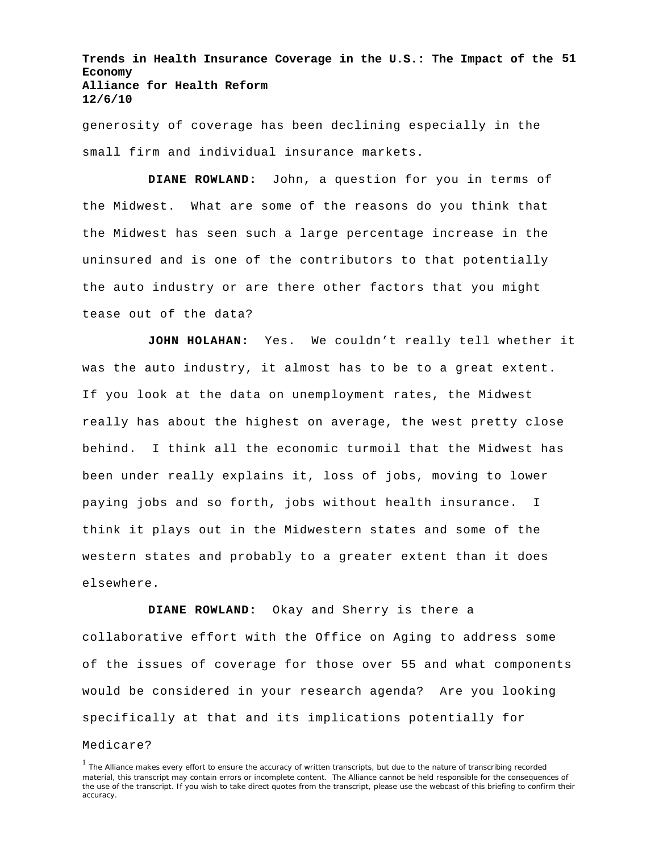**Trends in Health Insurance Coverage in the U.S.: The Impact of the 51 Economy Alliance for Health Reform 12/6/10**

generosity of coverage has been declining especially in the small firm and individual insurance markets.

**DIANE ROWLAND:** John, a question for you in terms of the Midwest. What are some of the reasons do you think that the Midwest has seen such a large percentage increase in the uninsured and is one of the contributors to that potentially the auto industry or are there other factors that you might tease out of the data?

**JOHN HOLAHAN:** Yes. We couldn't really tell whether it was the auto industry, it almost has to be to a great extent. If you look at the data on unemployment rates, the Midwest really has about the highest on average, the west pretty close behind. I think all the economic turmoil that the Midwest has been under really explains it, loss of jobs, moving to lower paying jobs and so forth, jobs without health insurance. I think it plays out in the Midwestern states and some of the western states and probably to a greater extent than it does elsewhere.

**DIANE ROWLAND:** Okay and Sherry is there a collaborative effort with the Office on Aging to address some of the issues of coverage for those over 55 and what components would be considered in your research agenda? Are you looking specifically at that and its implications potentially for

## Medicare?

<sup>&</sup>lt;sup>1</sup> The Alliance makes every effort to ensure the accuracy of written transcripts, but due to the nature of transcribing recorded material, this transcript may contain errors or incomplete content. The Alliance cannot be held responsible for the consequences of the use of the transcript. If you wish to take direct quotes from the transcript, please use the webcast of this briefing to confirm their accuracy.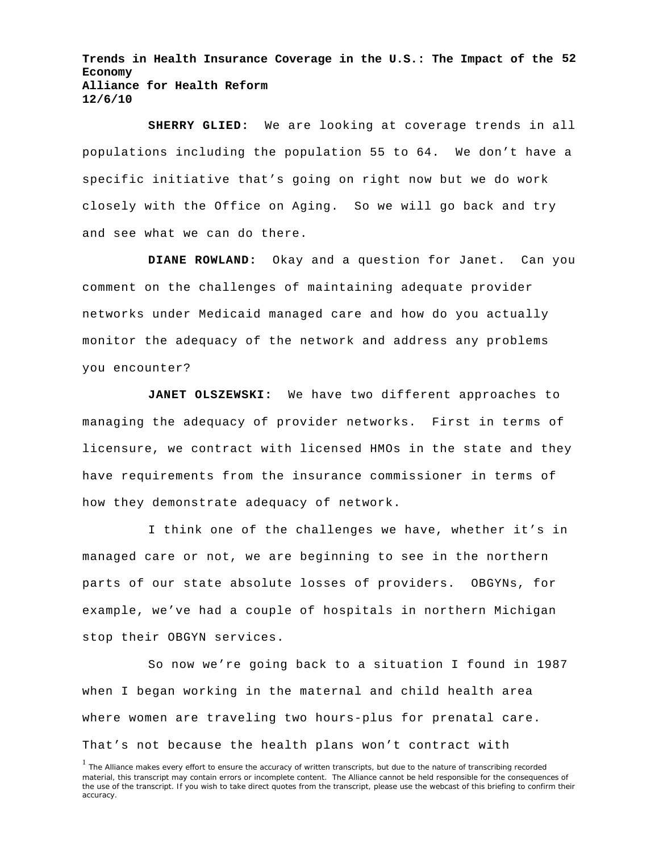**Trends in Health Insurance Coverage in the U.S.: The Impact of the 52 Economy Alliance for Health Reform 12/6/10**

**SHERRY GLIED:** We are looking at coverage trends in all populations including the population 55 to 64. We don't have a specific initiative that's going on right now but we do work closely with the Office on Aging. So we will go back and try and see what we can do there.

**DIANE ROWLAND:** Okay and a question for Janet. Can you comment on the challenges of maintaining adequate provider networks under Medicaid managed care and how do you actually monitor the adequacy of the network and address any problems you encounter?

**JANET OLSZEWSKI:** We have two different approaches to managing the adequacy of provider networks. First in terms of licensure, we contract with licensed HMOs in the state and they have requirements from the insurance commissioner in terms of how they demonstrate adequacy of network.

I think one of the challenges we have, whether it's in managed care or not, we are beginning to see in the northern parts of our state absolute losses of providers. OBGYNs, for example, we've had a couple of hospitals in northern Michigan stop their OBGYN services.

So now we're going back to a situation I found in 1987 when I began working in the maternal and child health area where women are traveling two hours-plus for prenatal care. That's not because the health plans won't contract with

<sup>&</sup>lt;sup>1</sup> The Alliance makes every effort to ensure the accuracy of written transcripts, but due to the nature of transcribing recorded material, this transcript may contain errors or incomplete content. The Alliance cannot be held responsible for the consequences of the use of the transcript. If you wish to take direct quotes from the transcript, please use the webcast of this briefing to confirm their accuracy.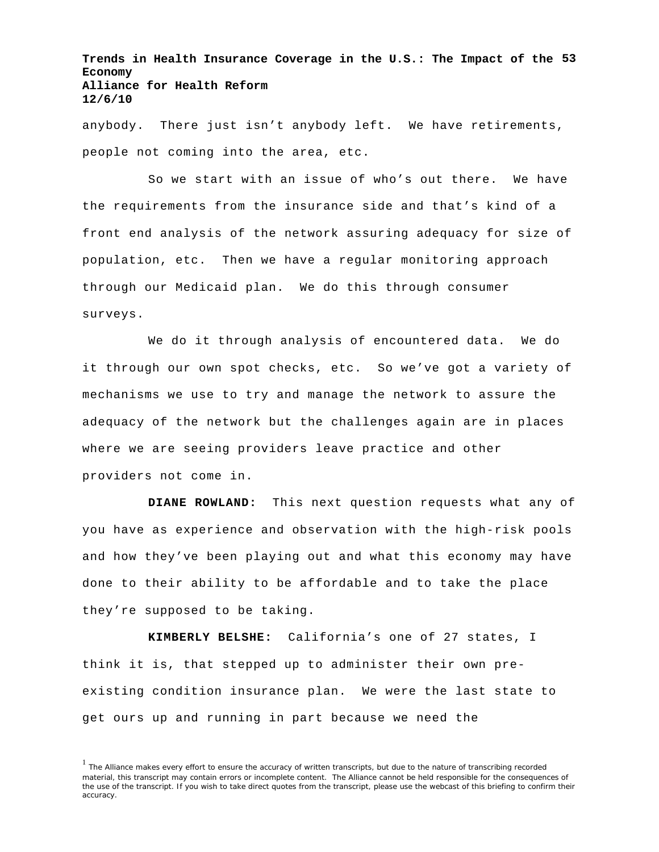**Trends in Health Insurance Coverage in the U.S.: The Impact of the 53 Economy Alliance for Health Reform 12/6/10**

anybody. There just isn't anybody left. We have retirements, people not coming into the area, etc.

So we start with an issue of who's out there. We have the requirements from the insurance side and that's kind of a front end analysis of the network assuring adequacy for size of population, etc. Then we have a regular monitoring approach through our Medicaid plan. We do this through consumer surveys.

We do it through analysis of encountered data. We do it through our own spot checks, etc. So we've got a variety of mechanisms we use to try and manage the network to assure the adequacy of the network but the challenges again are in places where we are seeing providers leave practice and other providers not come in.

**DIANE ROWLAND:** This next question requests what any of you have as experience and observation with the high-risk pools and how they've been playing out and what this economy may have done to their ability to be affordable and to take the place they're supposed to be taking.

**KIMBERLY BELSHE:** California's one of 27 states, I think it is, that stepped up to administer their own preexisting condition insurance plan. We were the last state to get ours up and running in part because we need the

<sup>&</sup>lt;sup>1</sup> The Alliance makes every effort to ensure the accuracy of written transcripts, but due to the nature of transcribing recorded material, this transcript may contain errors or incomplete content. The Alliance cannot be held responsible for the consequences of the use of the transcript. If you wish to take direct quotes from the transcript, please use the webcast of this briefing to confirm their accuracy.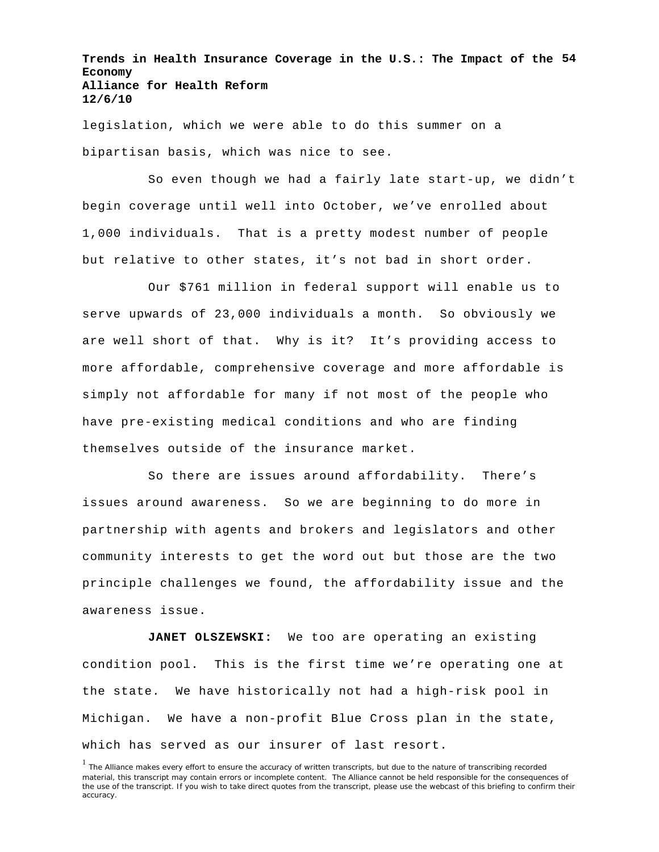**Trends in Health Insurance Coverage in the U.S.: The Impact of the 54 Economy Alliance for Health Reform 12/6/10**

legislation, which we were able to do this summer on a bipartisan basis, which was nice to see.

So even though we had a fairly late start-up, we didn't begin coverage until well into October, we've enrolled about 1,000 individuals. That is a pretty modest number of people but relative to other states, it's not bad in short order.

Our \$761 million in federal support will enable us to serve upwards of 23,000 individuals a month. So obviously we are well short of that. Why is it? It's providing access to more affordable, comprehensive coverage and more affordable is simply not affordable for many if not most of the people who have pre-existing medical conditions and who are finding themselves outside of the insurance market.

So there are issues around affordability. There's issues around awareness. So we are beginning to do more in partnership with agents and brokers and legislators and other community interests to get the word out but those are the two principle challenges we found, the affordability issue and the awareness issue.

**JANET OLSZEWSKI:** We too are operating an existing condition pool. This is the first time we're operating one at the state. We have historically not had a high-risk pool in Michigan. We have a non-profit Blue Cross plan in the state, which has served as our insurer of last resort.

<sup>&</sup>lt;sup>1</sup> The Alliance makes every effort to ensure the accuracy of written transcripts, but due to the nature of transcribing recorded material, this transcript may contain errors or incomplete content. The Alliance cannot be held responsible for the consequences of the use of the transcript. If you wish to take direct quotes from the transcript, please use the webcast of this briefing to confirm their accuracy.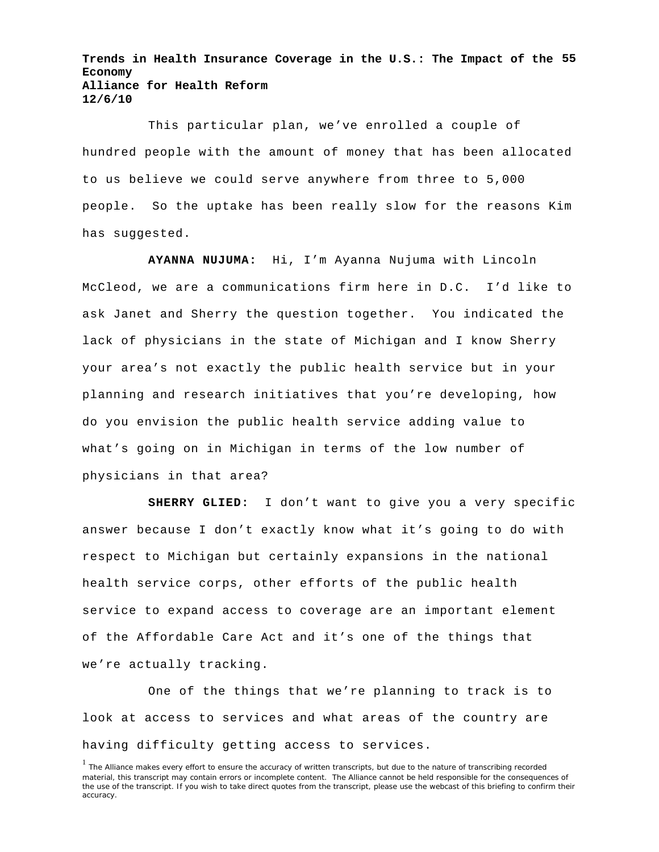**Trends in Health Insurance Coverage in the U.S.: The Impact of the 55 Economy Alliance for Health Reform 12/6/10**

This particular plan, we've enrolled a couple of hundred people with the amount of money that has been allocated to us believe we could serve anywhere from three to 5,000 people. So the uptake has been really slow for the reasons Kim has suggested.

**AYANNA NUJUMA:** Hi, I'm Ayanna Nujuma with Lincoln McCleod, we are a communications firm here in D.C. I'd like to ask Janet and Sherry the question together. You indicated the lack of physicians in the state of Michigan and I know Sherry your area's not exactly the public health service but in your planning and research initiatives that you're developing, how do you envision the public health service adding value to what's going on in Michigan in terms of the low number of physicians in that area?

**SHERRY GLIED:** I don't want to give you a very specific answer because I don't exactly know what it's going to do with respect to Michigan but certainly expansions in the national health service corps, other efforts of the public health service to expand access to coverage are an important element of the Affordable Care Act and it's one of the things that we're actually tracking.

One of the things that we're planning to track is to look at access to services and what areas of the country are having difficulty getting access to services.

<sup>&</sup>lt;sup>1</sup> The Alliance makes every effort to ensure the accuracy of written transcripts, but due to the nature of transcribing recorded material, this transcript may contain errors or incomplete content. The Alliance cannot be held responsible for the consequences of the use of the transcript. If you wish to take direct quotes from the transcript, please use the webcast of this briefing to confirm their accuracy.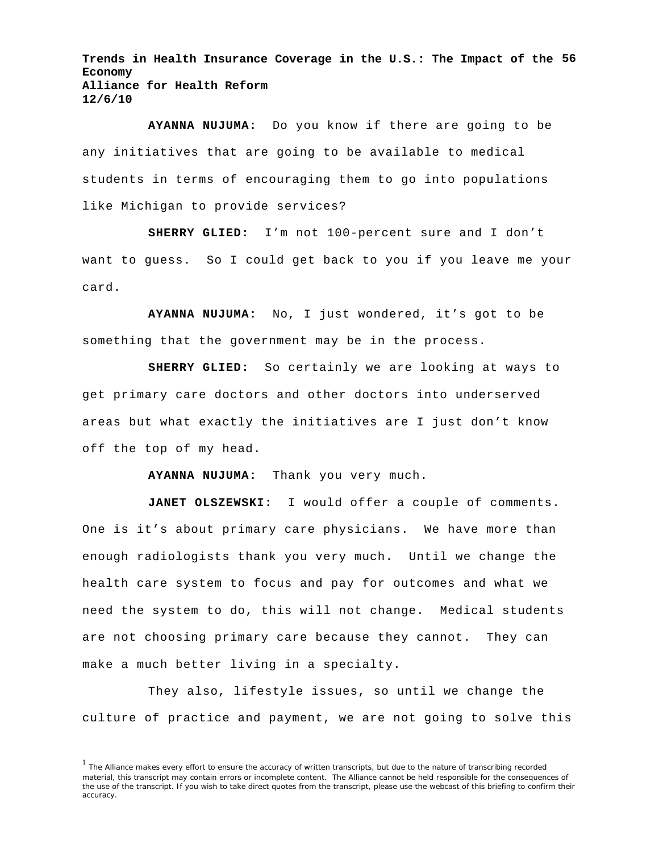**Trends in Health Insurance Coverage in the U.S.: The Impact of the 56 Economy Alliance for Health Reform 12/6/10**

**AYANNA NUJUMA:** Do you know if there are going to be any initiatives that are going to be available to medical students in terms of encouraging them to go into populations like Michigan to provide services?

**SHERRY GLIED:** I'm not 100-percent sure and I don't want to guess. So I could get back to you if you leave me your card.

**AYANNA NUJUMA:** No, I just wondered, it's got to be something that the government may be in the process.

**SHERRY GLIED:** So certainly we are looking at ways to get primary care doctors and other doctors into underserved areas but what exactly the initiatives are I just don't know off the top of my head.

**AYANNA NUJUMA:** Thank you very much.

**JANET OLSZEWSKI:** I would offer a couple of comments. One is it's about primary care physicians. We have more than enough radiologists thank you very much. Until we change the health care system to focus and pay for outcomes and what we need the system to do, this will not change. Medical students are not choosing primary care because they cannot. They can make a much better living in a specialty.

They also, lifestyle issues, so until we change the culture of practice and payment, we are not going to solve this

<sup>&</sup>lt;sup>1</sup> The Alliance makes every effort to ensure the accuracy of written transcripts, but due to the nature of transcribing recorded material, this transcript may contain errors or incomplete content. The Alliance cannot be held responsible for the consequences of the use of the transcript. If you wish to take direct quotes from the transcript, please use the webcast of this briefing to confirm their accuracy.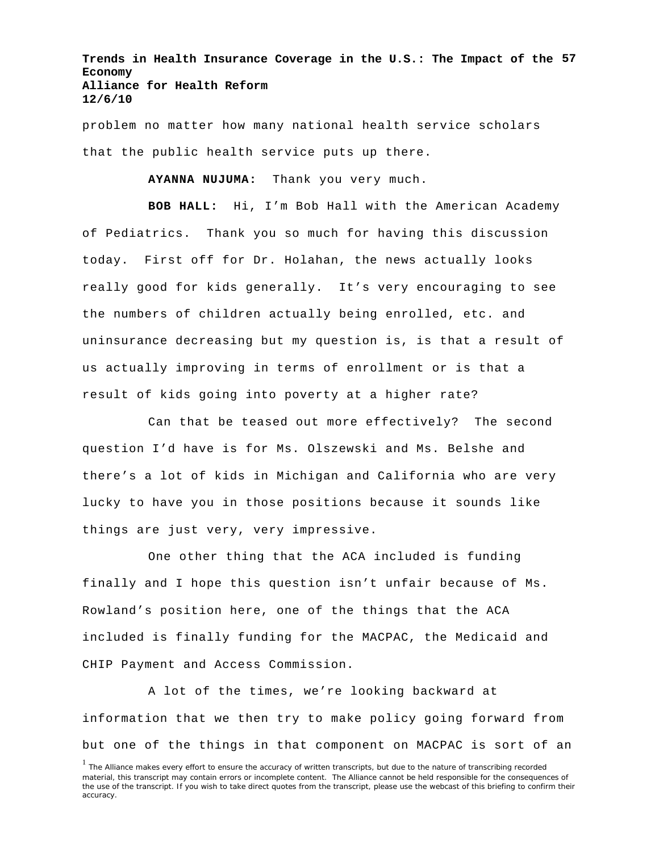**Trends in Health Insurance Coverage in the U.S.: The Impact of the 57 Economy Alliance for Health Reform 12/6/10**

problem no matter how many national health service scholars that the public health service puts up there.

**AYANNA NUJUMA:** Thank you very much.

**BOB HALL:** Hi, I'm Bob Hall with the American Academy of Pediatrics. Thank you so much for having this discussion today. First off for Dr. Holahan, the news actually looks really good for kids generally. It's very encouraging to see the numbers of children actually being enrolled, etc. and uninsurance decreasing but my question is, is that a result of us actually improving in terms of enrollment or is that a result of kids going into poverty at a higher rate?

Can that be teased out more effectively? The second question I'd have is for Ms. Olszewski and Ms. Belshe and there's a lot of kids in Michigan and California who are very lucky to have you in those positions because it sounds like things are just very, very impressive.

One other thing that the ACA included is funding finally and I hope this question isn't unfair because of Ms. Rowland's position here, one of the things that the ACA included is finally funding for the MACPAC, the Medicaid and CHIP Payment and Access Commission.

A lot of the times, we're looking backward at information that we then try to make policy going forward from but one of the things in that component on MACPAC is sort of an

<sup>&</sup>lt;sup>1</sup> The Alliance makes every effort to ensure the accuracy of written transcripts, but due to the nature of transcribing recorded material, this transcript may contain errors or incomplete content. The Alliance cannot be held responsible for the consequences of the use of the transcript. If you wish to take direct quotes from the transcript, please use the webcast of this briefing to confirm their accuracy.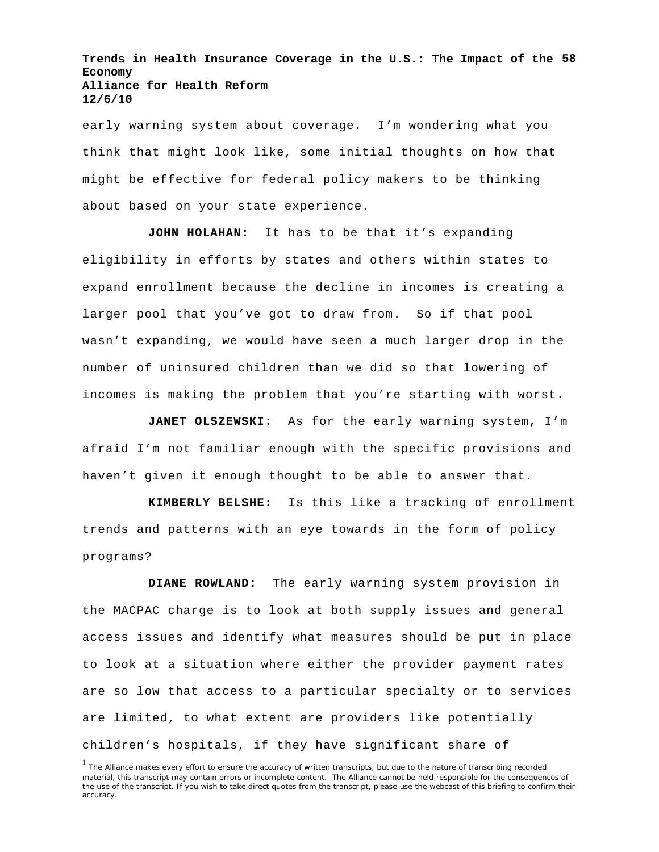**Trends in Health Insurance Coverage in the U.S.: The Impact of the 58 Economy Alliance for Health Reform 12/6/10**

early warning system about coverage. I'm wondering what you think that might look like, some initial thoughts on how that might be effective for federal policy makers to be thinking about based on your state experience.

**JOHN HOLAHAN:** It has to be that it's expanding eligibility in efforts by states and others within states to expand enrollment because the decline in incomes is creating a larger pool that you've got to draw from. So if that pool wasn't expanding, we would have seen a much larger drop in the number of uninsured children than we did so that lowering of incomes is making the problem that you're starting with worst.

**JANET OLSZEWSKI:** As for the early warning system, I'm afraid I'm not familiar enough with the specific provisions and haven't given it enough thought to be able to answer that.

**KIMBERLY BELSHE:** Is this like a tracking of enrollment trends and patterns with an eye towards in the form of policy programs?

**DIANE ROWLAND:** The early warning system provision in the MACPAC charge is to look at both supply issues and general access issues and identify what measures should be put in place to look at a situation where either the provider payment rates are so low that access to a particular specialty or to services are limited, to what extent are providers like potentially children's hospitals, if they have significant share of

<sup>&</sup>lt;sup>1</sup> The Alliance makes every effort to ensure the accuracy of written transcripts, but due to the nature of transcribing recorded material, this transcript may contain errors or incomplete content. The Alliance cannot be held responsible for the consequences of the use of the transcript. If you wish to take direct quotes from the transcript, please use the webcast of this briefing to confirm their accuracy.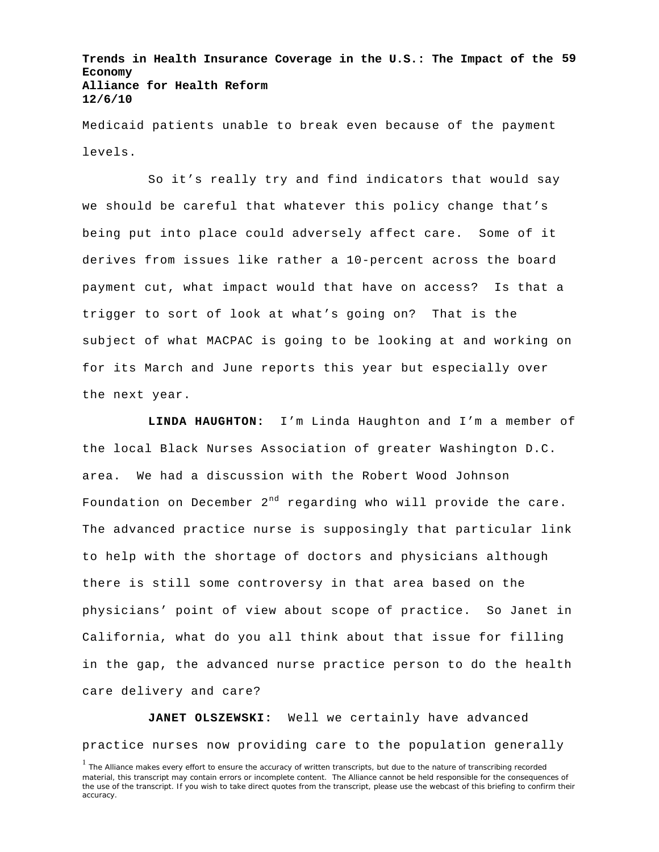**Trends in Health Insurance Coverage in the U.S.: The Impact of the 59 Economy Alliance for Health Reform 12/6/10**

Medicaid patients unable to break even because of the payment levels.

So it's really try and find indicators that would say we should be careful that whatever this policy change that's being put into place could adversely affect care. Some of it derives from issues like rather a 10-percent across the board payment cut, what impact would that have on access? Is that a trigger to sort of look at what's going on? That is the subject of what MACPAC is going to be looking at and working on for its March and June reports this year but especially over the next year.

**LINDA HAUGHTON:** I'm Linda Haughton and I'm a member of the local Black Nurses Association of greater Washington D.C. area. We had a discussion with the Robert Wood Johnson Foundation on December  $2^{nd}$  regarding who will provide the care. The advanced practice nurse is supposingly that particular link to help with the shortage of doctors and physicians although there is still some controversy in that area based on the physicians' point of view about scope of practice. So Janet in California, what do you all think about that issue for filling in the gap, the advanced nurse practice person to do the health care delivery and care?

**JANET OLSZEWSKI:** Well we certainly have advanced practice nurses now providing care to the population generally

<sup>&</sup>lt;sup>1</sup> The Alliance makes every effort to ensure the accuracy of written transcripts, but due to the nature of transcribing recorded material, this transcript may contain errors or incomplete content. The Alliance cannot be held responsible for the consequences of the use of the transcript. If you wish to take direct quotes from the transcript, please use the webcast of this briefing to confirm their accuracy.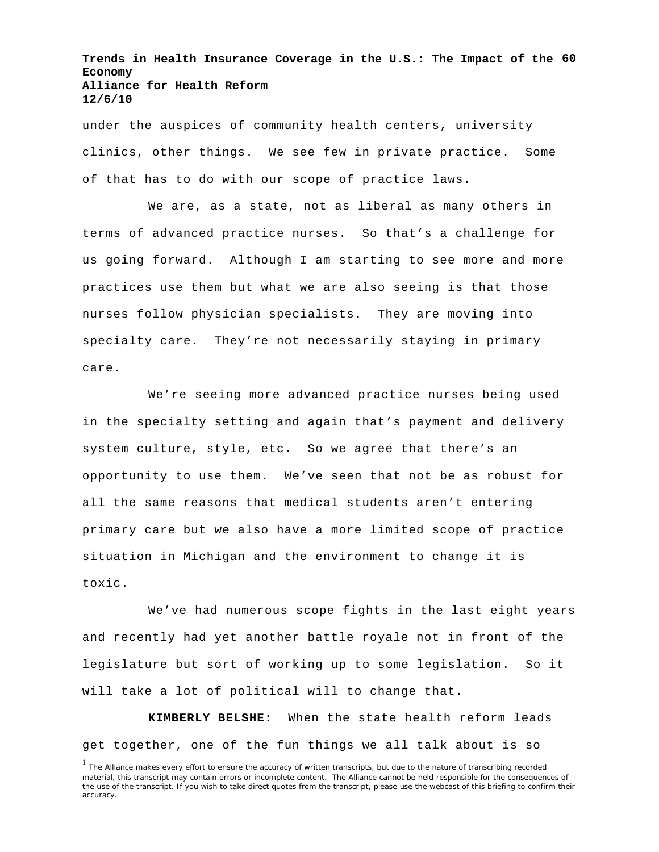**Trends in Health Insurance Coverage in the U.S.: The Impact of the 60 Economy Alliance for Health Reform 12/6/10**

under the auspices of community health centers, university clinics, other things. We see few in private practice. Some of that has to do with our scope of practice laws.

We are, as a state, not as liberal as many others in terms of advanced practice nurses. So that's a challenge for us going forward. Although I am starting to see more and more practices use them but what we are also seeing is that those nurses follow physician specialists. They are moving into specialty care. They're not necessarily staying in primary care.

We're seeing more advanced practice nurses being used in the specialty setting and again that's payment and delivery system culture, style, etc. So we agree that there's an opportunity to use them. We've seen that not be as robust for all the same reasons that medical students aren't entering primary care but we also have a more limited scope of practice situation in Michigan and the environment to change it is toxic.

We've had numerous scope fights in the last eight years and recently had yet another battle royale not in front of the legislature but sort of working up to some legislation. So it will take a lot of political will to change that.

**KIMBERLY BELSHE:** When the state health reform leads get together, one of the fun things we all talk about is so

<sup>&</sup>lt;sup>1</sup> The Alliance makes every effort to ensure the accuracy of written transcripts, but due to the nature of transcribing recorded material, this transcript may contain errors or incomplete content. The Alliance cannot be held responsible for the consequences of the use of the transcript. If you wish to take direct quotes from the transcript, please use the webcast of this briefing to confirm their accuracy.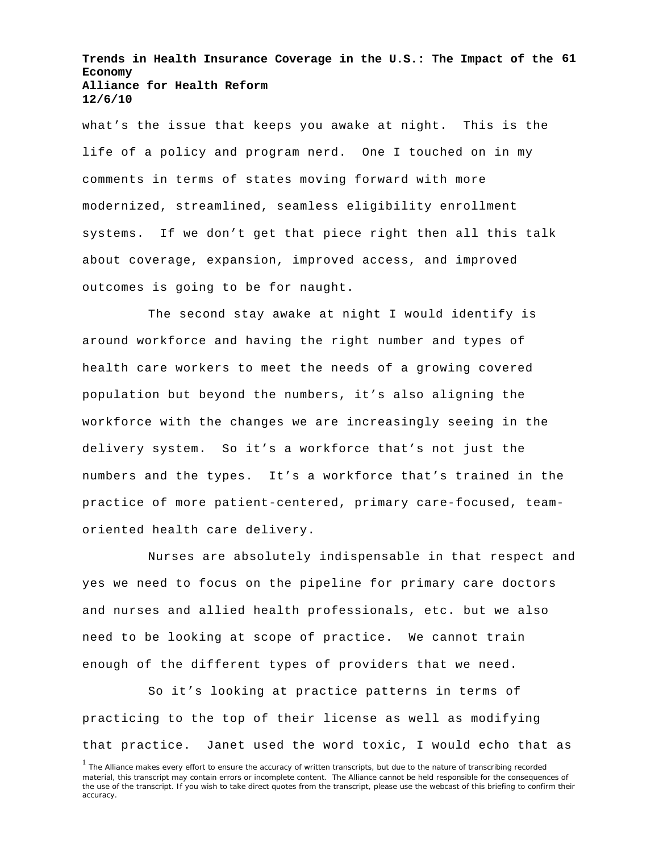**Trends in Health Insurance Coverage in the U.S.: The Impact of the 61 Economy Alliance for Health Reform 12/6/10**

what's the issue that keeps you awake at night. This is the life of a policy and program nerd. One I touched on in my comments in terms of states moving forward with more modernized, streamlined, seamless eligibility enrollment systems. If we don't get that piece right then all this talk about coverage, expansion, improved access, and improved outcomes is going to be for naught.

The second stay awake at night I would identify is around workforce and having the right number and types of health care workers to meet the needs of a growing covered population but beyond the numbers, it's also aligning the workforce with the changes we are increasingly seeing in the delivery system. So it's a workforce that's not just the numbers and the types. It's a workforce that's trained in the practice of more patient-centered, primary care-focused, teamoriented health care delivery.

Nurses are absolutely indispensable in that respect and yes we need to focus on the pipeline for primary care doctors and nurses and allied health professionals, etc. but we also need to be looking at scope of practice. We cannot train enough of the different types of providers that we need.

So it's looking at practice patterns in terms of practicing to the top of their license as well as modifying that practice. Janet used the word toxic, I would echo that as

<sup>&</sup>lt;sup>1</sup> The Alliance makes every effort to ensure the accuracy of written transcripts, but due to the nature of transcribing recorded material, this transcript may contain errors or incomplete content. The Alliance cannot be held responsible for the consequences of the use of the transcript. If you wish to take direct quotes from the transcript, please use the webcast of this briefing to confirm their accuracy.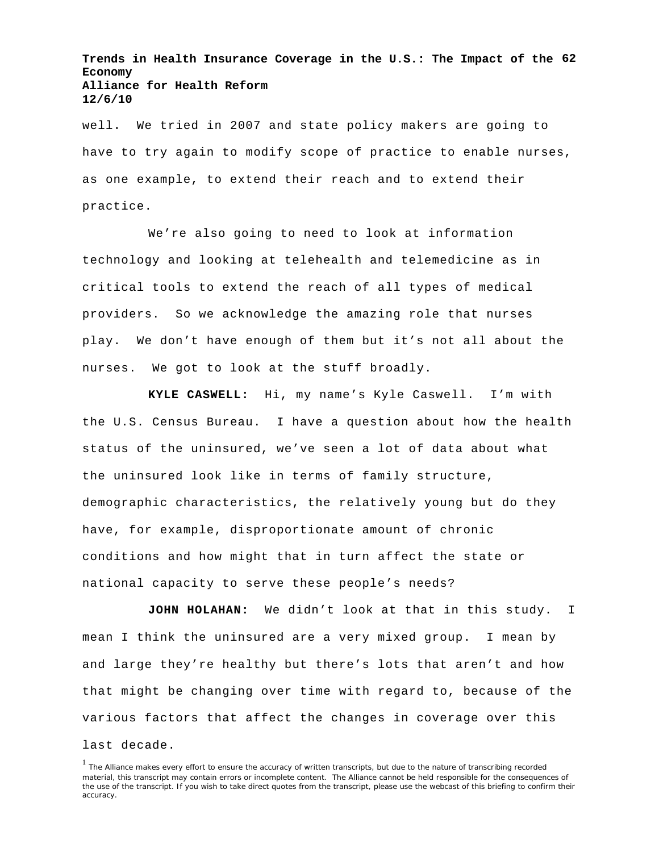**Trends in Health Insurance Coverage in the U.S.: The Impact of the 62 Economy Alliance for Health Reform 12/6/10**

well. We tried in 2007 and state policy makers are going to have to try again to modify scope of practice to enable nurses, as one example, to extend their reach and to extend their practice.

We're also going to need to look at information technology and looking at telehealth and telemedicine as in critical tools to extend the reach of all types of medical providers. So we acknowledge the amazing role that nurses play. We don't have enough of them but it's not all about the nurses. We got to look at the stuff broadly.

**KYLE CASWELL:** Hi, my name's Kyle Caswell. I'm with the U.S. Census Bureau. I have a question about how the health status of the uninsured, we've seen a lot of data about what the uninsured look like in terms of family structure, demographic characteristics, the relatively young but do they have, for example, disproportionate amount of chronic conditions and how might that in turn affect the state or national capacity to serve these people's needs?

**JOHN HOLAHAN:** We didn't look at that in this study. I mean I think the uninsured are a very mixed group. I mean by and large they're healthy but there's lots that aren't and how that might be changing over time with regard to, because of the various factors that affect the changes in coverage over this last decade.

<sup>&</sup>lt;sup>1</sup> The Alliance makes every effort to ensure the accuracy of written transcripts, but due to the nature of transcribing recorded material, this transcript may contain errors or incomplete content. The Alliance cannot be held responsible for the consequences of the use of the transcript. If you wish to take direct quotes from the transcript, please use the webcast of this briefing to confirm their accuracy.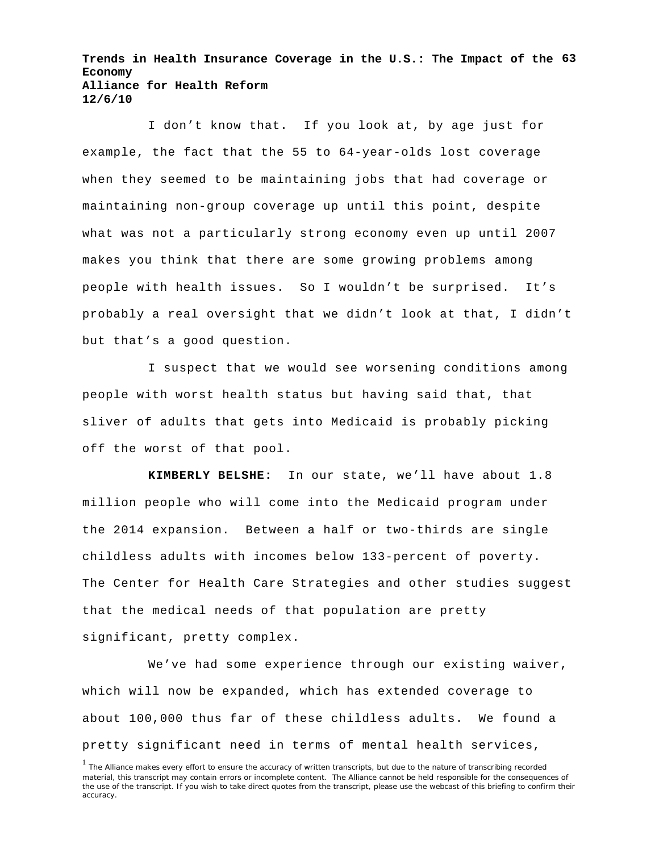**Trends in Health Insurance Coverage in the U.S.: The Impact of the 63 Economy Alliance for Health Reform 12/6/10**

I don't know that. If you look at, by age just for example, the fact that the 55 to 64-year-olds lost coverage when they seemed to be maintaining jobs that had coverage or maintaining non-group coverage up until this point, despite what was not a particularly strong economy even up until 2007 makes you think that there are some growing problems among people with health issues. So I wouldn't be surprised. It's probably a real oversight that we didn't look at that, I didn't but that's a good question.

I suspect that we would see worsening conditions among people with worst health status but having said that, that sliver of adults that gets into Medicaid is probably picking off the worst of that pool.

**KIMBERLY BELSHE:** In our state, we'll have about 1.8 million people who will come into the Medicaid program under the 2014 expansion. Between a half or two-thirds are single childless adults with incomes below 133-percent of poverty. The Center for Health Care Strategies and other studies suggest that the medical needs of that population are pretty significant, pretty complex.

We've had some experience through our existing waiver, which will now be expanded, which has extended coverage to about 100,000 thus far of these childless adults. We found a pretty significant need in terms of mental health services,

<sup>&</sup>lt;sup>1</sup> The Alliance makes every effort to ensure the accuracy of written transcripts, but due to the nature of transcribing recorded material, this transcript may contain errors or incomplete content. The Alliance cannot be held responsible for the consequences of the use of the transcript. If you wish to take direct quotes from the transcript, please use the webcast of this briefing to confirm their accuracy.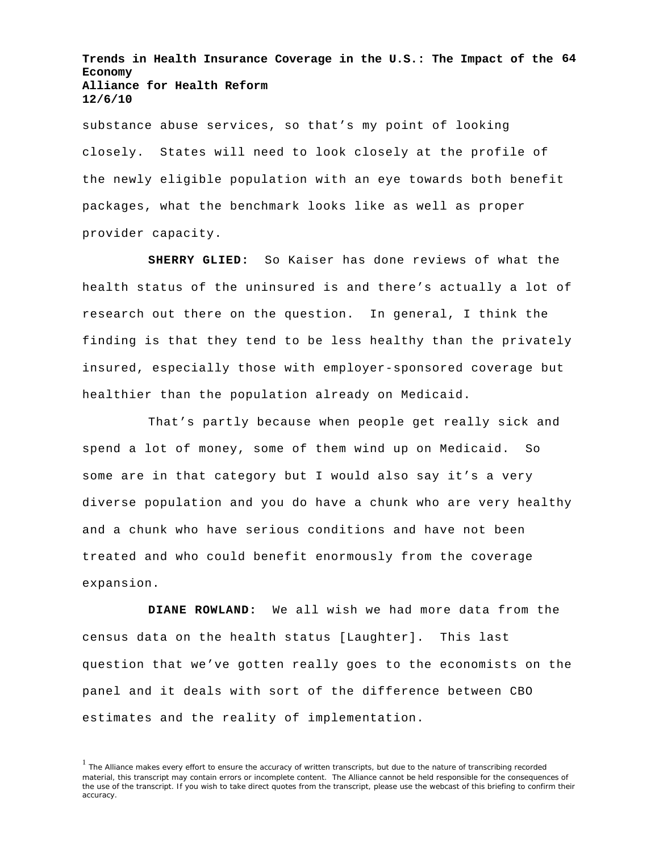**Trends in Health Insurance Coverage in the U.S.: The Impact of the 64 Economy Alliance for Health Reform 12/6/10**

substance abuse services, so that's my point of looking closely. States will need to look closely at the profile of the newly eligible population with an eye towards both benefit packages, what the benchmark looks like as well as proper provider capacity.

**SHERRY GLIED:** So Kaiser has done reviews of what the health status of the uninsured is and there's actually a lot of research out there on the question. In general, I think the finding is that they tend to be less healthy than the privately insured, especially those with employer-sponsored coverage but healthier than the population already on Medicaid.

That's partly because when people get really sick and spend a lot of money, some of them wind up on Medicaid. So some are in that category but I would also say it's a very diverse population and you do have a chunk who are very healthy and a chunk who have serious conditions and have not been treated and who could benefit enormously from the coverage expansion.

**DIANE ROWLAND:** We all wish we had more data from the census data on the health status [Laughter]. This last question that we've gotten really goes to the economists on the panel and it deals with sort of the difference between CBO estimates and the reality of implementation.

<sup>&</sup>lt;sup>1</sup> The Alliance makes every effort to ensure the accuracy of written transcripts, but due to the nature of transcribing recorded material, this transcript may contain errors or incomplete content. The Alliance cannot be held responsible for the consequences of the use of the transcript. If you wish to take direct quotes from the transcript, please use the webcast of this briefing to confirm their accuracy.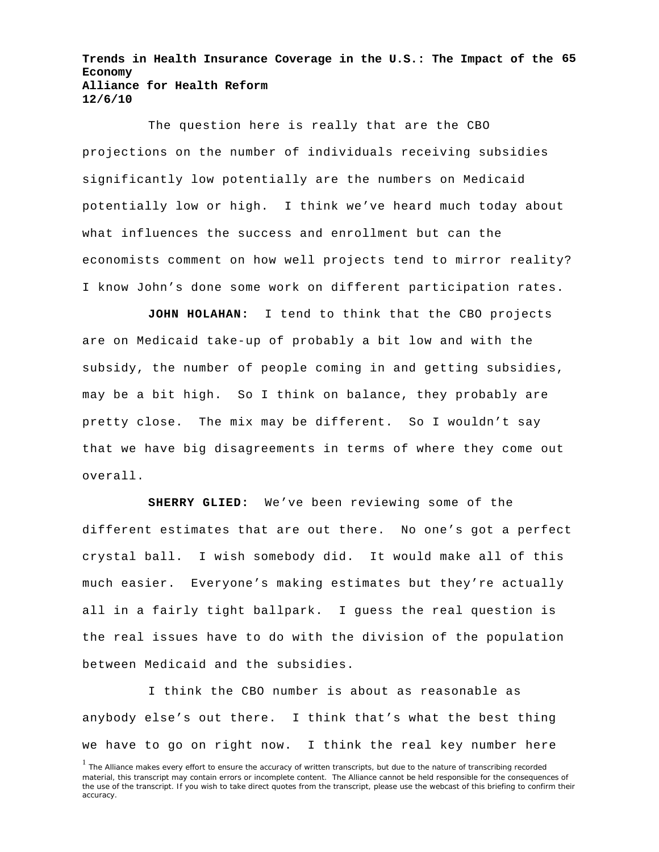**Trends in Health Insurance Coverage in the U.S.: The Impact of the 65 Economy Alliance for Health Reform 12/6/10**

The question here is really that are the CBO projections on the number of individuals receiving subsidies significantly low potentially are the numbers on Medicaid potentially low or high. I think we've heard much today about what influences the success and enrollment but can the economists comment on how well projects tend to mirror reality? I know John's done some work on different participation rates.

**JOHN HOLAHAN:** I tend to think that the CBO projects are on Medicaid take-up of probably a bit low and with the subsidy, the number of people coming in and getting subsidies, may be a bit high. So I think on balance, they probably are pretty close. The mix may be different. So I wouldn't say that we have big disagreements in terms of where they come out overall.

**SHERRY GLIED:** We've been reviewing some of the different estimates that are out there. No one's got a perfect crystal ball. I wish somebody did. It would make all of this much easier. Everyone's making estimates but they're actually all in a fairly tight ballpark. I guess the real question is the real issues have to do with the division of the population between Medicaid and the subsidies.

I think the CBO number is about as reasonable as anybody else's out there. I think that's what the best thing we have to go on right now. I think the real key number here

<sup>&</sup>lt;sup>1</sup> The Alliance makes every effort to ensure the accuracy of written transcripts, but due to the nature of transcribing recorded material, this transcript may contain errors or incomplete content. The Alliance cannot be held responsible for the consequences of the use of the transcript. If you wish to take direct quotes from the transcript, please use the webcast of this briefing to confirm their accuracy.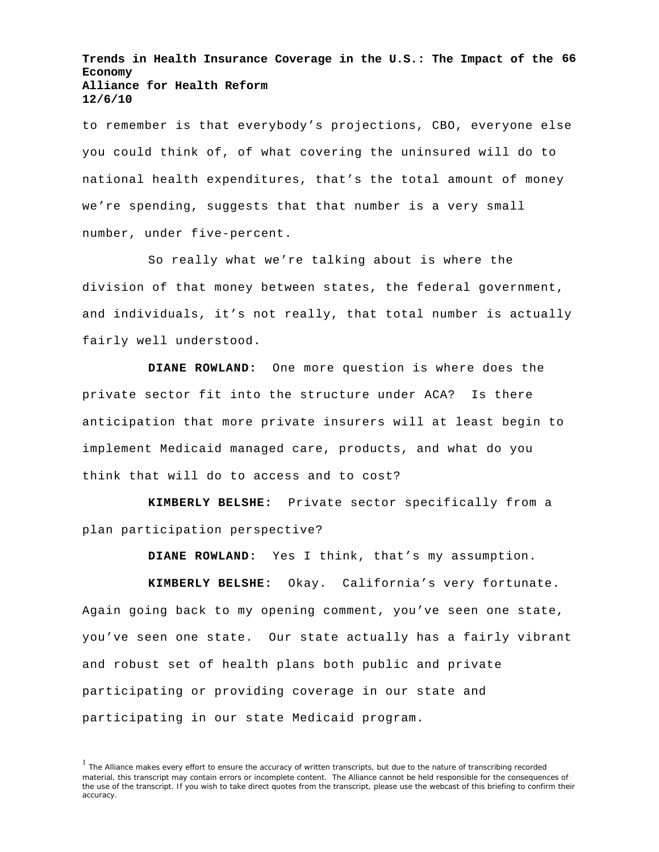**Trends in Health Insurance Coverage in the U.S.: The Impact of the 66 Economy Alliance for Health Reform 12/6/10**

to remember is that everybody's projections, CBO, everyone else you could think of, of what covering the uninsured will do to national health expenditures, that's the total amount of money we're spending, suggests that that number is a very small number, under five-percent.

So really what we're talking about is where the division of that money between states, the federal government, and individuals, it's not really, that total number is actually fairly well understood.

**DIANE ROWLAND:** One more question is where does the private sector fit into the structure under ACA? Is there anticipation that more private insurers will at least begin to implement Medicaid managed care, products, and what do you think that will do to access and to cost?

**KIMBERLY BELSHE:** Private sector specifically from a plan participation perspective?

**DIANE ROWLAND:** Yes I think, that's my assumption.

**KIMBERLY BELSHE:** Okay. California's very fortunate. Again going back to my opening comment, you've seen one state, you've seen one state. Our state actually has a fairly vibrant and robust set of health plans both public and private participating or providing coverage in our state and participating in our state Medicaid program.

<sup>&</sup>lt;sup>1</sup> The Alliance makes every effort to ensure the accuracy of written transcripts, but due to the nature of transcribing recorded material, this transcript may contain errors or incomplete content. The Alliance cannot be held responsible for the consequences of the use of the transcript. If you wish to take direct quotes from the transcript, please use the webcast of this briefing to confirm their accuracy.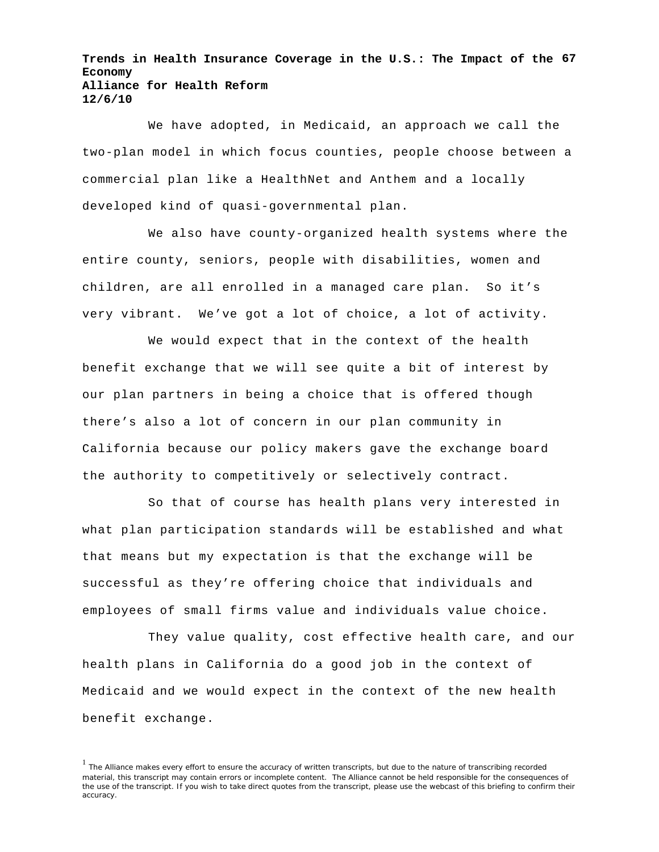**Trends in Health Insurance Coverage in the U.S.: The Impact of the 67 Economy Alliance for Health Reform 12/6/10**

We have adopted, in Medicaid, an approach we call the two-plan model in which focus counties, people choose between a commercial plan like a HealthNet and Anthem and a locally developed kind of quasi-governmental plan.

We also have county-organized health systems where the entire county, seniors, people with disabilities, women and children, are all enrolled in a managed care plan. So it's very vibrant. We've got a lot of choice, a lot of activity.

We would expect that in the context of the health benefit exchange that we will see quite a bit of interest by our plan partners in being a choice that is offered though there's also a lot of concern in our plan community in California because our policy makers gave the exchange board the authority to competitively or selectively contract.

So that of course has health plans very interested in what plan participation standards will be established and what that means but my expectation is that the exchange will be successful as they're offering choice that individuals and employees of small firms value and individuals value choice.

They value quality, cost effective health care, and our health plans in California do a good job in the context of Medicaid and we would expect in the context of the new health benefit exchange.

<sup>&</sup>lt;sup>1</sup> The Alliance makes every effort to ensure the accuracy of written transcripts, but due to the nature of transcribing recorded material, this transcript may contain errors or incomplete content. The Alliance cannot be held responsible for the consequences of the use of the transcript. If you wish to take direct quotes from the transcript, please use the webcast of this briefing to confirm their accuracy.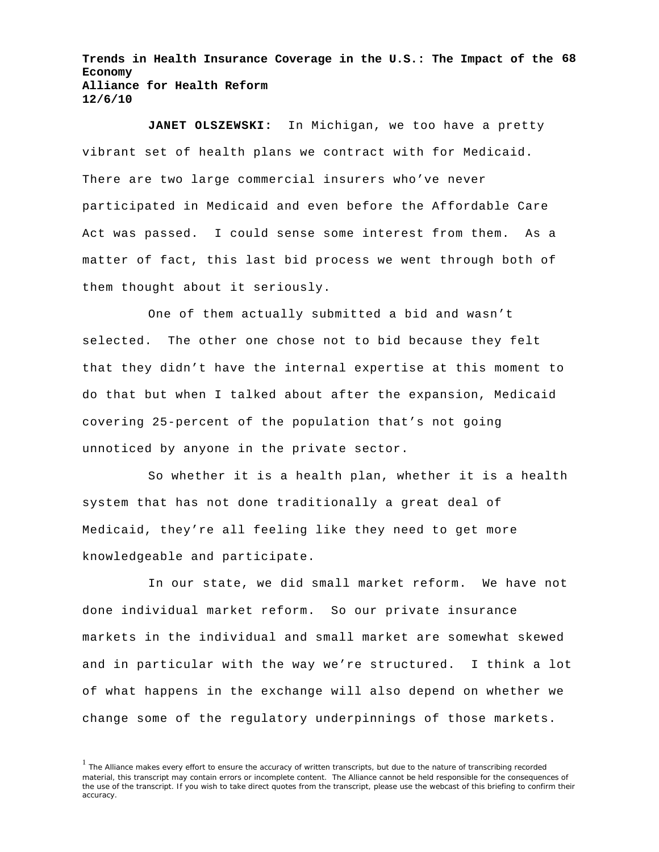**Trends in Health Insurance Coverage in the U.S.: The Impact of the 68 Economy Alliance for Health Reform 12/6/10**

**JANET OLSZEWSKI:** In Michigan, we too have a pretty vibrant set of health plans we contract with for Medicaid. There are two large commercial insurers who've never participated in Medicaid and even before the Affordable Care Act was passed. I could sense some interest from them. As a matter of fact, this last bid process we went through both of them thought about it seriously.

One of them actually submitted a bid and wasn't selected. The other one chose not to bid because they felt that they didn't have the internal expertise at this moment to do that but when I talked about after the expansion, Medicaid covering 25-percent of the population that's not going unnoticed by anyone in the private sector.

So whether it is a health plan, whether it is a health system that has not done traditionally a great deal of Medicaid, they're all feeling like they need to get more knowledgeable and participate.

In our state, we did small market reform. We have not done individual market reform. So our private insurance markets in the individual and small market are somewhat skewed and in particular with the way we're structured. I think a lot of what happens in the exchange will also depend on whether we change some of the regulatory underpinnings of those markets.

<sup>&</sup>lt;sup>1</sup> The Alliance makes every effort to ensure the accuracy of written transcripts, but due to the nature of transcribing recorded material, this transcript may contain errors or incomplete content. The Alliance cannot be held responsible for the consequences of the use of the transcript. If you wish to take direct quotes from the transcript, please use the webcast of this briefing to confirm their accuracy.